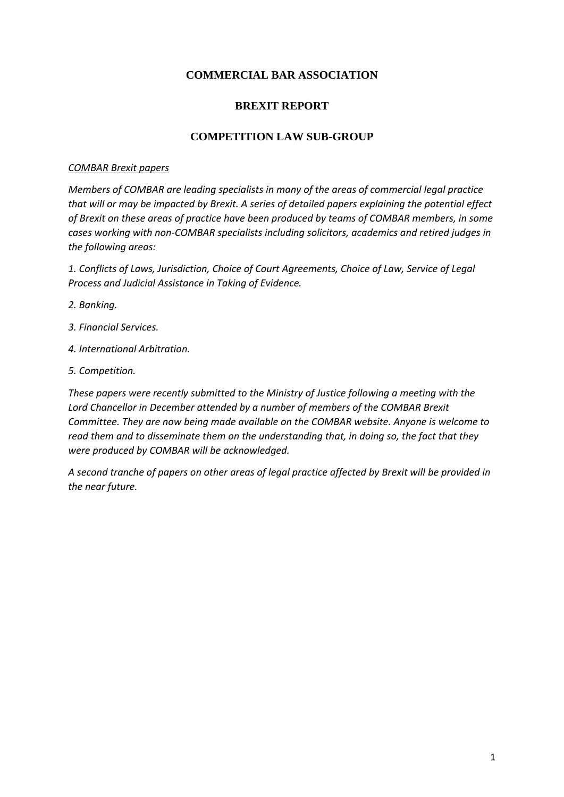# **COMMERCIAL BAR ASSOCIATION**

# **BREXIT REPORT**

## **COMPETITION LAW SUB-GROUP**

#### *COMBAR Brexit papers*

*Members of COMBAR are leading specialists in many of the areas of commercial legal practice that will or may be impacted by Brexit. A series of detailed papers explaining the potential effect of Brexit on these areas of practice have been produced by teams of COMBAR members, in some cases working with non-COMBAR specialists including solicitors, academics and retired judges in the following areas:*

*1. Conflicts of Laws, Jurisdiction, Choice of Court Agreements, Choice of Law, Service of Legal Process and Judicial Assistance in Taking of Evidence.*

- *2. Banking.*
- *3. Financial Services.*
- *4. International Arbitration.*
- *5. Competition.*

*These papers were recently submitted to the Ministry of Justice following a meeting with the Lord Chancellor in December attended by a number of members of the COMBAR Brexit Committee. They are now being made available on the COMBAR website. Anyone is welcome to read them and to disseminate them on the understanding that, in doing so, the fact that they were produced by COMBAR will be acknowledged.*

*A second tranche of papers on other areas of legal practice affected by Brexit will be provided in the near future.*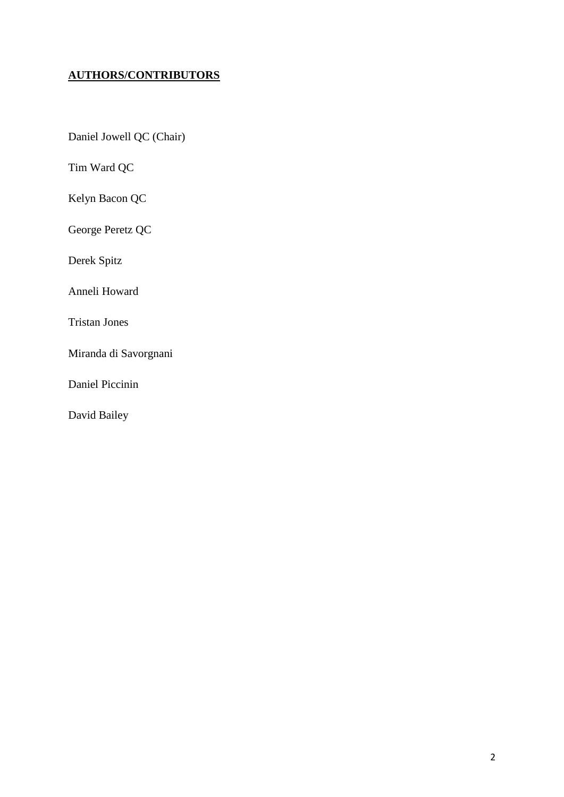# **AUTHORS/CONTRIBUTORS**

Daniel Jowell QC (Chair)

Tim Ward QC

Kelyn Bacon QC

George Peretz QC

Derek Spitz

Anneli Howard

Tristan Jones

Miranda di Savorgnani

Daniel Piccinin

David Bailey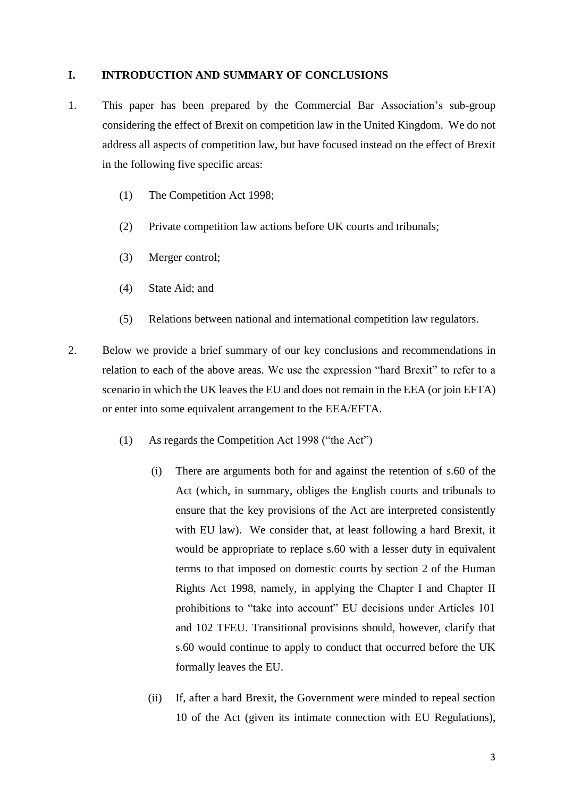### **I. INTRODUCTION AND SUMMARY OF CONCLUSIONS**

- 1. This paper has been prepared by the Commercial Bar Association's sub-group considering the effect of Brexit on competition law in the United Kingdom. We do not address all aspects of competition law, but have focused instead on the effect of Brexit in the following five specific areas:
	- (1) The Competition Act 1998;
	- (2) Private competition law actions before UK courts and tribunals;
	- (3) Merger control;
	- (4) State Aid; and
	- (5) Relations between national and international competition law regulators.
- 2. Below we provide a brief summary of our key conclusions and recommendations in relation to each of the above areas. We use the expression "hard Brexit" to refer to a scenario in which the UK leaves the EU and does not remain in the EEA (or join EFTA) or enter into some equivalent arrangement to the EEA/EFTA.
	- (1) As regards the Competition Act 1998 ("the Act")
		- (i) There are arguments both for and against the retention of s.60 of the Act (which, in summary, obliges the English courts and tribunals to ensure that the key provisions of the Act are interpreted consistently with EU law). We consider that, at least following a hard Brexit, it would be appropriate to replace s.60 with a lesser duty in equivalent terms to that imposed on domestic courts by section 2 of the Human Rights Act 1998, namely, in applying the Chapter I and Chapter II prohibitions to "take into account" EU decisions under Articles 101 and 102 TFEU. Transitional provisions should, however, clarify that s.60 would continue to apply to conduct that occurred before the UK formally leaves the EU.
		- (ii) If, after a hard Brexit, the Government were minded to repeal section 10 of the Act (given its intimate connection with EU Regulations),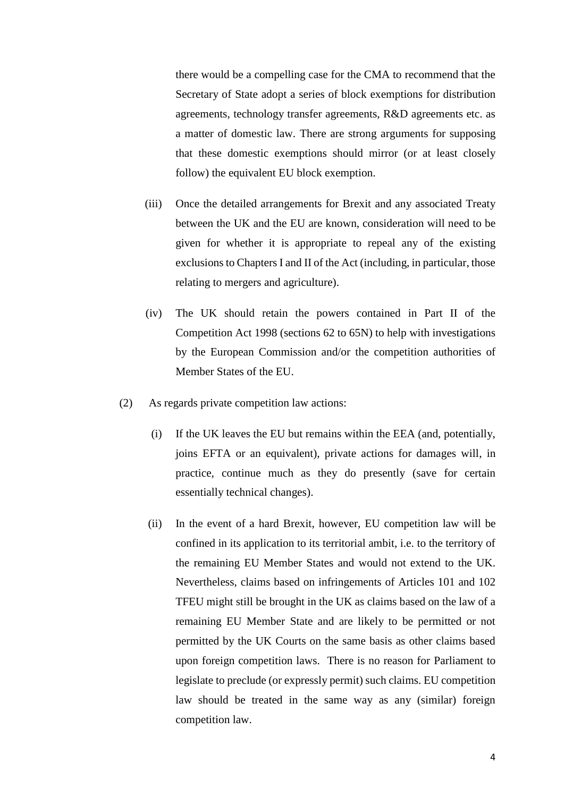there would be a compelling case for the CMA to recommend that the Secretary of State adopt a series of block exemptions for distribution agreements, technology transfer agreements, R&D agreements etc. as a matter of domestic law. There are strong arguments for supposing that these domestic exemptions should mirror (or at least closely follow) the equivalent EU block exemption.

- (iii) Once the detailed arrangements for Brexit and any associated Treaty between the UK and the EU are known, consideration will need to be given for whether it is appropriate to repeal any of the existing exclusions to Chapters I and II of the Act (including, in particular, those relating to mergers and agriculture).
- (iv) The UK should retain the powers contained in Part II of the Competition Act 1998 (sections 62 to 65N) to help with investigations by the European Commission and/or the competition authorities of Member States of the EU.
- (2) As regards private competition law actions:
	- (i) If the UK leaves the EU but remains within the EEA (and, potentially, joins EFTA or an equivalent), private actions for damages will, in practice, continue much as they do presently (save for certain essentially technical changes).
	- (ii) In the event of a hard Brexit, however, EU competition law will be confined in its application to its territorial ambit, i.e. to the territory of the remaining EU Member States and would not extend to the UK. Nevertheless, claims based on infringements of Articles 101 and 102 TFEU might still be brought in the UK as claims based on the law of a remaining EU Member State and are likely to be permitted or not permitted by the UK Courts on the same basis as other claims based upon foreign competition laws. There is no reason for Parliament to legislate to preclude (or expressly permit) such claims. EU competition law should be treated in the same way as any (similar) foreign competition law.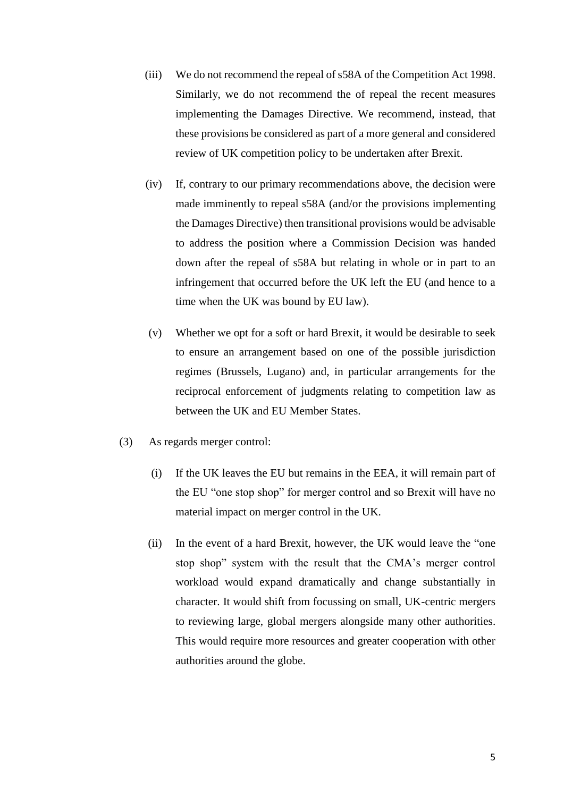- (iii) We do not recommend the repeal of s58A of the Competition Act 1998. Similarly, we do not recommend the of repeal the recent measures implementing the Damages Directive. We recommend, instead, that these provisions be considered as part of a more general and considered review of UK competition policy to be undertaken after Brexit.
- (iv) If, contrary to our primary recommendations above, the decision were made imminently to repeal s58A (and/or the provisions implementing the Damages Directive) then transitional provisions would be advisable to address the position where a Commission Decision was handed down after the repeal of s58A but relating in whole or in part to an infringement that occurred before the UK left the EU (and hence to a time when the UK was bound by EU law).
- (v) Whether we opt for a soft or hard Brexit, it would be desirable to seek to ensure an arrangement based on one of the possible jurisdiction regimes (Brussels, Lugano) and, in particular arrangements for the reciprocal enforcement of judgments relating to competition law as between the UK and EU Member States.
- (3) As regards merger control:
	- (i) If the UK leaves the EU but remains in the EEA, it will remain part of the EU "one stop shop" for merger control and so Brexit will have no material impact on merger control in the UK.
	- (ii) In the event of a hard Brexit, however, the UK would leave the "one stop shop" system with the result that the CMA's merger control workload would expand dramatically and change substantially in character. It would shift from focussing on small, UK-centric mergers to reviewing large, global mergers alongside many other authorities. This would require more resources and greater cooperation with other authorities around the globe.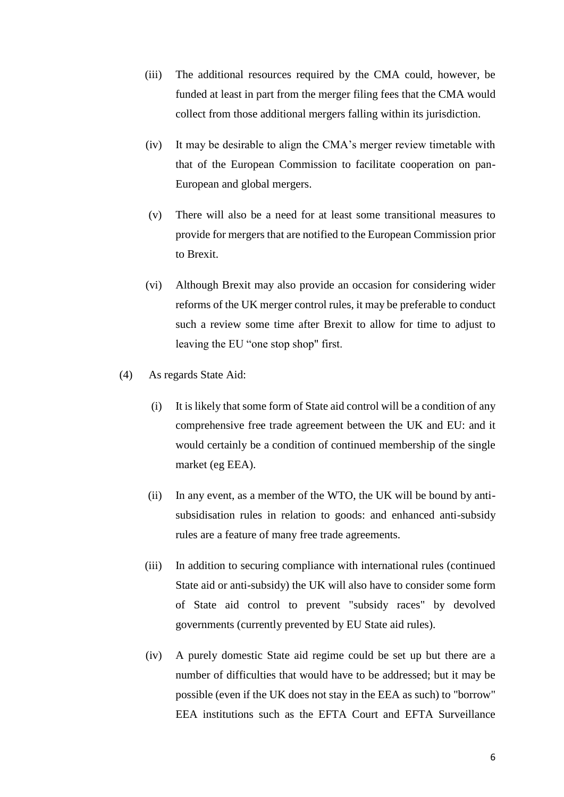- (iii) The additional resources required by the CMA could, however, be funded at least in part from the merger filing fees that the CMA would collect from those additional mergers falling within its jurisdiction.
- (iv) It may be desirable to align the CMA's merger review timetable with that of the European Commission to facilitate cooperation on pan-European and global mergers.
- (v) There will also be a need for at least some transitional measures to provide for mergers that are notified to the European Commission prior to Brexit.
- (vi) Although Brexit may also provide an occasion for considering wider reforms of the UK merger control rules, it may be preferable to conduct such a review some time after Brexit to allow for time to adjust to leaving the EU "one stop shop" first.
- (4) As regards State Aid:
	- (i) It is likely that some form of State aid control will be a condition of any comprehensive free trade agreement between the UK and EU: and it would certainly be a condition of continued membership of the single market (eg EEA).
	- (ii) In any event, as a member of the WTO, the UK will be bound by antisubsidisation rules in relation to goods: and enhanced anti-subsidy rules are a feature of many free trade agreements.
	- (iii) In addition to securing compliance with international rules (continued State aid or anti-subsidy) the UK will also have to consider some form of State aid control to prevent "subsidy races" by devolved governments (currently prevented by EU State aid rules).
	- (iv) A purely domestic State aid regime could be set up but there are a number of difficulties that would have to be addressed; but it may be possible (even if the UK does not stay in the EEA as such) to "borrow" EEA institutions such as the EFTA Court and EFTA Surveillance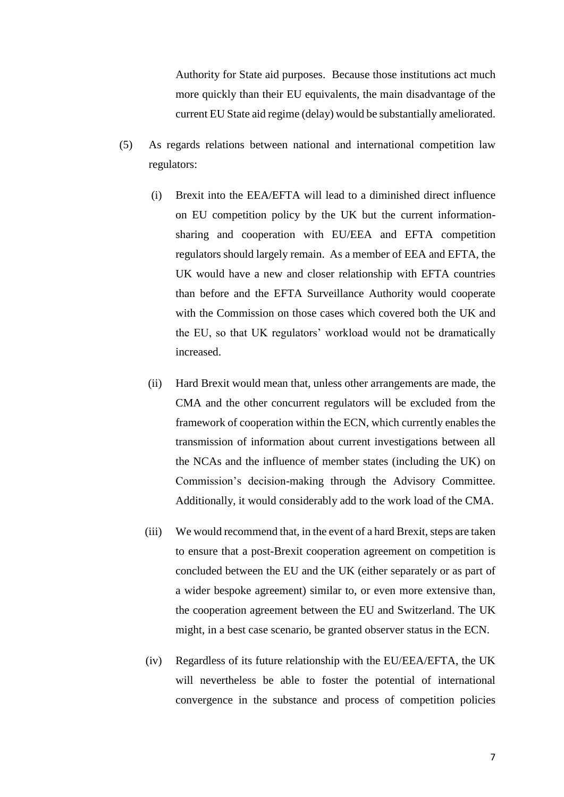Authority for State aid purposes. Because those institutions act much more quickly than their EU equivalents, the main disadvantage of the current EU State aid regime (delay) would be substantially ameliorated.

- (5) As regards relations between national and international competition law regulators:
	- (i) Brexit into the EEA/EFTA will lead to a diminished direct influence on EU competition policy by the UK but the current informationsharing and cooperation with EU/EEA and EFTA competition regulators should largely remain. As a member of EEA and EFTA, the UK would have a new and closer relationship with EFTA countries than before and the EFTA Surveillance Authority would cooperate with the Commission on those cases which covered both the UK and the EU, so that UK regulators' workload would not be dramatically increased.
	- (ii) Hard Brexit would mean that, unless other arrangements are made, the CMA and the other concurrent regulators will be excluded from the framework of cooperation within the ECN, which currently enables the transmission of information about current investigations between all the NCAs and the influence of member states (including the UK) on Commission's decision-making through the Advisory Committee. Additionally, it would considerably add to the work load of the CMA.
	- (iii) We would recommend that, in the event of a hard Brexit, steps are taken to ensure that a post-Brexit cooperation agreement on competition is concluded between the EU and the UK (either separately or as part of a wider bespoke agreement) similar to, or even more extensive than, the cooperation agreement between the EU and Switzerland. The UK might, in a best case scenario, be granted observer status in the ECN.
	- (iv) Regardless of its future relationship with the EU/EEA/EFTA, the UK will nevertheless be able to foster the potential of international convergence in the substance and process of competition policies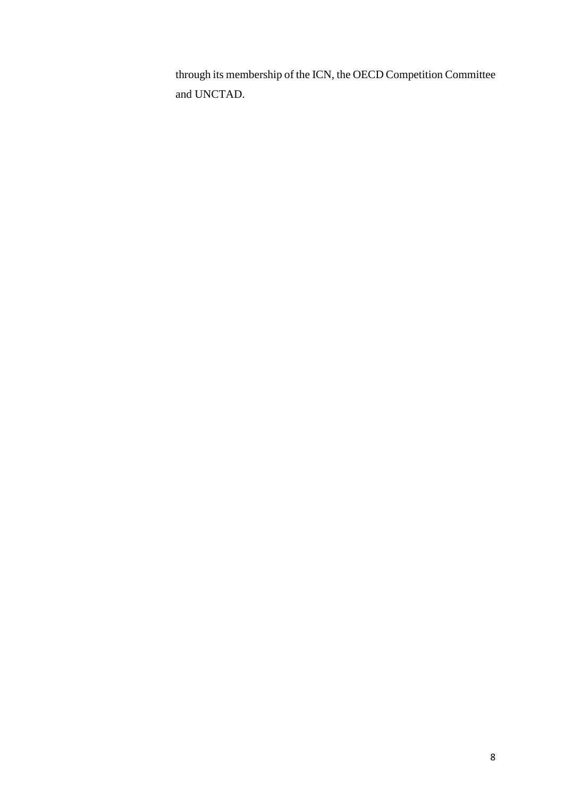through its membership of the ICN, the OECD Competition Committee and UNCTAD.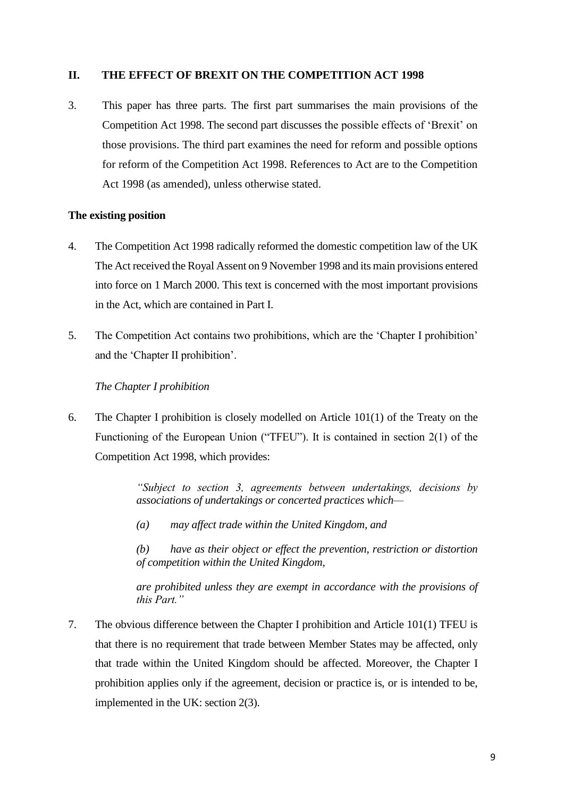# **II. THE EFFECT OF BREXIT ON THE COMPETITION ACT 1998**

3. This paper has three parts. The first part summarises the main provisions of the Competition Act 1998. The second part discusses the possible effects of 'Brexit' on those provisions. The third part examines the need for reform and possible options for reform of the Competition Act 1998. References to Act are to the Competition Act 1998 (as amended), unless otherwise stated.

### **The existing position**

- 4. The Competition Act 1998 radically reformed the domestic competition law of the UK The Act received the Royal Assent on 9 November 1998 and its main provisions entered into force on 1 March 2000. This text is concerned with the most important provisions in the Act, which are contained in Part I.
- 5. The Competition Act contains two prohibitions, which are the 'Chapter I prohibition' and the 'Chapter II prohibition'.

# *The Chapter I prohibition*

6. The Chapter I prohibition is closely modelled on Article 101(1) of the Treaty on the Functioning of the European Union ("TFEU"). It is contained in section 2(1) of the Competition Act 1998, which provides:

> *"Subject to section 3, agreements between undertakings, decisions by associations of undertakings or concerted practices which—*

*(a) may affect trade within the United Kingdom, and*

*(b) have as their object or effect the prevention, restriction or distortion of competition within the United Kingdom,*

*are prohibited unless they are exempt in accordance with the provisions of this Part."*

7. The obvious difference between the Chapter I prohibition and Article 101(1) TFEU is that there is no requirement that trade between Member States may be affected, only that trade within the United Kingdom should be affected. Moreover, the Chapter I prohibition applies only if the agreement, decision or practice is, or is intended to be, implemented in the UK: section 2(3).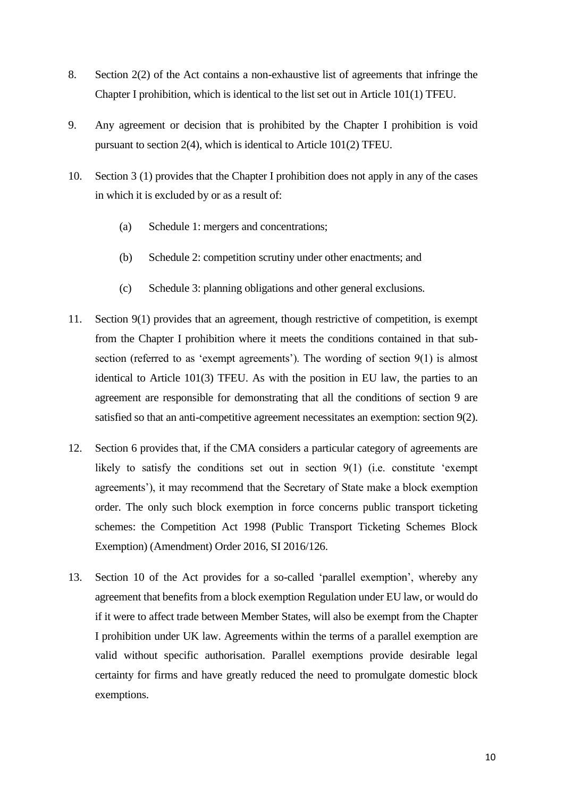- 8. Section 2(2) of the Act contains a non-exhaustive list of agreements that infringe the Chapter I prohibition, which is identical to the list set out in Article 101(1) TFEU.
- 9. Any agreement or decision that is prohibited by the Chapter I prohibition is void pursuant to section 2(4), which is identical to Article 101(2) TFEU.
- 10. Section 3 (1) provides that the Chapter I prohibition does not apply in any of the cases in which it is excluded by or as a result of:
	- (a) Schedule 1: mergers and concentrations;
	- (b) Schedule 2: competition scrutiny under other enactments; and
	- (c) Schedule 3: planning obligations and other general exclusions.
- 11. Section 9(1) provides that an agreement, though restrictive of competition, is exempt from the Chapter I prohibition where it meets the conditions contained in that subsection (referred to as 'exempt agreements'). The wording of section 9(1) is almost identical to Article 101(3) TFEU. As with the position in EU law, the parties to an agreement are responsible for demonstrating that all the conditions of section 9 are satisfied so that an anti-competitive agreement necessitates an exemption: section 9(2).
- 12. Section 6 provides that, if the CMA considers a particular category of agreements are likely to satisfy the conditions set out in section 9(1) (i.e. constitute 'exempt agreements'), it may recommend that the Secretary of State make a block exemption order. The only such block exemption in force concerns public transport ticketing schemes: the Competition Act 1998 (Public Transport Ticketing Schemes Block Exemption) (Amendment) Order 2016, SI 2016/126.
- 13. Section 10 of the Act provides for a so-called 'parallel exemption', whereby any agreement that benefits from a block exemption Regulation under EU law, or would do if it were to affect trade between Member States, will also be exempt from the Chapter I prohibition under UK law. Agreements within the terms of a parallel exemption are valid without specific authorisation. Parallel exemptions provide desirable legal certainty for firms and have greatly reduced the need to promulgate domestic block exemptions.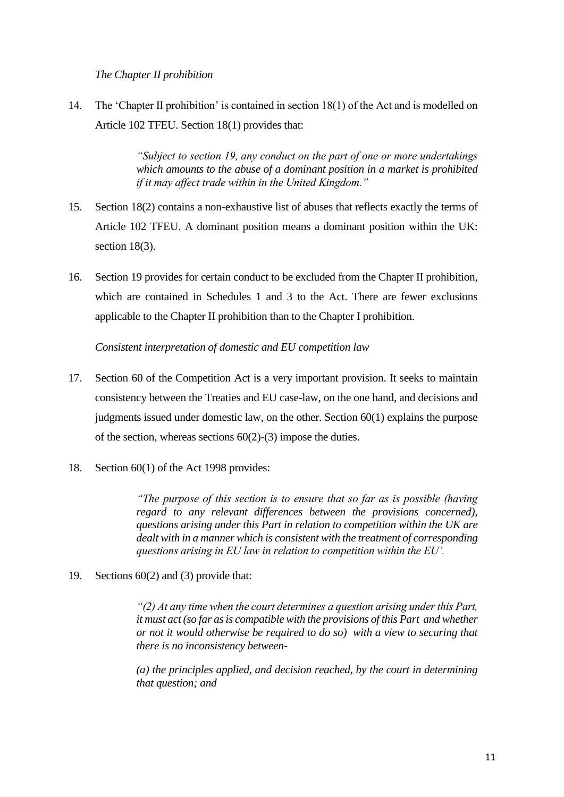## *The Chapter II prohibition*

14. The 'Chapter II prohibition' is contained in section 18(1) of the Act and is modelled on Article 102 TFEU. Section 18(1) provides that:

> *"Subject to section 19, any conduct on the part of one or more undertakings which amounts to the abuse of a dominant position in a market is prohibited if it may affect trade within in the United Kingdom."*

- 15. Section 18(2) contains a non-exhaustive list of abuses that reflects exactly the terms of Article 102 TFEU. A dominant position means a dominant position within the UK: section 18(3).
- 16. Section 19 provides for certain conduct to be excluded from the Chapter II prohibition, which are contained in Schedules 1 and 3 to the Act. There are fewer exclusions applicable to the Chapter II prohibition than to the Chapter I prohibition.

*Consistent interpretation of domestic and EU competition law*

- 17. Section 60 of the Competition Act is a very important provision. It seeks to maintain consistency between the Treaties and EU case-law, on the one hand, and decisions and judgments issued under domestic law, on the other. Section 60(1) explains the purpose of the section, whereas sections  $60(2)-(3)$  impose the duties.
- 18. Section 60(1) of the Act 1998 provides:

*"The purpose of this section is to ensure that so far as is possible (having regard to any relevant differences between the provisions concerned), questions arising under this Part in relation to competition within the UK are dealt with in a manner which is consistent with the treatment of corresponding questions arising in EU law in relation to competition within the EU'.* 

19. Sections 60(2) and (3) provide that:

*"(2) At any time when the court determines a question arising under this Part, it must act (so far as is compatible with the provisions of this Part and whether or not it would otherwise be required to do so) with a view to securing that there is no inconsistency between-*

*(a) the principles applied, and decision reached, by the court in determining that question; and*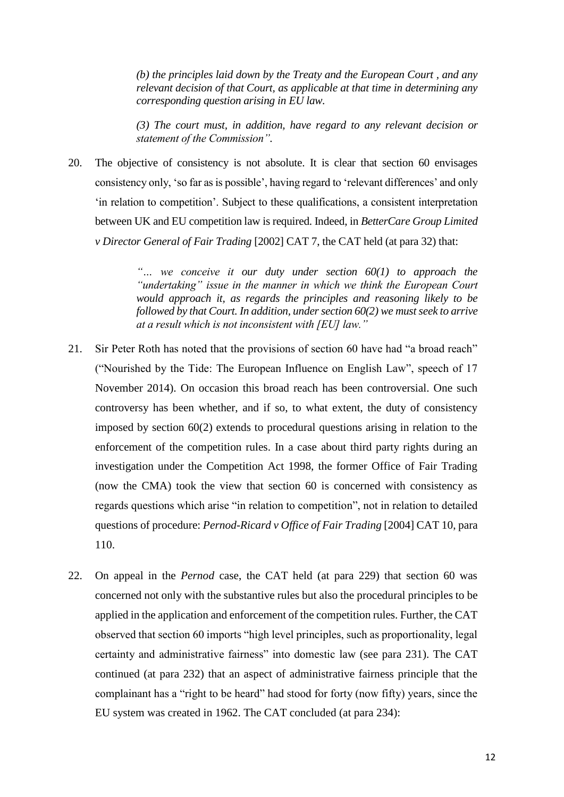*(b) the principles laid down by the Treaty and the European Court , and any relevant decision of that Court, as applicable at that time in determining any corresponding question arising in EU law.*

*(3) The court must, in addition, have regard to any relevant decision or statement of the Commission".*

20. The objective of consistency is not absolute. It is clear that section 60 envisages consistency only, 'so far as is possible', having regard to 'relevant differences' and only 'in relation to competition'. Subject to these qualifications, a consistent interpretation between UK and EU competition law is required. Indeed, in *BetterCare Group Limited v Director General of Fair Trading* [2002] CAT 7, the CAT held (at para 32) that:

> *"… we conceive it our duty under section 60(1) to approach the "undertaking" issue in the manner in which we think the European Court would approach it, as regards the principles and reasoning likely to be followed by that Court. In addition, under section 60(2) we must seek to arrive at a result which is not inconsistent with [EU] law."*

- 21. Sir Peter Roth has noted that the provisions of section 60 have had "a broad reach" ("Nourished by the Tide: The European Influence on English Law", speech of 17 November 2014). On occasion this broad reach has been controversial. One such controversy has been whether, and if so, to what extent, the duty of consistency imposed by section 60(2) extends to procedural questions arising in relation to the enforcement of the competition rules. In a case about third party rights during an investigation under the Competition Act 1998, the former Office of Fair Trading (now the CMA) took the view that section 60 is concerned with consistency as regards questions which arise "in relation to competition", not in relation to detailed questions of procedure: *Pernod-Ricard v Office of Fair Trading* [2004] CAT 10, para 110.
- 22. On appeal in the *Pernod* case, the CAT held (at para 229) that section 60 was concerned not only with the substantive rules but also the procedural principles to be applied in the application and enforcement of the competition rules. Further, the CAT observed that section 60 imports "high level principles, such as proportionality, legal certainty and administrative fairness" into domestic law (see para 231). The CAT continued (at para 232) that an aspect of administrative fairness principle that the complainant has a "right to be heard" had stood for forty (now fifty) years, since the EU system was created in 1962. The CAT concluded (at para 234):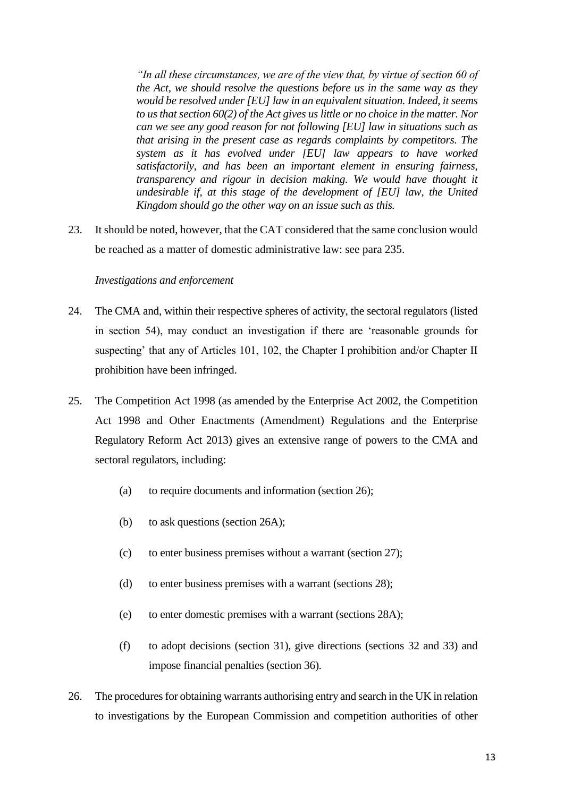*"In all these circumstances, we are of the view that, by virtue of section 60 of the Act, we should resolve the questions before us in the same way as they would be resolved under [EU] law in an equivalent situation. Indeed, it seems to us that section 60(2) of the Act gives us little or no choice in the matter. Nor can we see any good reason for not following [EU] law in situations such as that arising in the present case as regards complaints by competitors. The system as it has evolved under [EU] law appears to have worked satisfactorily, and has been an important element in ensuring fairness, transparency and rigour in decision making. We would have thought it undesirable if, at this stage of the development of [EU] law, the United Kingdom should go the other way on an issue such as this.*

23. It should be noted, however, that the CAT considered that the same conclusion would be reached as a matter of domestic administrative law: see para 235.

# *Investigations and enforcement*

- 24. The CMA and, within their respective spheres of activity, the sectoral regulators (listed in section 54), may conduct an investigation if there are 'reasonable grounds for suspecting' that any of Articles 101, 102, the Chapter I prohibition and/or Chapter II prohibition have been infringed.
- 25. The Competition Act 1998 (as amended by the Enterprise Act 2002, the Competition Act 1998 and Other Enactments (Amendment) Regulations and the Enterprise Regulatory Reform Act 2013) gives an extensive range of powers to the CMA and sectoral regulators, including:
	- (a) to require documents and information (section 26);
	- (b) to ask questions (section 26A);
	- (c) to enter business premises without a warrant (section 27);
	- (d) to enter business premises with a warrant (sections 28);
	- (e) to enter domestic premises with a warrant (sections 28A);
	- (f) to adopt decisions (section 31), give directions (sections 32 and 33) and impose financial penalties (section 36).
- 26. The procedures for obtaining warrants authorising entry and search in the UK in relation to investigations by the European Commission and competition authorities of other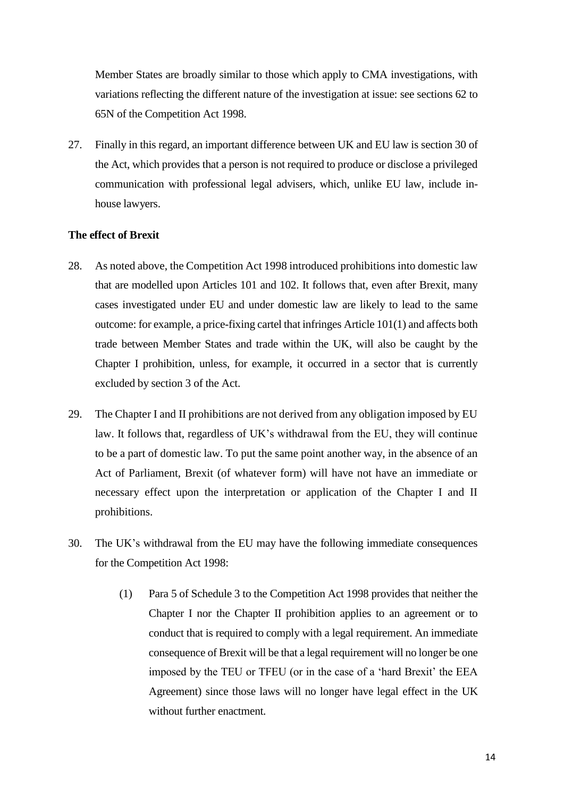Member States are broadly similar to those which apply to CMA investigations, with variations reflecting the different nature of the investigation at issue: see sections 62 to 65N of the Competition Act 1998.

27. Finally in this regard, an important difference between UK and EU law is section 30 of the Act, which provides that a person is not required to produce or disclose a privileged communication with professional legal advisers, which, unlike EU law, include inhouse lawyers.

# **The effect of Brexit**

- 28. As noted above, the Competition Act 1998 introduced prohibitions into domestic law that are modelled upon Articles 101 and 102. It follows that, even after Brexit, many cases investigated under EU and under domestic law are likely to lead to the same outcome: for example, a price-fixing cartel that infringes Article 101(1) and affects both trade between Member States and trade within the UK, will also be caught by the Chapter I prohibition, unless, for example, it occurred in a sector that is currently excluded by section 3 of the Act.
- 29. The Chapter I and II prohibitions are not derived from any obligation imposed by EU law. It follows that, regardless of UK's withdrawal from the EU, they will continue to be a part of domestic law. To put the same point another way, in the absence of an Act of Parliament, Brexit (of whatever form) will have not have an immediate or necessary effect upon the interpretation or application of the Chapter I and II prohibitions.
- 30. The UK's withdrawal from the EU may have the following immediate consequences for the Competition Act 1998:
	- (1) Para 5 of Schedule 3 to the Competition Act 1998 provides that neither the Chapter I nor the Chapter II prohibition applies to an agreement or to conduct that is required to comply with a legal requirement. An immediate consequence of Brexit will be that a legal requirement will no longer be one imposed by the TEU or TFEU (or in the case of a 'hard Brexit' the EEA Agreement) since those laws will no longer have legal effect in the UK without further enactment.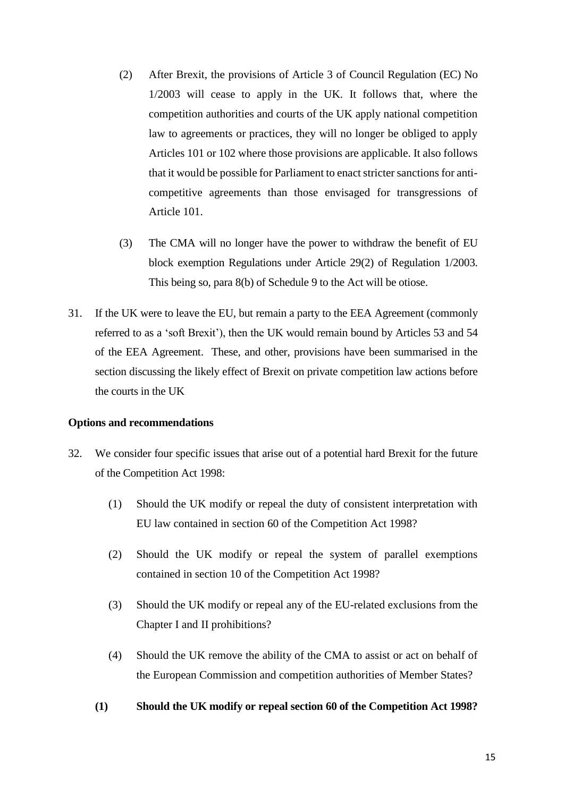- (2) After Brexit, the provisions of Article 3 of Council Regulation (EC) No 1/2003 will cease to apply in the UK. It follows that, where the competition authorities and courts of the UK apply national competition law to agreements or practices, they will no longer be obliged to apply Articles 101 or 102 where those provisions are applicable. It also follows that it would be possible for Parliament to enact stricter sanctions for anticompetitive agreements than those envisaged for transgressions of Article 101.
- (3) The CMA will no longer have the power to withdraw the benefit of EU block exemption Regulations under Article 29(2) of Regulation 1/2003. This being so, para 8(b) of Schedule 9 to the Act will be otiose.
- 31. If the UK were to leave the EU, but remain a party to the EEA Agreement (commonly referred to as a 'soft Brexit'), then the UK would remain bound by Articles 53 and 54 of the EEA Agreement. These, and other, provisions have been summarised in the section discussing the likely effect of Brexit on private competition law actions before the courts in the UK

#### **Options and recommendations**

- 32. We consider four specific issues that arise out of a potential hard Brexit for the future of the Competition Act 1998:
	- (1) Should the UK modify or repeal the duty of consistent interpretation with EU law contained in section 60 of the Competition Act 1998?
	- (2) Should the UK modify or repeal the system of parallel exemptions contained in section 10 of the Competition Act 1998?
	- (3) Should the UK modify or repeal any of the EU-related exclusions from the Chapter I and II prohibitions?
	- (4) Should the UK remove the ability of the CMA to assist or act on behalf of the European Commission and competition authorities of Member States?
	- **(1) Should the UK modify or repeal section 60 of the Competition Act 1998?**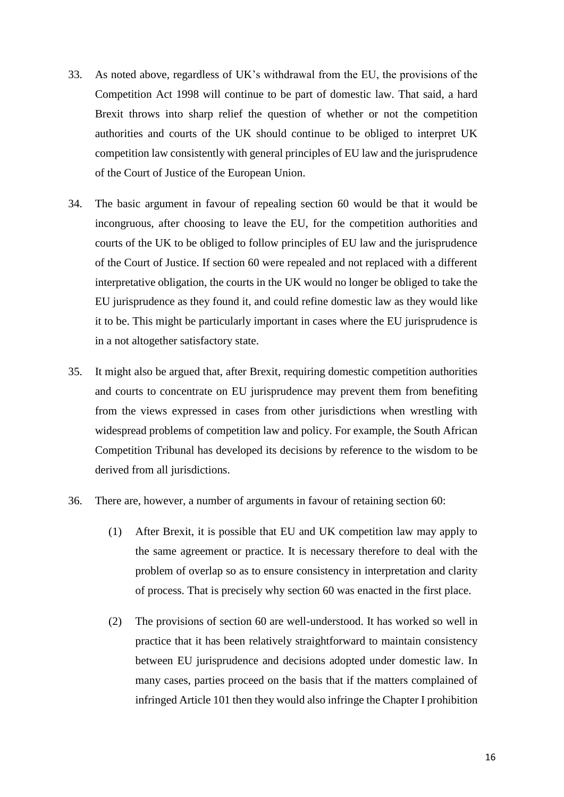- 33. As noted above, regardless of UK's withdrawal from the EU, the provisions of the Competition Act 1998 will continue to be part of domestic law. That said, a hard Brexit throws into sharp relief the question of whether or not the competition authorities and courts of the UK should continue to be obliged to interpret UK competition law consistently with general principles of EU law and the jurisprudence of the Court of Justice of the European Union.
- 34. The basic argument in favour of repealing section 60 would be that it would be incongruous, after choosing to leave the EU, for the competition authorities and courts of the UK to be obliged to follow principles of EU law and the jurisprudence of the Court of Justice. If section 60 were repealed and not replaced with a different interpretative obligation, the courts in the UK would no longer be obliged to take the EU jurisprudence as they found it, and could refine domestic law as they would like it to be. This might be particularly important in cases where the EU jurisprudence is in a not altogether satisfactory state.
- 35. It might also be argued that, after Brexit, requiring domestic competition authorities and courts to concentrate on EU jurisprudence may prevent them from benefiting from the views expressed in cases from other jurisdictions when wrestling with widespread problems of competition law and policy. For example, the South African Competition Tribunal has developed its decisions by reference to the wisdom to be derived from all jurisdictions.
- 36. There are, however, a number of arguments in favour of retaining section 60:
	- (1) After Brexit, it is possible that EU and UK competition law may apply to the same agreement or practice. It is necessary therefore to deal with the problem of overlap so as to ensure consistency in interpretation and clarity of process. That is precisely why section 60 was enacted in the first place.
	- (2) The provisions of section 60 are well-understood. It has worked so well in practice that it has been relatively straightforward to maintain consistency between EU jurisprudence and decisions adopted under domestic law. In many cases, parties proceed on the basis that if the matters complained of infringed Article 101 then they would also infringe the Chapter I prohibition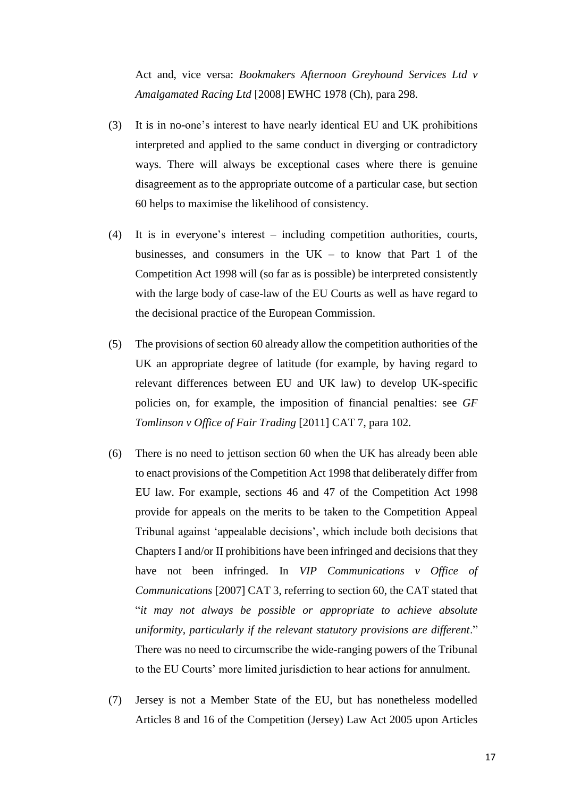Act and, vice versa: *Bookmakers Afternoon Greyhound Services Ltd v Amalgamated Racing Ltd* [2008] EWHC 1978 (Ch), para 298.

- (3) It is in no-one's interest to have nearly identical EU and UK prohibitions interpreted and applied to the same conduct in diverging or contradictory ways. There will always be exceptional cases where there is genuine disagreement as to the appropriate outcome of a particular case, but section 60 helps to maximise the likelihood of consistency.
- (4) It is in everyone's interest including competition authorities, courts, businesses, and consumers in the  $UK - to know that Part 1 of the$ Competition Act 1998 will (so far as is possible) be interpreted consistently with the large body of case-law of the EU Courts as well as have regard to the decisional practice of the European Commission.
- (5) The provisions of section 60 already allow the competition authorities of the UK an appropriate degree of latitude (for example, by having regard to relevant differences between EU and UK law) to develop UK-specific policies on, for example, the imposition of financial penalties: see *GF Tomlinson v Office of Fair Trading* [2011] CAT 7, para 102.
- (6) There is no need to jettison section 60 when the UK has already been able to enact provisions of the Competition Act 1998 that deliberately differ from EU law. For example, sections 46 and 47 of the Competition Act 1998 provide for appeals on the merits to be taken to the Competition Appeal Tribunal against 'appealable decisions', which include both decisions that Chapters I and/or II prohibitions have been infringed and decisions that they have not been infringed. In *VIP Communications v Office of Communications* [2007] CAT 3, referring to section 60, the CAT stated that "*it may not always be possible or appropriate to achieve absolute uniformity, particularly if the relevant statutory provisions are different*." There was no need to circumscribe the wide-ranging powers of the Tribunal to the EU Courts' more limited jurisdiction to hear actions for annulment.
- (7) Jersey is not a Member State of the EU, but has nonetheless modelled Articles 8 and 16 of the Competition (Jersey) Law Act 2005 upon Articles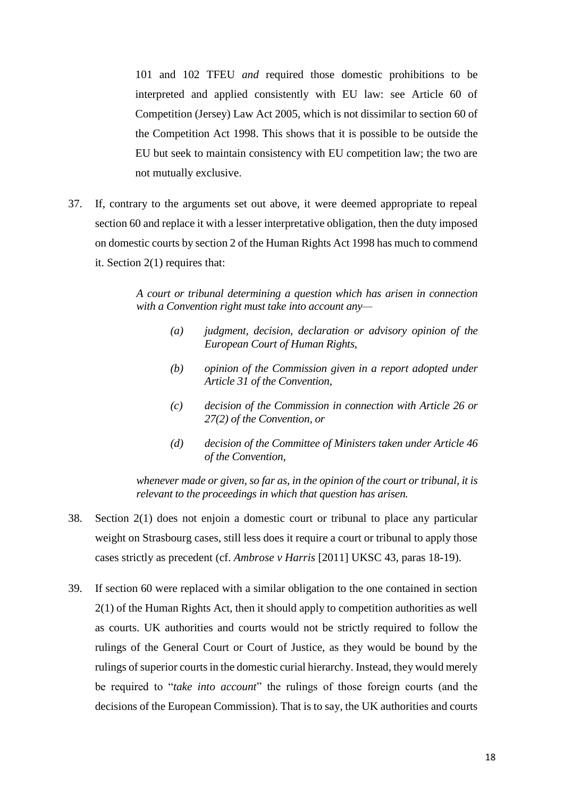101 and 102 TFEU *and* required those domestic prohibitions to be interpreted and applied consistently with EU law: see Article 60 of Competition (Jersey) Law Act 2005, which is not dissimilar to section 60 of the Competition Act 1998. This shows that it is possible to be outside the EU but seek to maintain consistency with EU competition law; the two are not mutually exclusive.

37. If, contrary to the arguments set out above, it were deemed appropriate to repeal section 60 and replace it with a lesser interpretative obligation, then the duty imposed on domestic courts by section 2 of the Human Rights Act 1998 has much to commend it. Section 2(1) requires that:

> *A court or tribunal determining a question which has arisen in connection with a Convention right must take into account any—*

- *(a) judgment, decision, declaration or advisory opinion of the European Court of Human Rights,*
- *(b) opinion of the Commission given in a report adopted under Article 31 of the Convention,*
- *(c) decision of the Commission in connection with Article 26 or 27(2) of the Convention, or*
- *(d) decision of the Committee of Ministers taken under Article 46 of the Convention,*

*whenever made or given, so far as, in the opinion of the court or tribunal, it is relevant to the proceedings in which that question has arisen.*

- 38. Section 2(1) does not enjoin a domestic court or tribunal to place any particular weight on Strasbourg cases, still less does it require a court or tribunal to apply those cases strictly as precedent (cf. *Ambrose v Harris* [2011] UKSC 43, paras 18-19).
- 39. If section 60 were replaced with a similar obligation to the one contained in section 2(1) of the Human Rights Act, then it should apply to competition authorities as well as courts. UK authorities and courts would not be strictly required to follow the rulings of the General Court or Court of Justice, as they would be bound by the rulings of superior courts in the domestic curial hierarchy. Instead, they would merely be required to "*take into account*" the rulings of those foreign courts (and the decisions of the European Commission). That is to say, the UK authorities and courts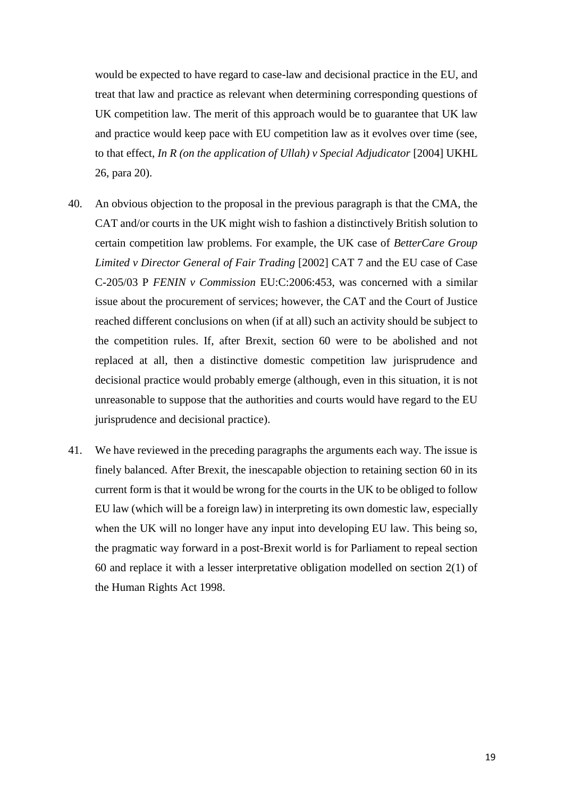would be expected to have regard to case-law and decisional practice in the EU, and treat that law and practice as relevant when determining corresponding questions of UK competition law. The merit of this approach would be to guarantee that UK law and practice would keep pace with EU competition law as it evolves over time (see, to that effect, *In R (on the application of Ullah)* v Special Adjudicator [2004] UKHL 26, para 20).

- 40. An obvious objection to the proposal in the previous paragraph is that the CMA, the CAT and/or courts in the UK might wish to fashion a distinctively British solution to certain competition law problems. For example, the UK case of *BetterCare Group Limited v Director General of Fair Trading* [2002] CAT 7 and the EU case of Case C-205/03 P *FENIN v Commission* EU:C:2006:453, was concerned with a similar issue about the procurement of services; however, the CAT and the Court of Justice reached different conclusions on when (if at all) such an activity should be subject to the competition rules. If, after Brexit, section 60 were to be abolished and not replaced at all, then a distinctive domestic competition law jurisprudence and decisional practice would probably emerge (although, even in this situation, it is not unreasonable to suppose that the authorities and courts would have regard to the EU jurisprudence and decisional practice).
- 41. We have reviewed in the preceding paragraphs the arguments each way. The issue is finely balanced. After Brexit, the inescapable objection to retaining section 60 in its current form is that it would be wrong for the courts in the UK to be obliged to follow EU law (which will be a foreign law) in interpreting its own domestic law, especially when the UK will no longer have any input into developing EU law. This being so, the pragmatic way forward in a post-Brexit world is for Parliament to repeal section 60 and replace it with a lesser interpretative obligation modelled on section 2(1) of the Human Rights Act 1998.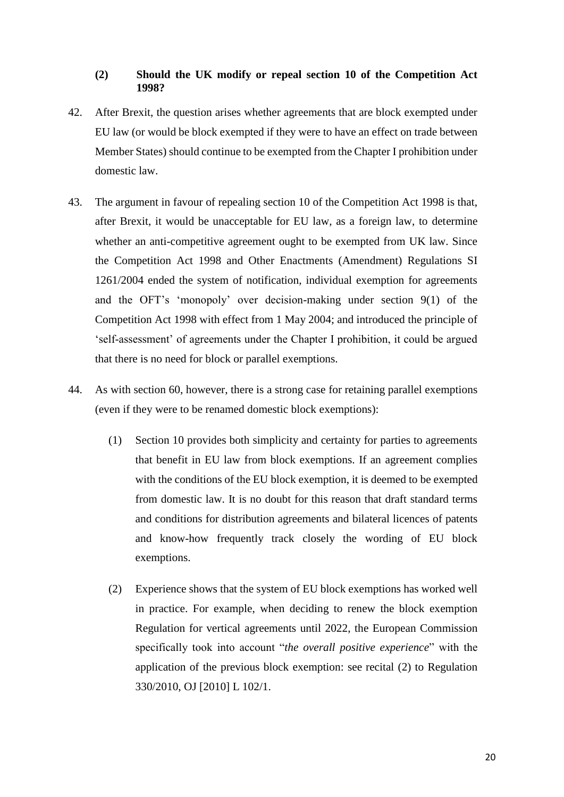### **(2) Should the UK modify or repeal section 10 of the Competition Act 1998?**

- 42. After Brexit, the question arises whether agreements that are block exempted under EU law (or would be block exempted if they were to have an effect on trade between Member States) should continue to be exempted from the Chapter I prohibition under domestic law.
- 43. The argument in favour of repealing section 10 of the Competition Act 1998 is that, after Brexit, it would be unacceptable for EU law, as a foreign law, to determine whether an anti-competitive agreement ought to be exempted from UK law. Since the Competition Act 1998 and Other Enactments (Amendment) Regulations SI 1261/2004 ended the system of notification, individual exemption for agreements and the OFT's 'monopoly' over decision-making under section 9(1) of the Competition Act 1998 with effect from 1 May 2004; and introduced the principle of 'self-assessment' of agreements under the Chapter I prohibition, it could be argued that there is no need for block or parallel exemptions.
- 44. As with section 60, however, there is a strong case for retaining parallel exemptions (even if they were to be renamed domestic block exemptions):
	- (1) Section 10 provides both simplicity and certainty for parties to agreements that benefit in EU law from block exemptions. If an agreement complies with the conditions of the EU block exemption, it is deemed to be exempted from domestic law. It is no doubt for this reason that draft standard terms and conditions for distribution agreements and bilateral licences of patents and know-how frequently track closely the wording of EU block exemptions.
	- (2) Experience shows that the system of EU block exemptions has worked well in practice. For example, when deciding to renew the block exemption Regulation for vertical agreements until 2022, the European Commission specifically took into account "*the overall positive experience*" with the application of the previous block exemption: see recital (2) to Regulation 330/2010, OJ [2010] L 102/1.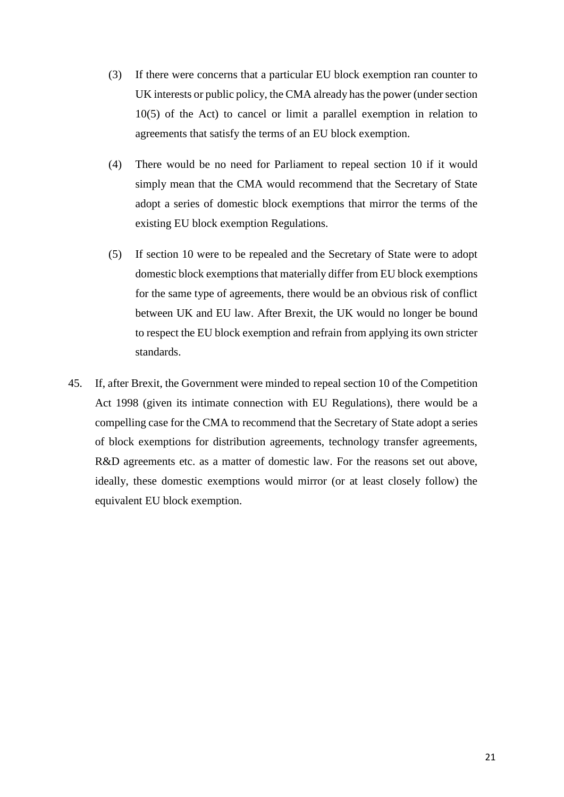- (3) If there were concerns that a particular EU block exemption ran counter to UK interests or public policy, the CMA already has the power (under section 10(5) of the Act) to cancel or limit a parallel exemption in relation to agreements that satisfy the terms of an EU block exemption.
- (4) There would be no need for Parliament to repeal section 10 if it would simply mean that the CMA would recommend that the Secretary of State adopt a series of domestic block exemptions that mirror the terms of the existing EU block exemption Regulations.
- (5) If section 10 were to be repealed and the Secretary of State were to adopt domestic block exemptions that materially differ from EU block exemptions for the same type of agreements, there would be an obvious risk of conflict between UK and EU law. After Brexit, the UK would no longer be bound to respect the EU block exemption and refrain from applying its own stricter standards.
- 45. If, after Brexit, the Government were minded to repeal section 10 of the Competition Act 1998 (given its intimate connection with EU Regulations), there would be a compelling case for the CMA to recommend that the Secretary of State adopt a series of block exemptions for distribution agreements, technology transfer agreements, R&D agreements etc. as a matter of domestic law. For the reasons set out above, ideally, these domestic exemptions would mirror (or at least closely follow) the equivalent EU block exemption.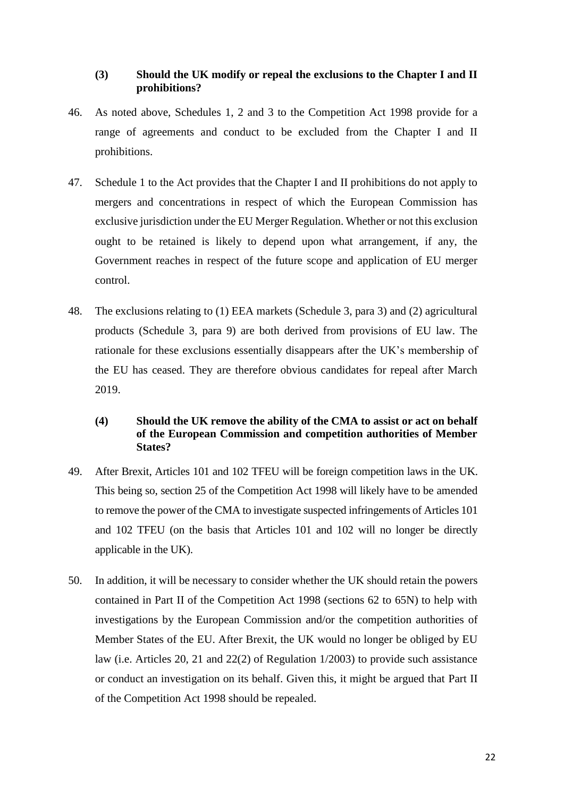## **(3) Should the UK modify or repeal the exclusions to the Chapter I and II prohibitions?**

- 46. As noted above, Schedules 1, 2 and 3 to the Competition Act 1998 provide for a range of agreements and conduct to be excluded from the Chapter I and II prohibitions.
- 47. Schedule 1 to the Act provides that the Chapter I and II prohibitions do not apply to mergers and concentrations in respect of which the European Commission has exclusive jurisdiction under the EU Merger Regulation. Whether or not this exclusion ought to be retained is likely to depend upon what arrangement, if any, the Government reaches in respect of the future scope and application of EU merger control.
- 48. The exclusions relating to (1) EEA markets (Schedule 3, para 3) and (2) agricultural products (Schedule 3, para 9) are both derived from provisions of EU law. The rationale for these exclusions essentially disappears after the UK's membership of the EU has ceased. They are therefore obvious candidates for repeal after March 2019.

# **(4) Should the UK remove the ability of the CMA to assist or act on behalf of the European Commission and competition authorities of Member States?**

- 49. After Brexit, Articles 101 and 102 TFEU will be foreign competition laws in the UK. This being so, section 25 of the Competition Act 1998 will likely have to be amended to remove the power of the CMA to investigate suspected infringements of Articles 101 and 102 TFEU (on the basis that Articles 101 and 102 will no longer be directly applicable in the UK).
- 50. In addition, it will be necessary to consider whether the UK should retain the powers contained in Part II of the Competition Act 1998 (sections 62 to 65N) to help with investigations by the European Commission and/or the competition authorities of Member States of the EU. After Brexit, the UK would no longer be obliged by EU law (i.e. Articles 20, 21 and 22(2) of Regulation 1/2003) to provide such assistance or conduct an investigation on its behalf. Given this, it might be argued that Part II of the Competition Act 1998 should be repealed.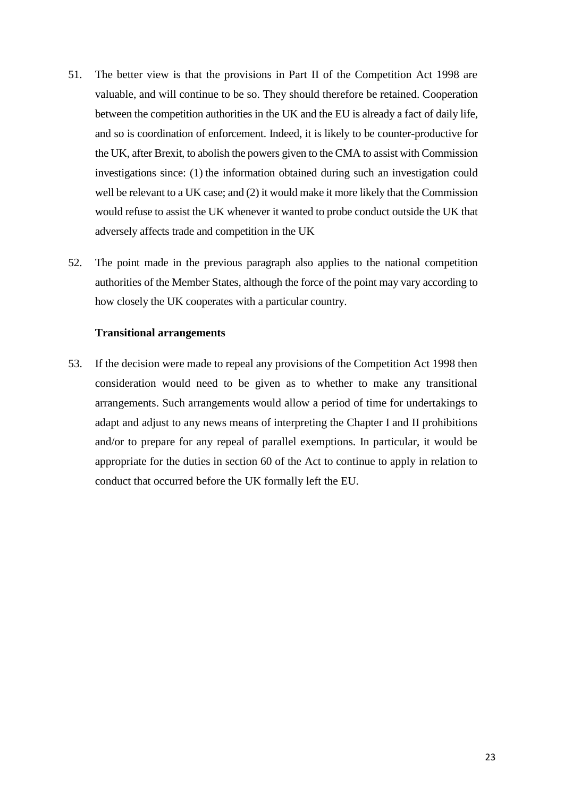- 51. The better view is that the provisions in Part II of the Competition Act 1998 are valuable, and will continue to be so. They should therefore be retained. Cooperation between the competition authorities in the UK and the EU is already a fact of daily life, and so is coordination of enforcement. Indeed, it is likely to be counter-productive for the UK, after Brexit, to abolish the powers given to the CMA to assist with Commission investigations since: (1) the information obtained during such an investigation could well be relevant to a UK case; and (2) it would make it more likely that the Commission would refuse to assist the UK whenever it wanted to probe conduct outside the UK that adversely affects trade and competition in the UK
- 52. The point made in the previous paragraph also applies to the national competition authorities of the Member States, although the force of the point may vary according to how closely the UK cooperates with a particular country.

#### **Transitional arrangements**

53. If the decision were made to repeal any provisions of the Competition Act 1998 then consideration would need to be given as to whether to make any transitional arrangements. Such arrangements would allow a period of time for undertakings to adapt and adjust to any news means of interpreting the Chapter I and II prohibitions and/or to prepare for any repeal of parallel exemptions. In particular, it would be appropriate for the duties in section 60 of the Act to continue to apply in relation to conduct that occurred before the UK formally left the EU.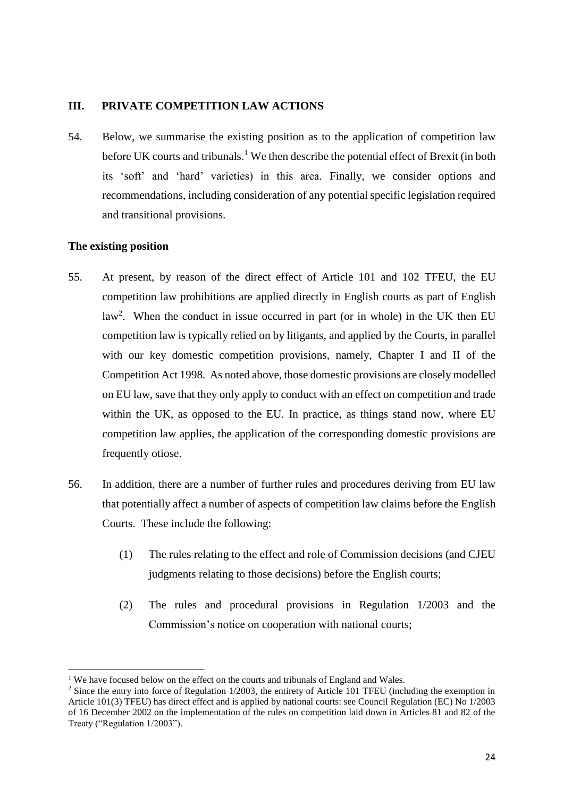# **III. PRIVATE COMPETITION LAW ACTIONS**

54. Below, we summarise the existing position as to the application of competition law before UK courts and tribunals.<sup>1</sup> We then describe the potential effect of Brexit (in both its 'soft' and 'hard' varieties) in this area. Finally, we consider options and recommendations, including consideration of any potential specific legislation required and transitional provisions.

# **The existing position**

- 55. At present, by reason of the direct effect of Article 101 and 102 TFEU, the EU competition law prohibitions are applied directly in English courts as part of English law<sup>2</sup>. When the conduct in issue occurred in part (or in whole) in the UK then EU competition law is typically relied on by litigants, and applied by the Courts, in parallel with our key domestic competition provisions, namely, Chapter I and II of the Competition Act 1998. As noted above, those domestic provisions are closely modelled on EU law, save that they only apply to conduct with an effect on competition and trade within the UK, as opposed to the EU. In practice, as things stand now, where EU competition law applies, the application of the corresponding domestic provisions are frequently otiose.
- 56. In addition, there are a number of further rules and procedures deriving from EU law that potentially affect a number of aspects of competition law claims before the English Courts. These include the following:
	- (1) The rules relating to the effect and role of Commission decisions (and CJEU judgments relating to those decisions) before the English courts;
	- (2) The rules and procedural provisions in Regulation 1/2003 and the Commission's notice on cooperation with national courts;

<sup>&</sup>lt;sup>1</sup> We have focused below on the effect on the courts and tribunals of England and Wales.

<sup>&</sup>lt;sup>2</sup> Since the entry into force of Regulation 1/2003, the entirety of Article 101 TFEU (including the exemption in Article 101(3) TFEU) has direct effect and is applied by national courts: see Council Regulation (EC) No 1/2003 of 16 December 2002 on the implementation of the rules on competition laid down in Articles 81 and 82 of the Treaty ("Regulation 1/2003").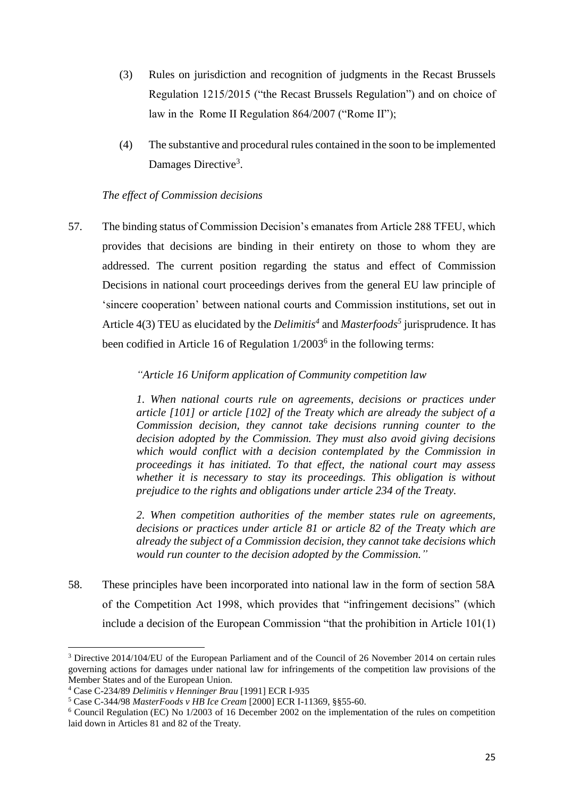- (3) Rules on jurisdiction and recognition of judgments in the Recast Brussels Regulation 1215/2015 ("the Recast Brussels Regulation") and on choice of law in the Rome II Regulation 864/2007 ("Rome II");
- (4) The substantive and procedural rules contained in the soon to be implemented Damages Directive<sup>3</sup>.

### *The effect of Commission decisions*

57. The binding status of Commission Decision's emanates from Article 288 TFEU, which provides that decisions are binding in their entirety on those to whom they are addressed. The current position regarding the status and effect of Commission Decisions in national court proceedings derives from the general EU law principle of 'sincere cooperation' between national courts and Commission institutions, set out in Article 4(3) TEU as elucidated by the *Delimitis<sup>4</sup>* and *Masterfoods<sup>5</sup>* jurisprudence. It has been codified in Article 16 of Regulation 1/2003<sup>6</sup> in the following terms:

# *"Article 16 Uniform application of Community competition law*

*1. When national courts rule on agreements, decisions or practices under article [101] or article [102] of the Treaty which are already the subject of a Commission decision, they cannot take decisions running counter to the decision adopted by the Commission. They must also avoid giving decisions which would conflict with a decision contemplated by the Commission in proceedings it has initiated. To that effect, the national court may assess whether it is necessary to stay its proceedings. This obligation is without prejudice to the rights and obligations under article 234 of the Treaty.*

*2. When competition authorities of the member states rule on agreements, decisions or practices under article 81 or article 82 of the Treaty which are already the subject of a Commission decision, they cannot take decisions which would run counter to the decision adopted by the Commission."*

58. These principles have been incorporated into national law in the form of section 58A of the Competition Act 1998, which provides that "infringement decisions" (which include a decision of the European Commission "that the prohibition in Article 101(1)

<sup>3</sup> Directive 2014/104/EU of the European Parliament and of the Council of 26 November 2014 on certain rules governing actions for damages under national law for infringements of the competition law provisions of the Member States and of the European Union.

<sup>4</sup> Case C-234/89 *Delimitis v Henninger Brau* [1991] ECR I-935

<sup>5</sup> Case C-344/98 *MasterFoods v HB Ice Cream* [2000] ECR I-11369, §§55-60.

<sup>6</sup> Council Regulation (EC) No 1/2003 of 16 December 2002 on the implementation of the rules on competition laid down in Articles 81 and 82 of the Treaty.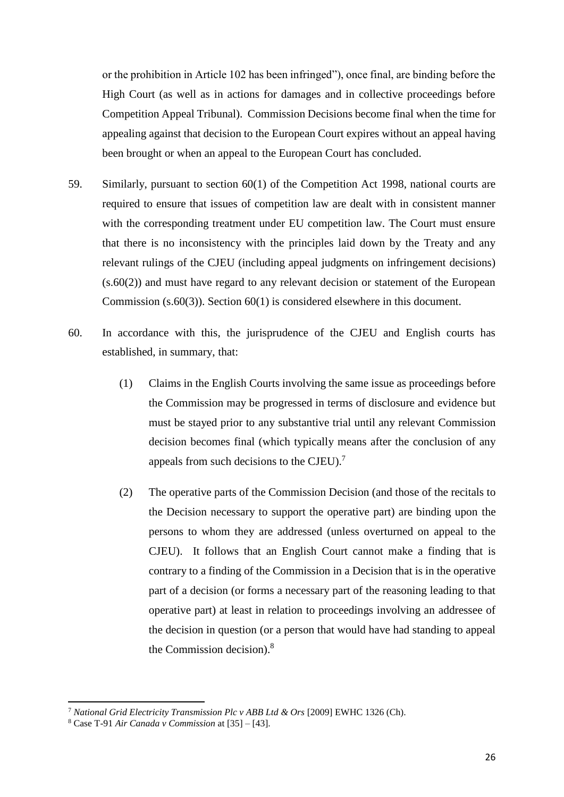or the prohibition in Article 102 has been infringed"), once final, are binding before the High Court (as well as in actions for damages and in collective proceedings before Competition Appeal Tribunal). Commission Decisions become final when the time for appealing against that decision to the European Court expires without an appeal having been brought or when an appeal to the European Court has concluded.

- 59. Similarly, pursuant to section 60(1) of the Competition Act 1998, national courts are required to ensure that issues of competition law are dealt with in consistent manner with the corresponding treatment under EU competition law. The Court must ensure that there is no inconsistency with the principles laid down by the Treaty and any relevant rulings of the CJEU (including appeal judgments on infringement decisions) (s.60(2)) and must have regard to any relevant decision or statement of the European Commission (s.60(3)). Section 60(1) is considered elsewhere in this document.
- 60. In accordance with this, the jurisprudence of the CJEU and English courts has established, in summary, that:
	- (1) Claims in the English Courts involving the same issue as proceedings before the Commission may be progressed in terms of disclosure and evidence but must be stayed prior to any substantive trial until any relevant Commission decision becomes final (which typically means after the conclusion of any appeals from such decisions to the CJEU). $^7$
	- (2) The operative parts of the Commission Decision (and those of the recitals to the Decision necessary to support the operative part) are binding upon the persons to whom they are addressed (unless overturned on appeal to the CJEU). It follows that an English Court cannot make a finding that is contrary to a finding of the Commission in a Decision that is in the operative part of a decision (or forms a necessary part of the reasoning leading to that operative part) at least in relation to proceedings involving an addressee of the decision in question (or a person that would have had standing to appeal the Commission decision). 8

<sup>7</sup> *National Grid Electricity Transmission Plc v ABB Ltd & Ors* [2009] EWHC 1326 (Ch).

<sup>8</sup> Case T-91 *Air Canada v Commission* at [35] – [43].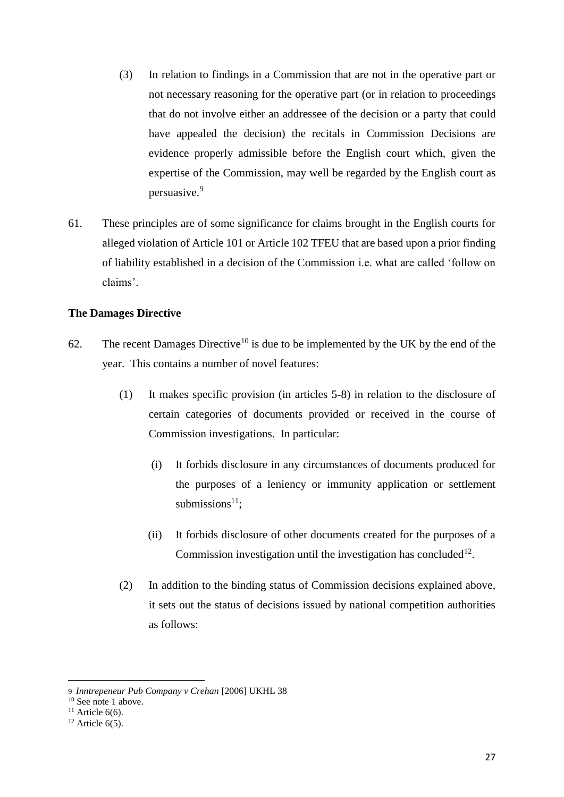- (3) In relation to findings in a Commission that are not in the operative part or not necessary reasoning for the operative part (or in relation to proceedings that do not involve either an addressee of the decision or a party that could have appealed the decision) the recitals in Commission Decisions are evidence properly admissible before the English court which, given the expertise of the Commission, may well be regarded by the English court as persuasive.<sup>9</sup>
- 61. These principles are of some significance for claims brought in the English courts for alleged violation of Article 101 or Article 102 TFEU that are based upon a prior finding of liability established in a decision of the Commission i.e. what are called 'follow on claims'.

### **The Damages Directive**

- 62. The recent Damages Directive<sup>10</sup> is due to be implemented by the UK by the end of the year. This contains a number of novel features:
	- (1) It makes specific provision (in articles 5-8) in relation to the disclosure of certain categories of documents provided or received in the course of Commission investigations. In particular:
		- (i) It forbids disclosure in any circumstances of documents produced for the purposes of a leniency or immunity application or settlement submissions $11$ :
		- (ii) It forbids disclosure of other documents created for the purposes of a Commission investigation until the investigation has concluded $12$ .
	- (2) In addition to the binding status of Commission decisions explained above, it sets out the status of decisions issued by national competition authorities as follows:

<sup>9</sup> *Inntrepeneur Pub Company v Crehan* [2006] UKHL 38

<sup>&</sup>lt;sup>10</sup> See note 1 above.

<sup>&</sup>lt;sup>11</sup> Article  $6(6)$ .

 $12$  Article 6(5).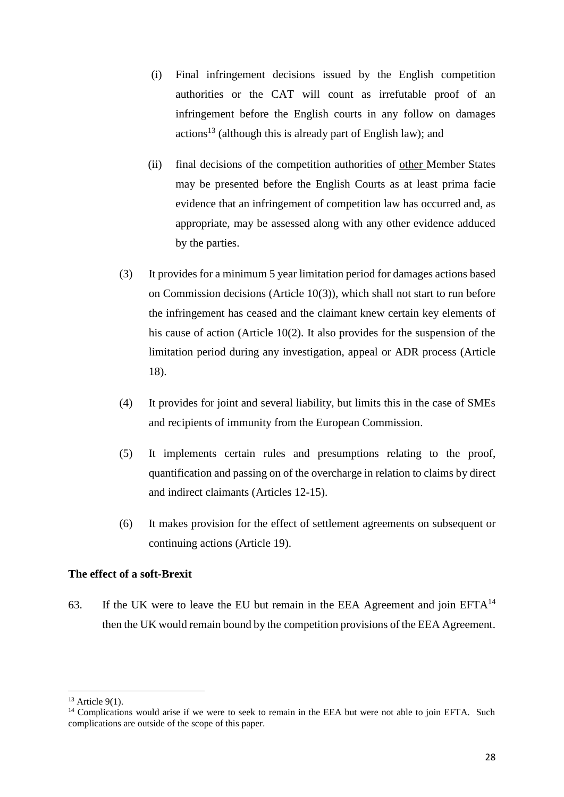- (i) Final infringement decisions issued by the English competition authorities or the CAT will count as irrefutable proof of an infringement before the English courts in any follow on damages actions<sup>13</sup> (although this is already part of English law); and
- (ii) final decisions of the competition authorities of other Member States may be presented before the English Courts as at least prima facie evidence that an infringement of competition law has occurred and, as appropriate, may be assessed along with any other evidence adduced by the parties.
- (3) It provides for a minimum 5 year limitation period for damages actions based on Commission decisions (Article 10(3)), which shall not start to run before the infringement has ceased and the claimant knew certain key elements of his cause of action (Article 10(2). It also provides for the suspension of the limitation period during any investigation, appeal or ADR process (Article 18).
- (4) It provides for joint and several liability, but limits this in the case of SMEs and recipients of immunity from the European Commission.
- (5) It implements certain rules and presumptions relating to the proof, quantification and passing on of the overcharge in relation to claims by direct and indirect claimants (Articles 12-15).
- (6) It makes provision for the effect of settlement agreements on subsequent or continuing actions (Article 19).

# **The effect of a soft-Brexit**

63. If the UK were to leave the EU but remain in the EEA Agreement and join  $EFTA^{14}$ then the UK would remain bound by the competition provisions of the EEA Agreement.

<sup>1</sup>  $13$  Article 9(1).

<sup>&</sup>lt;sup>14</sup> Complications would arise if we were to seek to remain in the EEA but were not able to join EFTA. Such complications are outside of the scope of this paper.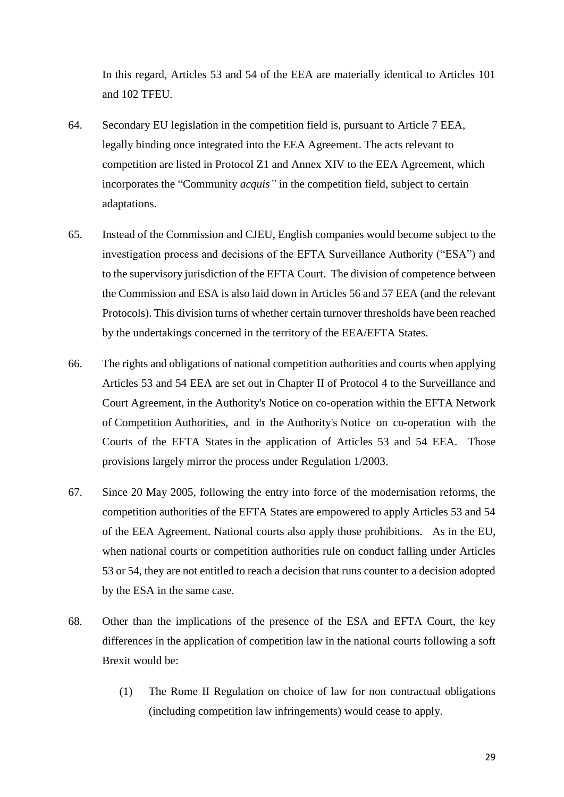In this regard, Articles 53 and 54 of the EEA are materially identical to Articles 101 and 102 TFEU.

- 64. Secondary EU legislation in the competition field is, pursuant to Article 7 EEA, legally binding once integrated into the EEA Agreement. The acts relevant to competition are listed in Protocol Z1 and [Annex XIV](http://www.efta.int/media/documents/legal-texts/eea/the-eea-agreement/Annexes%20to%20the%20Agreement/annex14.pdf) to the EEA Agreement, which incorporates the "Community *acquis"* in the competition field, subject to certain adaptations.
- 65. Instead of the Commission and CJEU, English companies would become subject to the investigation process and decisions of the EFTA Surveillance Authority ("ESA") and to the supervisory jurisdiction of the EFTA Court. The division of competence between the Commission and ESA is also laid down in Articles 56 and 57 EEA (and the relevant Protocols). This division turns of whether certain turnover thresholds have been reached by the undertakings concerned in the territory of the EEA/EFTA States.
- 66. The rights and obligations of national competition authorities and courts when applying Articles 53 and 54 EEA are set out in Chapter II of Protocol 4 to the Surveillance and Court Agreement, in the Authority's Notice on co-operation within the EFTA Network of Competition Authorities, and in the Authority's Notice on co-operation with the Courts of the EFTA States in the application of Articles 53 and 54 EEA. Those provisions largely mirror the process under Regulation 1/2003.
- 67. Since 20 May 2005, following the entry into force of the modernisation reforms, the competition authorities of the EFTA States are empowered to apply Articles 53 and 54 of the EEA Agreement. National courts also apply those prohibitions. As in the EU, when national courts or competition authorities rule on conduct falling under Articles 53 or 54, they are not entitled to reach a decision that runs counter to a decision adopted by the ESA in the same case.
- 68. Other than the implications of the presence of the ESA and EFTA Court, the key differences in the application of competition law in the national courts following a soft Brexit would be:
	- (1) The Rome II Regulation on choice of law for non contractual obligations (including competition law infringements) would cease to apply.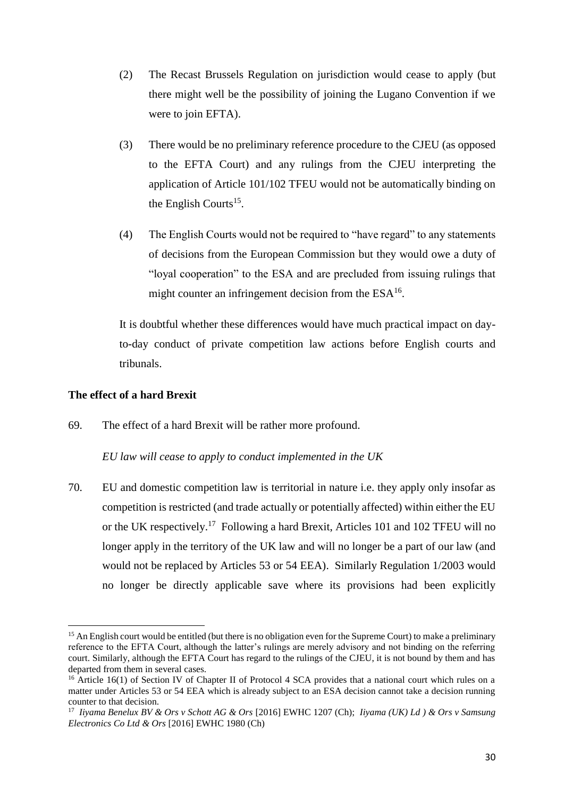- (2) The Recast Brussels Regulation on jurisdiction would cease to apply (but there might well be the possibility of joining the Lugano Convention if we were to join EFTA).
- (3) There would be no preliminary reference procedure to the CJEU (as opposed to the EFTA Court) and any rulings from the CJEU interpreting the application of Article 101/102 TFEU would not be automatically binding on the English Courts<sup>15</sup>.
- (4) The English Courts would not be required to "have regard" to any statements of decisions from the European Commission but they would owe a duty of "loyal cooperation" to the ESA and are precluded from issuing rulings that might counter an infringement decision from the  $ESA^{16}$ .

It is doubtful whether these differences would have much practical impact on dayto-day conduct of private competition law actions before English courts and tribunals.

## **The effect of a hard Brexit**

 $\overline{\phantom{a}}$ 

69. The effect of a hard Brexit will be rather more profound.

### *EU law will cease to apply to conduct implemented in the UK*

70. EU and domestic competition law is territorial in nature i.e. they apply only insofar as competition is restricted (and trade actually or potentially affected) within either the EU or the UK respectively.<sup>17</sup> Following a hard Brexit, Articles 101 and 102 TFEU will no longer apply in the territory of the UK law and will no longer be a part of our law (and would not be replaced by Articles 53 or 54 EEA). Similarly Regulation 1/2003 would no longer be directly applicable save where its provisions had been explicitly

<sup>&</sup>lt;sup>15</sup> An English court would be entitled (but there is no obligation even for the Supreme Court) to make a preliminary reference to the EFTA Court, although the latter's rulings are merely advisory and not binding on the referring court. Similarly, although the EFTA Court has regard to the rulings of the CJEU, it is not bound by them and has departed from them in several cases.

<sup>&</sup>lt;sup>16</sup> Article 16(1) of Section IV of Chapter II of Protocol 4 SCA provides that a national court which rules on a matter under Articles 53 or 54 EEA which is already subject to an ESA decision cannot take a decision running counter to that decision.

<sup>17</sup> *Iiyama Benelux BV & Ors v Schott AG & Ors* [2016] EWHC 1207 (Ch); *Iiyama (UK) Ld ) & Ors v Samsung Electronics Co Ltd & Ors* [2016] EWHC 1980 (Ch)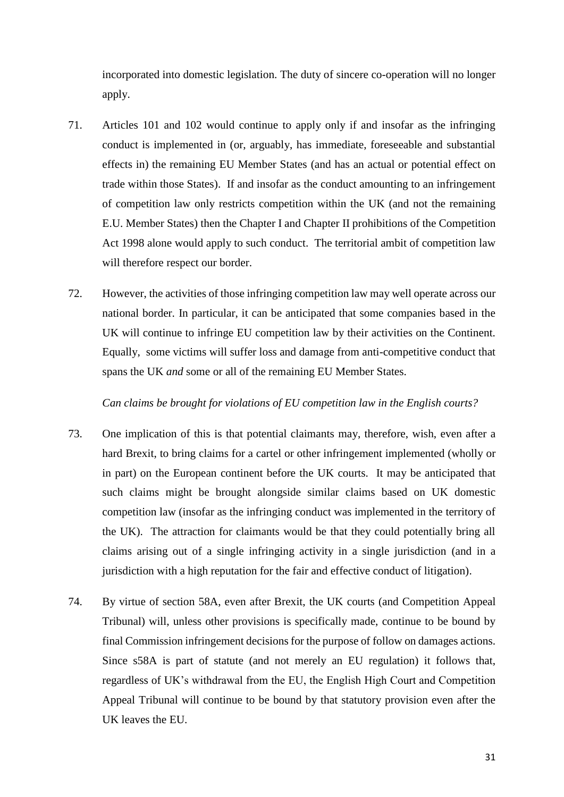incorporated into domestic legislation. The duty of sincere co-operation will no longer apply.

- 71. Articles 101 and 102 would continue to apply only if and insofar as the infringing conduct is implemented in (or, arguably, has immediate, foreseeable and substantial effects in) the remaining EU Member States (and has an actual or potential effect on trade within those States). If and insofar as the conduct amounting to an infringement of competition law only restricts competition within the UK (and not the remaining E.U. Member States) then the Chapter I and Chapter II prohibitions of the Competition Act 1998 alone would apply to such conduct. The territorial ambit of competition law will therefore respect our border.
- 72. However, the activities of those infringing competition law may well operate across our national border. In particular, it can be anticipated that some companies based in the UK will continue to infringe EU competition law by their activities on the Continent. Equally, some victims will suffer loss and damage from anti-competitive conduct that spans the UK *and* some or all of the remaining EU Member States.

### *Can claims be brought for violations of EU competition law in the English courts?*

- 73. One implication of this is that potential claimants may, therefore, wish, even after a hard Brexit, to bring claims for a cartel or other infringement implemented (wholly or in part) on the European continent before the UK courts. It may be anticipated that such claims might be brought alongside similar claims based on UK domestic competition law (insofar as the infringing conduct was implemented in the territory of the UK). The attraction for claimants would be that they could potentially bring all claims arising out of a single infringing activity in a single jurisdiction (and in a jurisdiction with a high reputation for the fair and effective conduct of litigation).
- 74. By virtue of section 58A, even after Brexit, the UK courts (and Competition Appeal Tribunal) will, unless other provisions is specifically made, continue to be bound by final Commission infringement decisions for the purpose of follow on damages actions. Since s58A is part of statute (and not merely an EU regulation) it follows that, regardless of UK's withdrawal from the EU, the English High Court and Competition Appeal Tribunal will continue to be bound by that statutory provision even after the UK leaves the EU.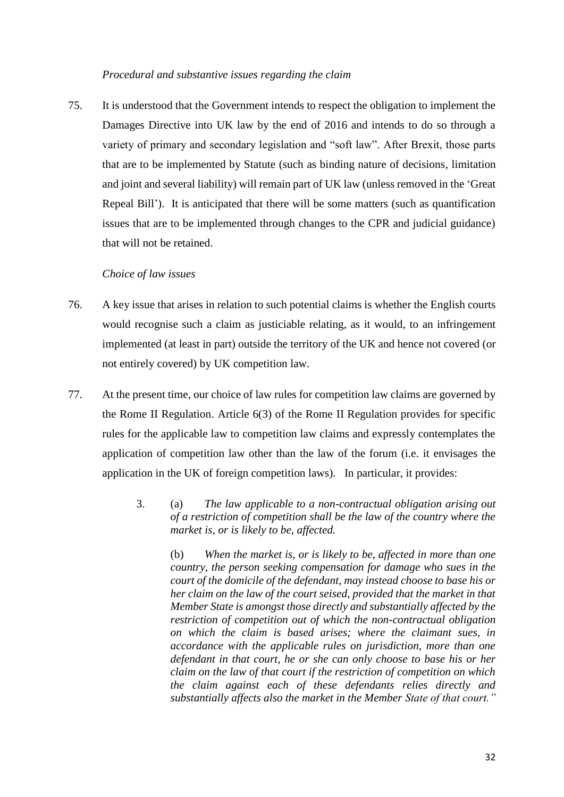#### *Procedural and substantive issues regarding the claim*

75. It is understood that the Government intends to respect the obligation to implement the Damages Directive into UK law by the end of 2016 and intends to do so through a variety of primary and secondary legislation and "soft law". After Brexit, those parts that are to be implemented by Statute (such as binding nature of decisions, limitation and joint and several liability) will remain part of UK law (unless removed in the 'Great Repeal Bill'). It is anticipated that there will be some matters (such as quantification issues that are to be implemented through changes to the CPR and judicial guidance) that will not be retained.

#### *Choice of law issues*

- 76. A key issue that arises in relation to such potential claims is whether the English courts would recognise such a claim as justiciable relating, as it would, to an infringement implemented (at least in part) outside the territory of the UK and hence not covered (or not entirely covered) by UK competition law.
- 77. At the present time, our choice of law rules for competition law claims are governed by the Rome II Regulation. Article 6(3) of the Rome II Regulation provides for specific rules for the applicable law to competition law claims and expressly contemplates the application of competition law other than the law of the forum (i.e. it envisages the application in the UK of foreign competition laws). In particular, it provides:
	- 3. (a) *The law applicable to a non-contractual obligation arising out of a restriction of competition shall be the law of the country where the market is, or is likely to be, affected.*

(b) *When the market is, or is likely to be, affected in more than one country, the person seeking compensation for damage who sues in the court of the domicile of the defendant, may instead choose to base his or her claim on the law of the court seised, provided that the market in that Member State is amongst those directly and substantially affected by the restriction of competition out of which the non-contractual obligation on which the claim is based arises; where the claimant sues, in accordance with the applicable rules on jurisdiction, more than one defendant in that court, he or she can only choose to base his or her claim on the law of that court if the restriction of competition on which the claim against each of these defendants relies directly and substantially affects also the market in the Member State of that court."*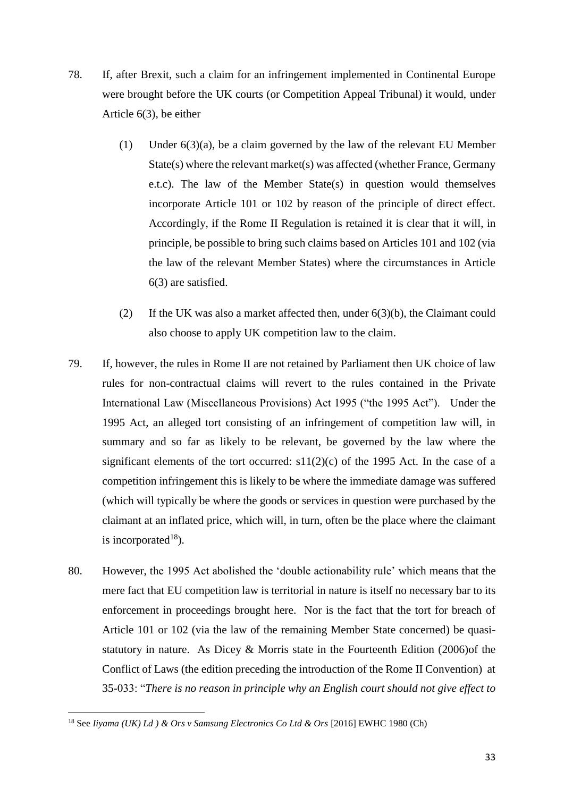- 78. If, after Brexit, such a claim for an infringement implemented in Continental Europe were brought before the UK courts (or Competition Appeal Tribunal) it would, under Article 6(3), be either
	- (1) Under 6(3)(a), be a claim governed by the law of the relevant EU Member State(s) where the relevant market(s) was affected (whether France, Germany e.t.c). The law of the Member State(s) in question would themselves incorporate Article 101 or 102 by reason of the principle of direct effect. Accordingly, if the Rome II Regulation is retained it is clear that it will, in principle, be possible to bring such claims based on Articles 101 and 102 (via the law of the relevant Member States) where the circumstances in Article 6(3) are satisfied.
	- (2) If the UK was also a market affected then, under 6(3)(b), the Claimant could also choose to apply UK competition law to the claim.
- 79. If, however, the rules in Rome II are not retained by Parliament then UK choice of law rules for non-contractual claims will revert to the rules contained in the Private International Law (Miscellaneous Provisions) Act 1995 ("the 1995 Act"). Under the 1995 Act, an alleged tort consisting of an infringement of competition law will, in summary and so far as likely to be relevant, be governed by the law where the significant elements of the tort occurred:  $s11(2)(c)$  of the 1995 Act. In the case of a competition infringement this is likely to be where the immediate damage was suffered (which will typically be where the goods or services in question were purchased by the claimant at an inflated price, which will, in turn, often be the place where the claimant is incorporated<sup>18</sup>).
- 80. However, the 1995 Act abolished the 'double actionability rule' which means that the mere fact that EU competition law is territorial in nature is itself no necessary bar to its enforcement in proceedings brought here. Nor is the fact that the tort for breach of Article 101 or 102 (via the law of the remaining Member State concerned) be quasistatutory in nature. As Dicey & Morris state in the Fourteenth Edition (2006)of the Conflict of Laws (the edition preceding the introduction of the Rome II Convention) at 35-033: "*There is no reason in principle why an English court should not give effect to*

<sup>18</sup> See *Iiyama (UK) Ld ) & Ors v Samsung Electronics Co Ltd & Ors* [2016] EWHC 1980 (Ch)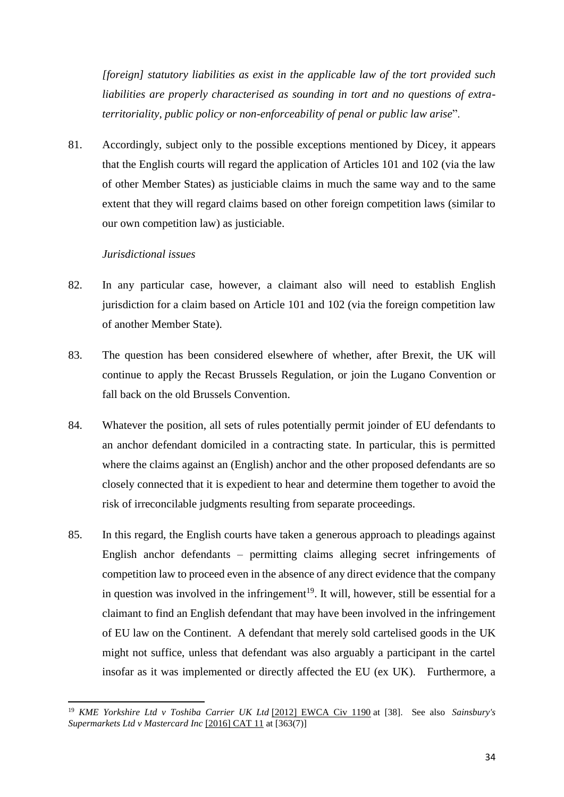*[foreign] statutory liabilities as exist in the applicable law of the tort provided such liabilities are properly characterised as sounding in tort and no questions of extraterritoriality, public policy or non-enforceability of penal or public law arise*".

81. Accordingly, subject only to the possible exceptions mentioned by Dicey, it appears that the English courts will regard the application of Articles 101 and 102 (via the law of other Member States) as justiciable claims in much the same way and to the same extent that they will regard claims based on other foreign competition laws (similar to our own competition law) as justiciable.

### *Jurisdictional issues*

- 82. In any particular case, however, a claimant also will need to establish English jurisdiction for a claim based on Article 101 and 102 (via the foreign competition law of another Member State).
- 83. The question has been considered elsewhere of whether, after Brexit, the UK will continue to apply the Recast Brussels Regulation, or join the Lugano Convention or fall back on the old Brussels Convention.
- 84. Whatever the position, all sets of rules potentially permit joinder of EU defendants to an anchor defendant domiciled in a contracting state. In particular, this is permitted where the claims against an (English) anchor and the other proposed defendants are so closely connected that it is expedient to hear and determine them together to avoid the risk of irreconcilable judgments resulting from separate proceedings.
- 85. In this regard, the English courts have taken a generous approach to pleadings against English anchor defendants – permitting claims alleging secret infringements of competition law to proceed even in the absence of any direct evidence that the company in question was involved in the infringement<sup>19</sup>. It will, however, still be essential for a claimant to find an English defendant that may have been involved in the infringement of EU law on the Continent. A defendant that merely sold cartelised goods in the UK might not suffice, unless that defendant was also arguably a participant in the cartel insofar as it was implemented or directly affected the EU (ex UK). Furthermore, a

**<sup>.</sup>** <sup>19</sup> *KME Yorkshire Ltd v Toshiba Carrier UK Ltd* [\[2012\] EWCA Civ 1190](http://www.bailii.org/ew/cases/EWCA/Civ/2012/1190.html) at [38]. See also *Sainsbury's Supermarkets Ltd v Mastercard Inc* [\[2016\] CAT 11](http://www.bailii.org/uk/cases/CAT/2016/11.html) at [363(7)]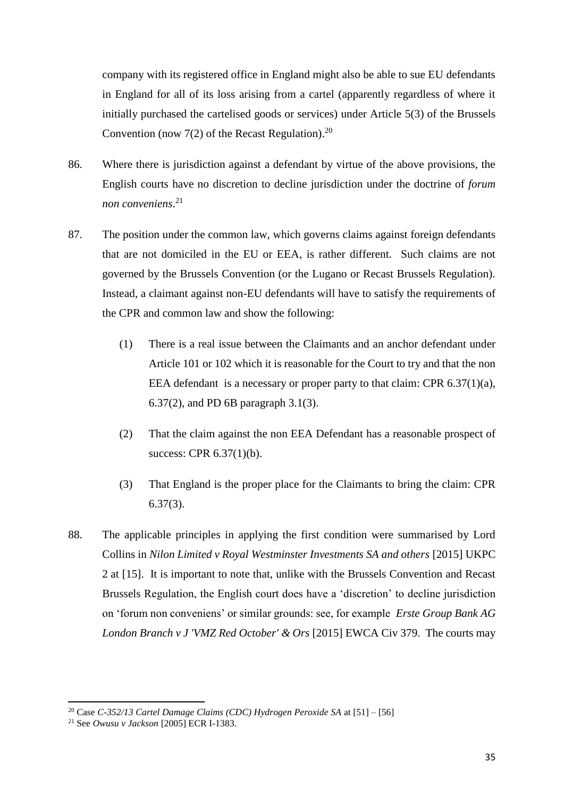company with its registered office in England might also be able to sue EU defendants in England for all of its loss arising from a cartel (apparently regardless of where it initially purchased the cartelised goods or services) under Article 5(3) of the Brussels Convention (now 7(2) of the Recast Regulation).<sup>20</sup>

- 86. Where there is jurisdiction against a defendant by virtue of the above provisions, the English courts have no discretion to decline jurisdiction under the doctrine of *forum non conveniens*. 21
- 87. The position under the common law, which governs claims against foreign defendants that are not domiciled in the EU or EEA, is rather different. Such claims are not governed by the Brussels Convention (or the Lugano or Recast Brussels Regulation). Instead, a claimant against non-EU defendants will have to satisfy the requirements of the CPR and common law and show the following:
	- (1) There is a real issue between the Claimants and an anchor defendant under Article 101 or 102 which it is reasonable for the Court to try and that the non EEA defendant is a necessary or proper party to that claim: CPR 6.37(1)(a), 6.37(2), and PD 6B paragraph 3.1(3).
	- (2) That the claim against the non EEA Defendant has a reasonable prospect of success: CPR 6.37(1)(b).
	- (3) That England is the proper place for the Claimants to bring the claim: CPR 6.37(3).
- 88. The applicable principles in applying the first condition were summarised by Lord Collins in *Nilon Limited v Royal Westminster Investments SA and others* [\[2015\] UKPC](http://www.bailii.org/uk/cases/UKPC/2015/2.html)  [2](http://www.bailii.org/uk/cases/UKPC/2015/2.html) at [15]. It is important to note that, unlike with the Brussels Convention and Recast Brussels Regulation, the English court does have a 'discretion' to decline jurisdiction on 'forum non conveniens' or similar grounds: see, for example *Erste Group Bank AG London Branch v J 'VMZ Red October' & Ors* [2015] EWCA Civ 379. The courts may

<sup>20</sup> Case *C-352/13 Cartel Damage Claims (CDC) Hydrogen Peroxide SA* at [51] – [56]

<sup>21</sup> See *Owusu v Jackson* [2005] ECR I-1383.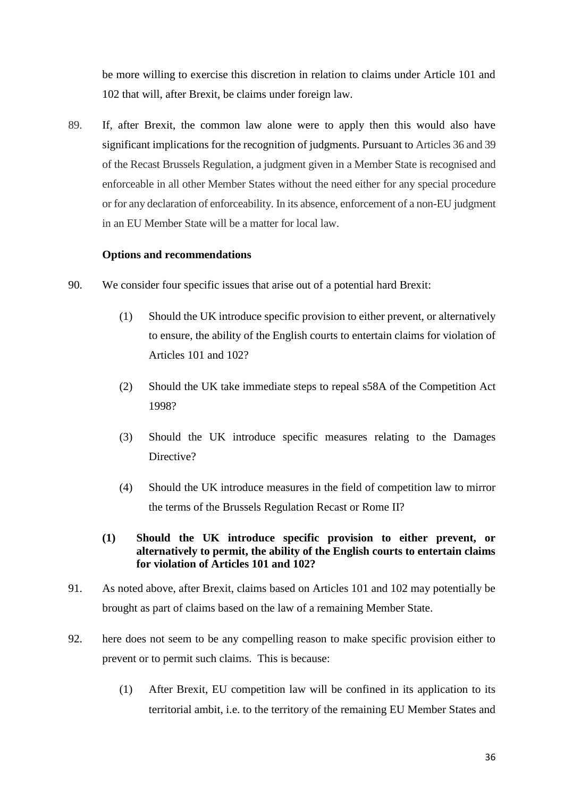be more willing to exercise this discretion in relation to claims under Article 101 and 102 that will, after Brexit, be claims under foreign law.

89. If, after Brexit, the common law alone were to apply then this would also have significant implications for the recognition of judgments. Pursuant to Articles 36 and 39 of the Recast Brussels Regulation, a judgment given in a Member State is recognised and enforceable in all other Member States without the need either for any special procedure or for any declaration of enforceability. In its absence, enforcement of a non-EU judgment in an EU Member State will be a matter for local law.

# **Options and recommendations**

- 90. We consider four specific issues that arise out of a potential hard Brexit:
	- (1) Should the UK introduce specific provision to either prevent, or alternatively to ensure, the ability of the English courts to entertain claims for violation of Articles 101 and 102?
	- (2) Should the UK take immediate steps to repeal s58A of the Competition Act 1998?
	- (3) Should the UK introduce specific measures relating to the Damages Directive?
	- (4) Should the UK introduce measures in the field of competition law to mirror the terms of the Brussels Regulation Recast or Rome II?
	- **(1) Should the UK introduce specific provision to either prevent, or alternatively to permit, the ability of the English courts to entertain claims for violation of Articles 101 and 102?**
- 91. As noted above, after Brexit, claims based on Articles 101 and 102 may potentially be brought as part of claims based on the law of a remaining Member State.
- 92. here does not seem to be any compelling reason to make specific provision either to prevent or to permit such claims. This is because:
	- (1) After Brexit, EU competition law will be confined in its application to its territorial ambit, i.e. to the territory of the remaining EU Member States and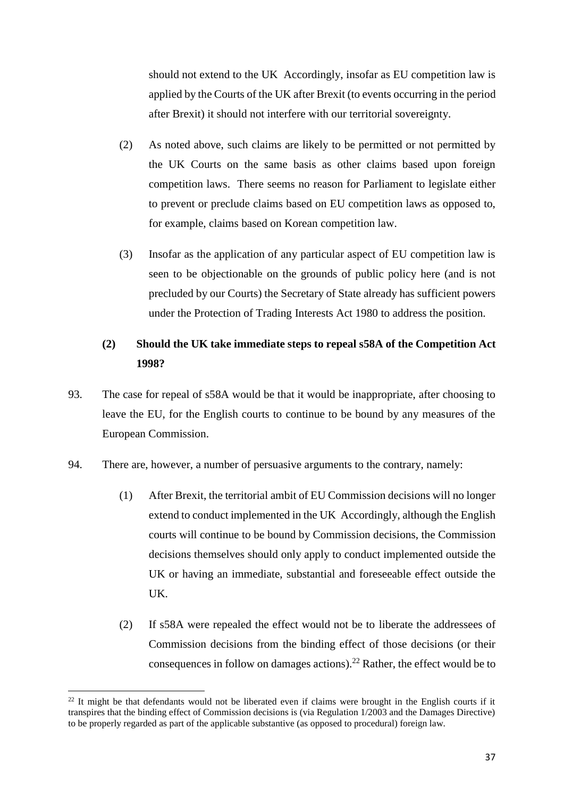should not extend to the UK Accordingly, insofar as EU competition law is applied by the Courts of the UK after Brexit (to events occurring in the period after Brexit) it should not interfere with our territorial sovereignty.

- (2) As noted above, such claims are likely to be permitted or not permitted by the UK Courts on the same basis as other claims based upon foreign competition laws. There seems no reason for Parliament to legislate either to prevent or preclude claims based on EU competition laws as opposed to, for example, claims based on Korean competition law.
- (3) Insofar as the application of any particular aspect of EU competition law is seen to be objectionable on the grounds of public policy here (and is not precluded by our Courts) the Secretary of State already has sufficient powers under the Protection of Trading Interests Act 1980 to address the position.

# **(2) Should the UK take immediate steps to repeal s58A of the Competition Act 1998?**

- 93. The case for repeal of s58A would be that it would be inappropriate, after choosing to leave the EU, for the English courts to continue to be bound by any measures of the European Commission.
- 94. There are, however, a number of persuasive arguments to the contrary, namely:
	- (1) After Brexit, the territorial ambit of EU Commission decisions will no longer extend to conduct implemented in the UK Accordingly, although the English courts will continue to be bound by Commission decisions, the Commission decisions themselves should only apply to conduct implemented outside the UK or having an immediate, substantial and foreseeable effect outside the UK.
	- (2) If s58A were repealed the effect would not be to liberate the addressees of Commission decisions from the binding effect of those decisions (or their consequences in follow on damages actions).<sup>22</sup> Rather, the effect would be to

<sup>1</sup>  $^{22}$  It might be that defendants would not be liberated even if claims were brought in the English courts if it transpires that the binding effect of Commission decisions is (via Regulation 1/2003 and the Damages Directive) to be properly regarded as part of the applicable substantive (as opposed to procedural) foreign law.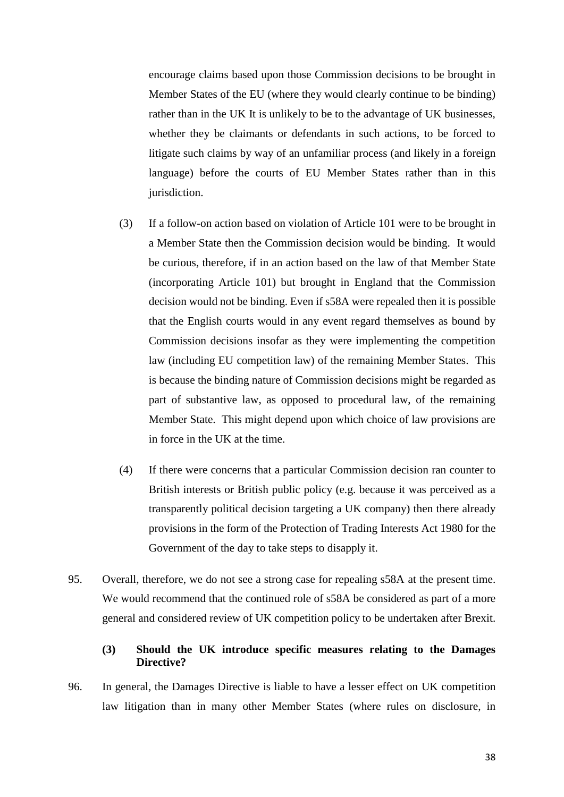encourage claims based upon those Commission decisions to be brought in Member States of the EU (where they would clearly continue to be binding) rather than in the UK It is unlikely to be to the advantage of UK businesses, whether they be claimants or defendants in such actions, to be forced to litigate such claims by way of an unfamiliar process (and likely in a foreign language) before the courts of EU Member States rather than in this jurisdiction.

- (3) If a follow-on action based on violation of Article 101 were to be brought in a Member State then the Commission decision would be binding. It would be curious, therefore, if in an action based on the law of that Member State (incorporating Article 101) but brought in England that the Commission decision would not be binding. Even if s58A were repealed then it is possible that the English courts would in any event regard themselves as bound by Commission decisions insofar as they were implementing the competition law (including EU competition law) of the remaining Member States. This is because the binding nature of Commission decisions might be regarded as part of substantive law, as opposed to procedural law, of the remaining Member State. This might depend upon which choice of law provisions are in force in the UK at the time.
- (4) If there were concerns that a particular Commission decision ran counter to British interests or British public policy (e.g. because it was perceived as a transparently political decision targeting a UK company) then there already provisions in the form of the Protection of Trading Interests Act 1980 for the Government of the day to take steps to disapply it.
- 95. Overall, therefore, we do not see a strong case for repealing s58A at the present time. We would recommend that the continued role of s58A be considered as part of a more general and considered review of UK competition policy to be undertaken after Brexit.

# **(3) Should the UK introduce specific measures relating to the Damages Directive?**

96. In general, the Damages Directive is liable to have a lesser effect on UK competition law litigation than in many other Member States (where rules on disclosure, in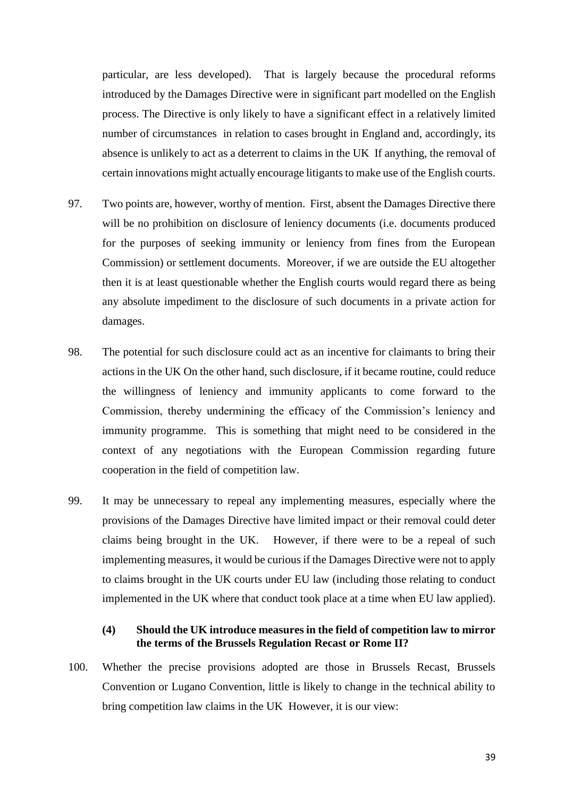particular, are less developed). That is largely because the procedural reforms introduced by the Damages Directive were in significant part modelled on the English process. The Directive is only likely to have a significant effect in a relatively limited number of circumstances in relation to cases brought in England and, accordingly, its absence is unlikely to act as a deterrent to claims in the UK If anything, the removal of certain innovations might actually encourage litigants to make use of the English courts.

- 97. Two points are, however, worthy of mention. First, absent the Damages Directive there will be no prohibition on disclosure of leniency documents (i.e. documents produced for the purposes of seeking immunity or leniency from fines from the European Commission) or settlement documents. Moreover, if we are outside the EU altogether then it is at least questionable whether the English courts would regard there as being any absolute impediment to the disclosure of such documents in a private action for damages.
- 98. The potential for such disclosure could act as an incentive for claimants to bring their actions in the UK On the other hand, such disclosure, if it became routine, could reduce the willingness of leniency and immunity applicants to come forward to the Commission, thereby undermining the efficacy of the Commission's leniency and immunity programme. This is something that might need to be considered in the context of any negotiations with the European Commission regarding future cooperation in the field of competition law.
- 99. It may be unnecessary to repeal any implementing measures, especially where the provisions of the Damages Directive have limited impact or their removal could deter claims being brought in the UK. However, if there were to be a repeal of such implementing measures, it would be curious if the Damages Directive were not to apply to claims brought in the UK courts under EU law (including those relating to conduct implemented in the UK where that conduct took place at a time when EU law applied).

### **(4) Should the UK introduce measures in the field of competition law to mirror the terms of the Brussels Regulation Recast or Rome II?**

100. Whether the precise provisions adopted are those in Brussels Recast, Brussels Convention or Lugano Convention, little is likely to change in the technical ability to bring competition law claims in the UK However, it is our view: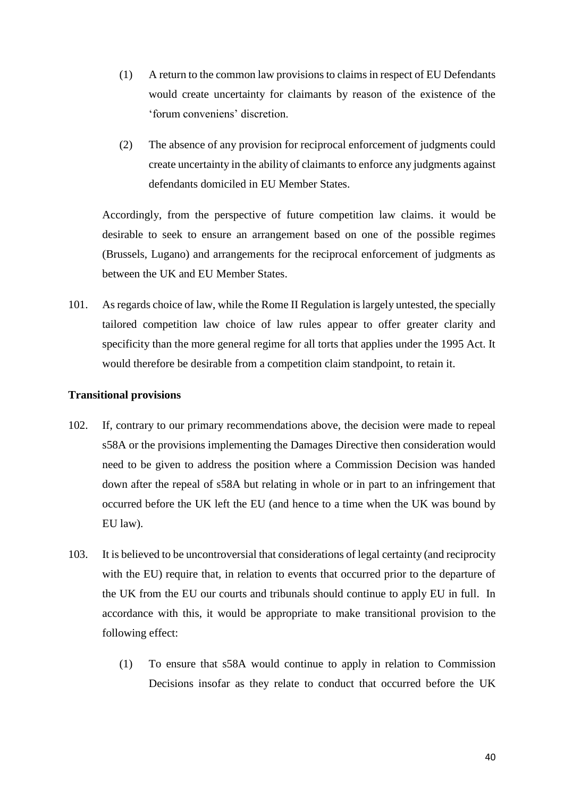- (1) A return to the common law provisions to claims in respect of EU Defendants would create uncertainty for claimants by reason of the existence of the 'forum conveniens' discretion.
- (2) The absence of any provision for reciprocal enforcement of judgments could create uncertainty in the ability of claimants to enforce any judgments against defendants domiciled in EU Member States.

Accordingly, from the perspective of future competition law claims. it would be desirable to seek to ensure an arrangement based on one of the possible regimes (Brussels, Lugano) and arrangements for the reciprocal enforcement of judgments as between the UK and EU Member States.

101. As regards choice of law, while the Rome II Regulation is largely untested, the specially tailored competition law choice of law rules appear to offer greater clarity and specificity than the more general regime for all torts that applies under the 1995 Act. It would therefore be desirable from a competition claim standpoint, to retain it.

# **Transitional provisions**

- 102. If, contrary to our primary recommendations above, the decision were made to repeal s58A or the provisions implementing the Damages Directive then consideration would need to be given to address the position where a Commission Decision was handed down after the repeal of s58A but relating in whole or in part to an infringement that occurred before the UK left the EU (and hence to a time when the UK was bound by EU law).
- 103. It is believed to be uncontroversial that considerations of legal certainty (and reciprocity with the EU) require that, in relation to events that occurred prior to the departure of the UK from the EU our courts and tribunals should continue to apply EU in full. In accordance with this, it would be appropriate to make transitional provision to the following effect:
	- (1) To ensure that s58A would continue to apply in relation to Commission Decisions insofar as they relate to conduct that occurred before the UK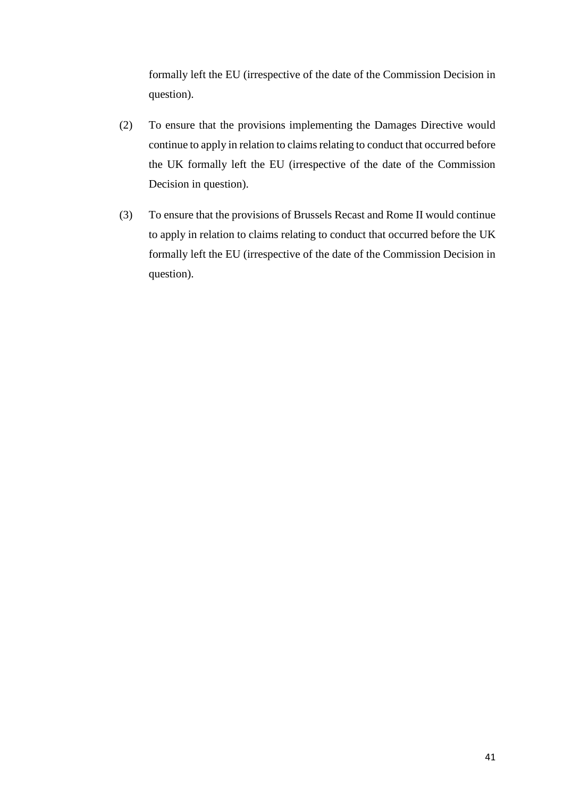formally left the EU (irrespective of the date of the Commission Decision in question).

- (2) To ensure that the provisions implementing the Damages Directive would continue to apply in relation to claims relating to conduct that occurred before the UK formally left the EU (irrespective of the date of the Commission Decision in question).
- (3) To ensure that the provisions of Brussels Recast and Rome II would continue to apply in relation to claims relating to conduct that occurred before the UK formally left the EU (irrespective of the date of the Commission Decision in question).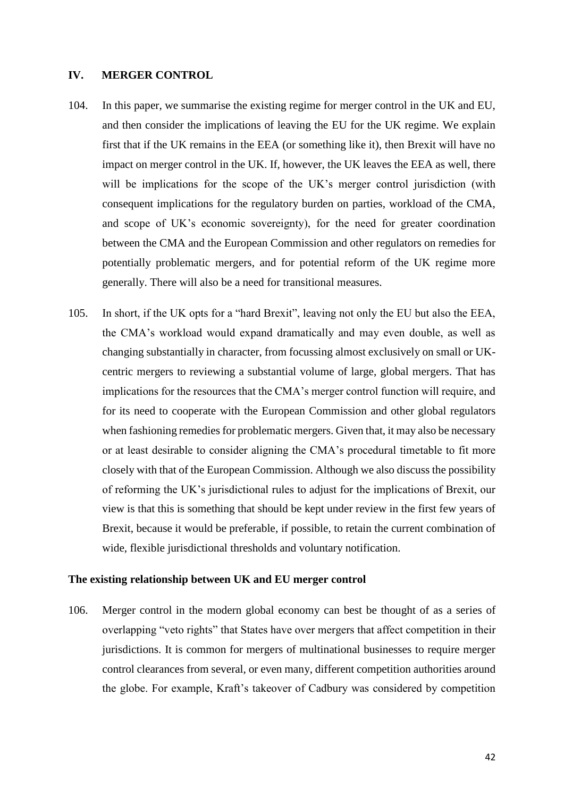#### **IV. MERGER CONTROL**

- 104. In this paper, we summarise the existing regime for merger control in the UK and EU, and then consider the implications of leaving the EU for the UK regime. We explain first that if the UK remains in the EEA (or something like it), then Brexit will have no impact on merger control in the UK. If, however, the UK leaves the EEA as well, there will be implications for the scope of the UK's merger control jurisdiction (with consequent implications for the regulatory burden on parties, workload of the CMA, and scope of UK's economic sovereignty), for the need for greater coordination between the CMA and the European Commission and other regulators on remedies for potentially problematic mergers, and for potential reform of the UK regime more generally. There will also be a need for transitional measures.
- 105. In short, if the UK opts for a "hard Brexit", leaving not only the EU but also the EEA, the CMA's workload would expand dramatically and may even double, as well as changing substantially in character, from focussing almost exclusively on small or UKcentric mergers to reviewing a substantial volume of large, global mergers. That has implications for the resources that the CMA's merger control function will require, and for its need to cooperate with the European Commission and other global regulators when fashioning remedies for problematic mergers. Given that, it may also be necessary or at least desirable to consider aligning the CMA's procedural timetable to fit more closely with that of the European Commission. Although we also discuss the possibility of reforming the UK's jurisdictional rules to adjust for the implications of Brexit, our view is that this is something that should be kept under review in the first few years of Brexit, because it would be preferable, if possible, to retain the current combination of wide, flexible jurisdictional thresholds and voluntary notification.

#### **The existing relationship between UK and EU merger control**

106. Merger control in the modern global economy can best be thought of as a series of overlapping "veto rights" that States have over mergers that affect competition in their jurisdictions. It is common for mergers of multinational businesses to require merger control clearances from several, or even many, different competition authorities around the globe. For example, Kraft's takeover of Cadbury was considered by competition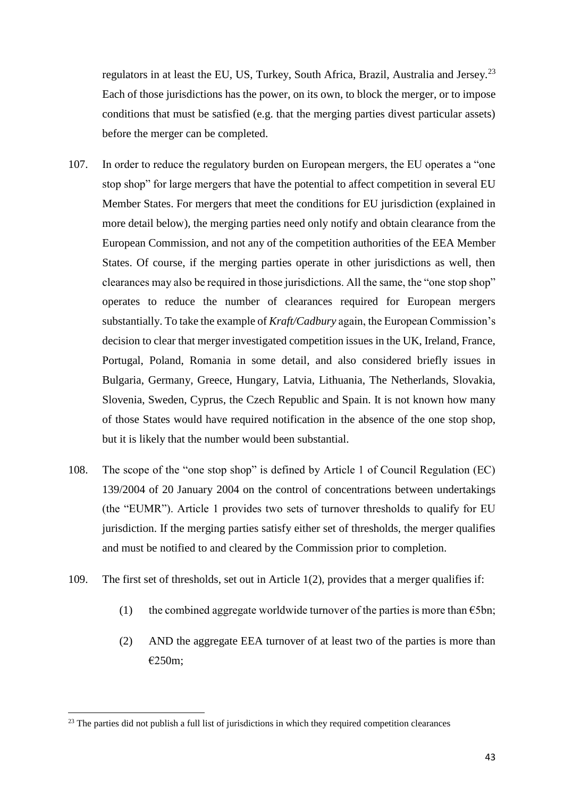regulators in at least the EU, US, Turkey, South Africa, Brazil, Australia and Jersey.<sup>23</sup> Each of those jurisdictions has the power, on its own, to block the merger, or to impose conditions that must be satisfied (e.g. that the merging parties divest particular assets) before the merger can be completed.

- 107. In order to reduce the regulatory burden on European mergers, the EU operates a "one stop shop" for large mergers that have the potential to affect competition in several EU Member States. For mergers that meet the conditions for EU jurisdiction (explained in more detail below), the merging parties need only notify and obtain clearance from the European Commission, and not any of the competition authorities of the EEA Member States. Of course, if the merging parties operate in other jurisdictions as well, then clearances may also be required in those jurisdictions. All the same, the "one stop shop" operates to reduce the number of clearances required for European mergers substantially. To take the example of *Kraft/Cadbury* again, the European Commission's decision to clear that merger investigated competition issues in the UK, Ireland, France, Portugal, Poland, Romania in some detail, and also considered briefly issues in Bulgaria, Germany, Greece, Hungary, Latvia, Lithuania, The Netherlands, Slovakia, Slovenia, Sweden, Cyprus, the Czech Republic and Spain. It is not known how many of those States would have required notification in the absence of the one stop shop, but it is likely that the number would been substantial.
- 108. The scope of the "one stop shop" is defined by Article 1 of Council Regulation (EC) 139/2004 of 20 January 2004 on the control of concentrations between undertakings (the "EUMR"). Article 1 provides two sets of turnover thresholds to qualify for EU jurisdiction. If the merging parties satisfy either set of thresholds, the merger qualifies and must be notified to and cleared by the Commission prior to completion.
- 109. The first set of thresholds, set out in Article 1(2), provides that a merger qualifies if:
	- (1) the combined aggregate worldwide turnover of the parties is more than  $\epsilon$ 5bn;
	- (2) AND the aggregate EEA turnover of at least two of the parties is more than €250m;

 $23$  The parties did not publish a full list of jurisdictions in which they required competition clearances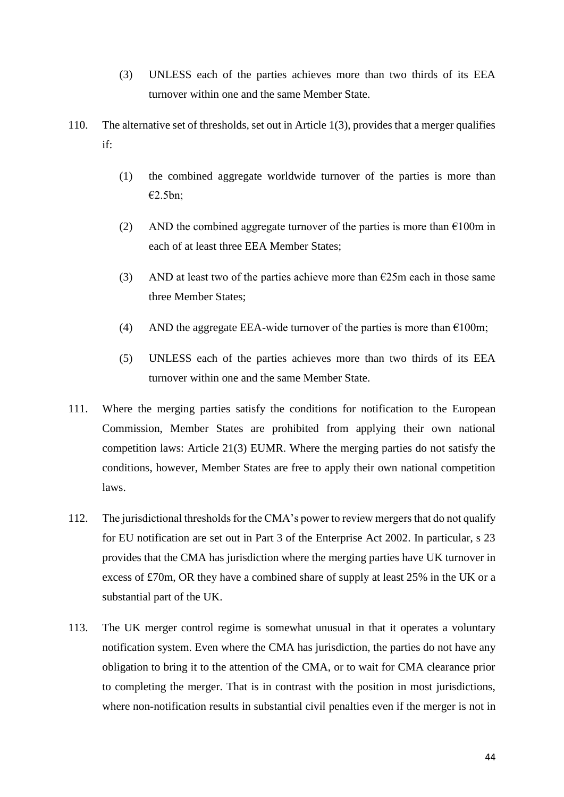- (3) UNLESS each of the parties achieves more than two thirds of its EEA turnover within one and the same Member State.
- 110. The alternative set of thresholds, set out in Article 1(3), provides that a merger qualifies if:
	- (1) the combined aggregate worldwide turnover of the parties is more than €2.5bn;
	- (2) AND the combined aggregate turnover of the parties is more than  $\epsilon$ 100m in each of at least three EEA Member States;
	- (3) AND at least two of the parties achieve more than  $\epsilon$ 25m each in those same three Member States;
	- (4) AND the aggregate EEA-wide turnover of the parties is more than  $\epsilon$ 100m;
	- (5) UNLESS each of the parties achieves more than two thirds of its EEA turnover within one and the same Member State.
- 111. Where the merging parties satisfy the conditions for notification to the European Commission, Member States are prohibited from applying their own national competition laws: Article 21(3) EUMR. Where the merging parties do not satisfy the conditions, however, Member States are free to apply their own national competition laws.
- 112. The jurisdictional thresholds for the CMA's power to review mergers that do not qualify for EU notification are set out in Part 3 of the Enterprise Act 2002. In particular, s 23 provides that the CMA has jurisdiction where the merging parties have UK turnover in excess of £70m, OR they have a combined share of supply at least 25% in the UK or a substantial part of the UK.
- 113. The UK merger control regime is somewhat unusual in that it operates a voluntary notification system. Even where the CMA has jurisdiction, the parties do not have any obligation to bring it to the attention of the CMA, or to wait for CMA clearance prior to completing the merger. That is in contrast with the position in most jurisdictions, where non-notification results in substantial civil penalties even if the merger is not in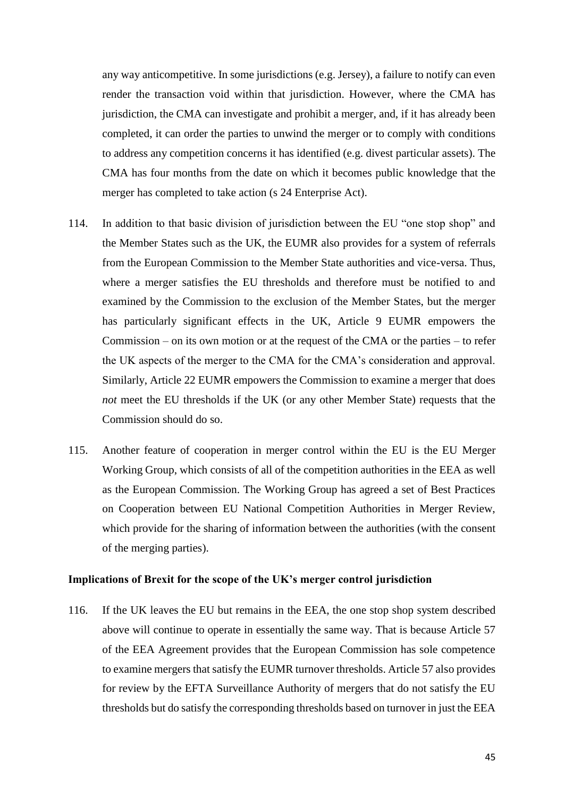any way anticompetitive. In some jurisdictions (e.g. Jersey), a failure to notify can even render the transaction void within that jurisdiction. However, where the CMA has jurisdiction, the CMA can investigate and prohibit a merger, and, if it has already been completed, it can order the parties to unwind the merger or to comply with conditions to address any competition concerns it has identified (e.g. divest particular assets). The CMA has four months from the date on which it becomes public knowledge that the merger has completed to take action (s 24 Enterprise Act).

- 114. In addition to that basic division of jurisdiction between the EU "one stop shop" and the Member States such as the UK, the EUMR also provides for a system of referrals from the European Commission to the Member State authorities and vice-versa. Thus, where a merger satisfies the EU thresholds and therefore must be notified to and examined by the Commission to the exclusion of the Member States, but the merger has particularly significant effects in the UK, Article 9 EUMR empowers the Commission – on its own motion or at the request of the CMA or the parties – to refer the UK aspects of the merger to the CMA for the CMA's consideration and approval. Similarly, Article 22 EUMR empowers the Commission to examine a merger that does *not* meet the EU thresholds if the UK (or any other Member State) requests that the Commission should do so.
- 115. Another feature of cooperation in merger control within the EU is the EU Merger Working Group, which consists of all of the competition authorities in the EEA as well as the European Commission. The Working Group has agreed a set of Best Practices on Cooperation between EU National Competition Authorities in Merger Review, which provide for the sharing of information between the authorities (with the consent of the merging parties).

#### **Implications of Brexit for the scope of the UK's merger control jurisdiction**

116. If the UK leaves the EU but remains in the EEA, the one stop shop system described above will continue to operate in essentially the same way. That is because Article 57 of the EEA Agreement provides that the European Commission has sole competence to examine mergers that satisfy the EUMR turnover thresholds. Article 57 also provides for review by the EFTA Surveillance Authority of mergers that do not satisfy the EU thresholds but do satisfy the corresponding thresholds based on turnover in just the EEA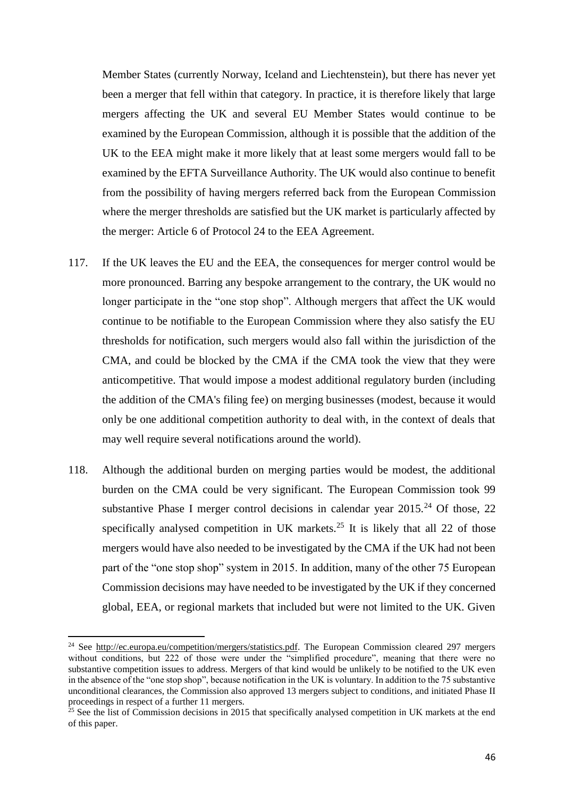Member States (currently Norway, Iceland and Liechtenstein), but there has never yet been a merger that fell within that category. In practice, it is therefore likely that large mergers affecting the UK and several EU Member States would continue to be examined by the European Commission, although it is possible that the addition of the UK to the EEA might make it more likely that at least some mergers would fall to be examined by the EFTA Surveillance Authority. The UK would also continue to benefit from the possibility of having mergers referred back from the European Commission where the merger thresholds are satisfied but the UK market is particularly affected by the merger: Article 6 of Protocol 24 to the EEA Agreement.

- 117. If the UK leaves the EU and the EEA, the consequences for merger control would be more pronounced. Barring any bespoke arrangement to the contrary, the UK would no longer participate in the "one stop shop". Although mergers that affect the UK would continue to be notifiable to the European Commission where they also satisfy the EU thresholds for notification, such mergers would also fall within the jurisdiction of the CMA, and could be blocked by the CMA if the CMA took the view that they were anticompetitive. That would impose a modest additional regulatory burden (including the addition of the CMA's filing fee) on merging businesses (modest, because it would only be one additional competition authority to deal with, in the context of deals that may well require several notifications around the world).
- 118. Although the additional burden on merging parties would be modest, the additional burden on the CMA could be very significant. The European Commission took 99 substantive Phase I merger control decisions in calendar year  $2015<sup>24</sup>$  Of those, 22 specifically analysed competition in UK markets.<sup>25</sup> It is likely that all 22 of those mergers would have also needed to be investigated by the CMA if the UK had not been part of the "one stop shop" system in 2015. In addition, many of the other 75 European Commission decisions may have needed to be investigated by the UK if they concerned global, EEA, or regional markets that included but were not limited to the UK. Given

<sup>&</sup>lt;sup>24</sup> See [http://ec.europa.eu/competition/mergers/statistics.pdf.](http://ec.europa.eu/competition/mergers/statistics.pdf) The European Commission cleared 297 mergers without conditions, but 222 of those were under the "simplified procedure", meaning that there were no substantive competition issues to address. Mergers of that kind would be unlikely to be notified to the UK even in the absence of the "one stop shop", because notification in the UK is voluntary. In addition to the 75 substantive unconditional clearances, the Commission also approved 13 mergers subject to conditions, and initiated Phase II proceedings in respect of a further 11 mergers.

<sup>&</sup>lt;sup>25</sup> See the list of Commission decisions in 2015 that specifically analysed competition in UK markets at the end of this paper.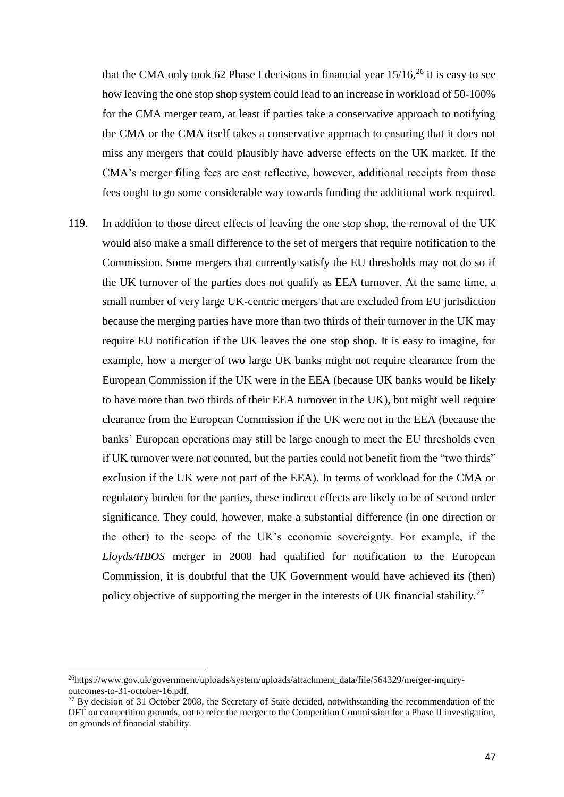that the CMA only took 62 Phase I decisions in financial year  $15/16$ ,  $26$  it is easy to see how leaving the one stop shop system could lead to an increase in workload of 50-100% for the CMA merger team, at least if parties take a conservative approach to notifying the CMA or the CMA itself takes a conservative approach to ensuring that it does not miss any mergers that could plausibly have adverse effects on the UK market. If the CMA's merger filing fees are cost reflective, however, additional receipts from those fees ought to go some considerable way towards funding the additional work required.

119. In addition to those direct effects of leaving the one stop shop, the removal of the UK would also make a small difference to the set of mergers that require notification to the Commission. Some mergers that currently satisfy the EU thresholds may not do so if the UK turnover of the parties does not qualify as EEA turnover. At the same time, a small number of very large UK-centric mergers that are excluded from EU jurisdiction because the merging parties have more than two thirds of their turnover in the UK may require EU notification if the UK leaves the one stop shop. It is easy to imagine, for example, how a merger of two large UK banks might not require clearance from the European Commission if the UK were in the EEA (because UK banks would be likely to have more than two thirds of their EEA turnover in the UK), but might well require clearance from the European Commission if the UK were not in the EEA (because the banks' European operations may still be large enough to meet the EU thresholds even if UK turnover were not counted, but the parties could not benefit from the "two thirds" exclusion if the UK were not part of the EEA). In terms of workload for the CMA or regulatory burden for the parties, these indirect effects are likely to be of second order significance. They could, however, make a substantial difference (in one direction or the other) to the scope of the UK's economic sovereignty. For example, if the *Lloyds/HBOS* merger in 2008 had qualified for notification to the European Commission, it is doubtful that the UK Government would have achieved its (then) policy objective of supporting the merger in the interests of UK financial stability.<sup>27</sup>

<sup>&</sup>lt;sup>26</sup>https://www.gov.uk/government/uploads/system/uploads/attachment\_data/file/564329/merger-inquiryoutcomes-to-31-october-16.pdf.

<sup>&</sup>lt;sup>27</sup> By decision of 31 October 2008, the Secretary of State decided, notwithstanding the recommendation of the OFT on competition grounds, not to refer the merger to the Competition Commission for a Phase II investigation, on grounds of financial stability.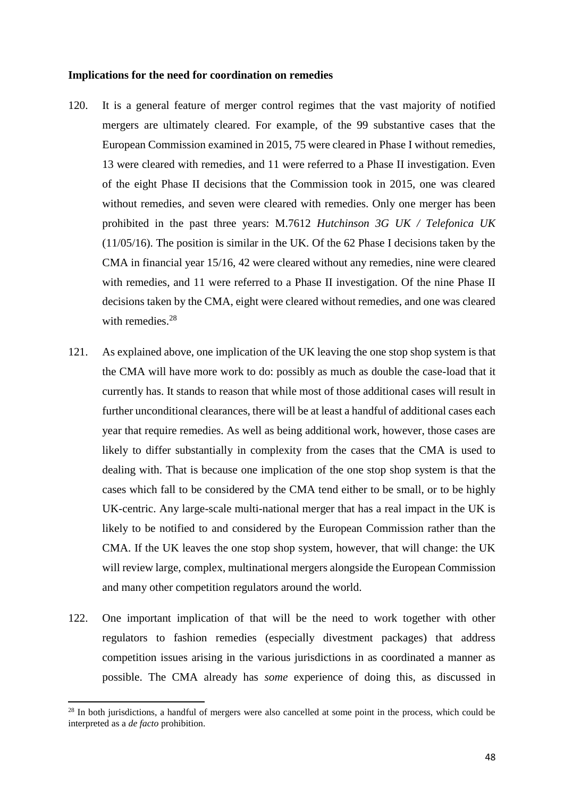#### **Implications for the need for coordination on remedies**

- 120. It is a general feature of merger control regimes that the vast majority of notified mergers are ultimately cleared. For example, of the 99 substantive cases that the European Commission examined in 2015, 75 were cleared in Phase I without remedies, 13 were cleared with remedies, and 11 were referred to a Phase II investigation. Even of the eight Phase II decisions that the Commission took in 2015, one was cleared without remedies, and seven were cleared with remedies. Only one merger has been prohibited in the past three years: M.7612 *Hutchinson 3G UK / Telefonica UK*  (11/05/16). The position is similar in the UK. Of the 62 Phase I decisions taken by the CMA in financial year 15/16, 42 were cleared without any remedies, nine were cleared with remedies, and 11 were referred to a Phase II investigation. Of the nine Phase II decisions taken by the CMA, eight were cleared without remedies, and one was cleared with remedies.<sup>28</sup>
- 121. As explained above, one implication of the UK leaving the one stop shop system is that the CMA will have more work to do: possibly as much as double the case-load that it currently has. It stands to reason that while most of those additional cases will result in further unconditional clearances, there will be at least a handful of additional cases each year that require remedies. As well as being additional work, however, those cases are likely to differ substantially in complexity from the cases that the CMA is used to dealing with. That is because one implication of the one stop shop system is that the cases which fall to be considered by the CMA tend either to be small, or to be highly UK-centric. Any large-scale multi-national merger that has a real impact in the UK is likely to be notified to and considered by the European Commission rather than the CMA. If the UK leaves the one stop shop system, however, that will change: the UK will review large, complex, multinational mergers alongside the European Commission and many other competition regulators around the world.
- 122. One important implication of that will be the need to work together with other regulators to fashion remedies (especially divestment packages) that address competition issues arising in the various jurisdictions in as coordinated a manner as possible. The CMA already has *some* experience of doing this, as discussed in

<sup>&</sup>lt;sup>28</sup> In both jurisdictions, a handful of mergers were also cancelled at some point in the process, which could be interpreted as a *de facto* prohibition.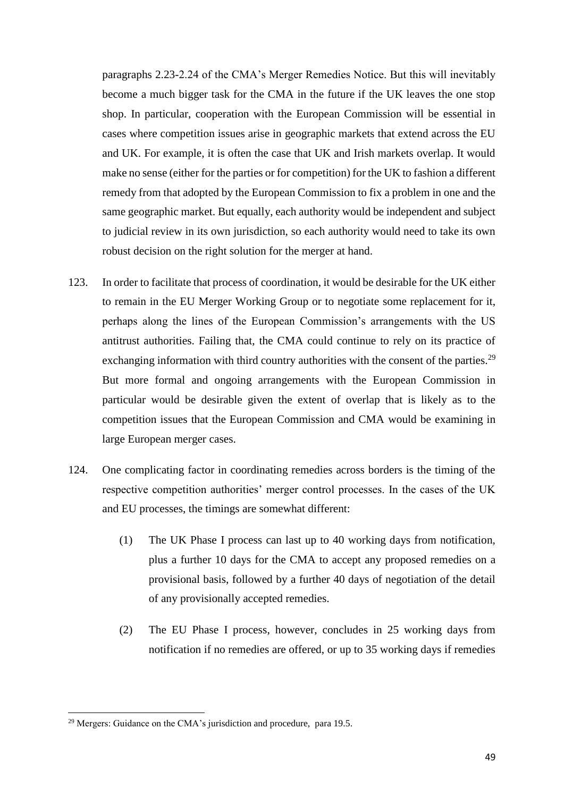paragraphs 2.23-2.24 of the CMA's Merger Remedies Notice. But this will inevitably become a much bigger task for the CMA in the future if the UK leaves the one stop shop. In particular, cooperation with the European Commission will be essential in cases where competition issues arise in geographic markets that extend across the EU and UK. For example, it is often the case that UK and Irish markets overlap. It would make no sense (either for the parties or for competition) for the UK to fashion a different remedy from that adopted by the European Commission to fix a problem in one and the same geographic market. But equally, each authority would be independent and subject to judicial review in its own jurisdiction, so each authority would need to take its own robust decision on the right solution for the merger at hand.

- 123. In order to facilitate that process of coordination, it would be desirable for the UK either to remain in the EU Merger Working Group or to negotiate some replacement for it, perhaps along the lines of the European Commission's arrangements with the US antitrust authorities. Failing that, the CMA could continue to rely on its practice of exchanging information with third country authorities with the consent of the parties.<sup>29</sup> But more formal and ongoing arrangements with the European Commission in particular would be desirable given the extent of overlap that is likely as to the competition issues that the European Commission and CMA would be examining in large European merger cases.
- 124. One complicating factor in coordinating remedies across borders is the timing of the respective competition authorities' merger control processes. In the cases of the UK and EU processes, the timings are somewhat different:
	- (1) The UK Phase I process can last up to 40 working days from notification, plus a further 10 days for the CMA to accept any proposed remedies on a provisional basis, followed by a further 40 days of negotiation of the detail of any provisionally accepted remedies.
	- (2) The EU Phase I process, however, concludes in 25 working days from notification if no remedies are offered, or up to 35 working days if remedies

<sup>&</sup>lt;sup>29</sup> Mergers: Guidance on the CMA's jurisdiction and procedure, para 19.5.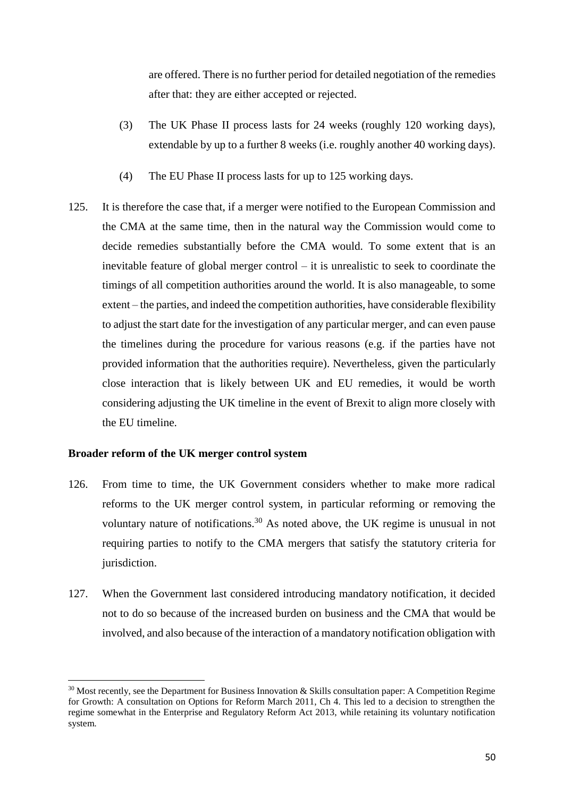are offered. There is no further period for detailed negotiation of the remedies after that: they are either accepted or rejected.

- (3) The UK Phase II process lasts for 24 weeks (roughly 120 working days), extendable by up to a further 8 weeks (i.e. roughly another 40 working days).
- (4) The EU Phase II process lasts for up to 125 working days.
- 125. It is therefore the case that, if a merger were notified to the European Commission and the CMA at the same time, then in the natural way the Commission would come to decide remedies substantially before the CMA would. To some extent that is an inevitable feature of global merger control – it is unrealistic to seek to coordinate the timings of all competition authorities around the world. It is also manageable, to some extent – the parties, and indeed the competition authorities, have considerable flexibility to adjust the start date for the investigation of any particular merger, and can even pause the timelines during the procedure for various reasons (e.g. if the parties have not provided information that the authorities require). Nevertheless, given the particularly close interaction that is likely between UK and EU remedies, it would be worth considering adjusting the UK timeline in the event of Brexit to align more closely with the EU timeline.

# **Broader reform of the UK merger control system**

- 126. From time to time, the UK Government considers whether to make more radical reforms to the UK merger control system, in particular reforming or removing the voluntary nature of notifications.<sup>30</sup> As noted above, the UK regime is unusual in not requiring parties to notify to the CMA mergers that satisfy the statutory criteria for jurisdiction.
- 127. When the Government last considered introducing mandatory notification, it decided not to do so because of the increased burden on business and the CMA that would be involved, and also because of the interaction of a mandatory notification obligation with

 $30$  Most recently, see the Department for Business Innovation & Skills consultation paper: A Competition Regime for Growth: A consultation on Options for Reform March 2011, Ch 4. This led to a decision to strengthen the regime somewhat in the Enterprise and Regulatory Reform Act 2013, while retaining its voluntary notification system.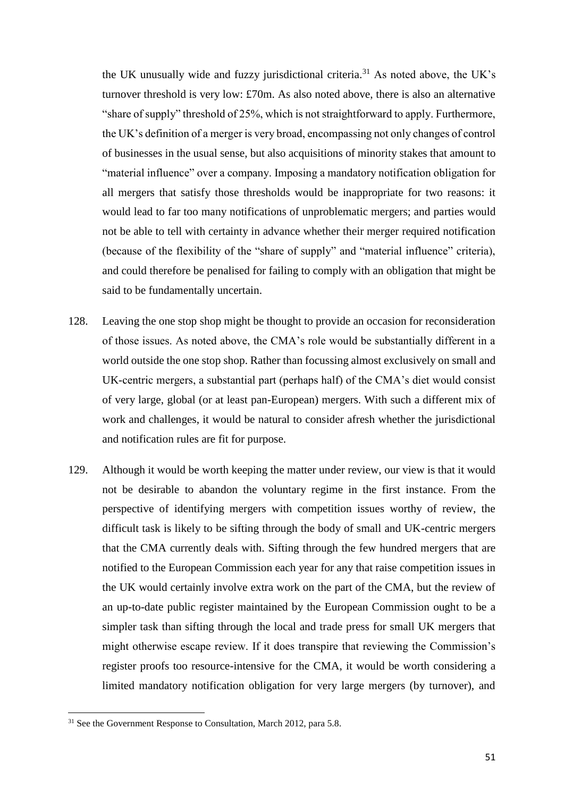the UK unusually wide and fuzzy jurisdictional criteria.<sup>31</sup> As noted above, the UK's turnover threshold is very low: £70m. As also noted above, there is also an alternative "share of supply" threshold of 25%, which is not straightforward to apply. Furthermore, the UK's definition of a merger is very broad, encompassing not only changes of control of businesses in the usual sense, but also acquisitions of minority stakes that amount to "material influence" over a company. Imposing a mandatory notification obligation for all mergers that satisfy those thresholds would be inappropriate for two reasons: it would lead to far too many notifications of unproblematic mergers; and parties would not be able to tell with certainty in advance whether their merger required notification (because of the flexibility of the "share of supply" and "material influence" criteria), and could therefore be penalised for failing to comply with an obligation that might be said to be fundamentally uncertain.

- 128. Leaving the one stop shop might be thought to provide an occasion for reconsideration of those issues. As noted above, the CMA's role would be substantially different in a world outside the one stop shop. Rather than focussing almost exclusively on small and UK-centric mergers, a substantial part (perhaps half) of the CMA's diet would consist of very large, global (or at least pan-European) mergers. With such a different mix of work and challenges, it would be natural to consider afresh whether the jurisdictional and notification rules are fit for purpose.
- 129. Although it would be worth keeping the matter under review, our view is that it would not be desirable to abandon the voluntary regime in the first instance. From the perspective of identifying mergers with competition issues worthy of review, the difficult task is likely to be sifting through the body of small and UK-centric mergers that the CMA currently deals with. Sifting through the few hundred mergers that are notified to the European Commission each year for any that raise competition issues in the UK would certainly involve extra work on the part of the CMA, but the review of an up-to-date public register maintained by the European Commission ought to be a simpler task than sifting through the local and trade press for small UK mergers that might otherwise escape review. If it does transpire that reviewing the Commission's register proofs too resource-intensive for the CMA, it would be worth considering a limited mandatory notification obligation for very large mergers (by turnover), and

 $31$  See the Government Response to Consultation, March 2012, para 5.8.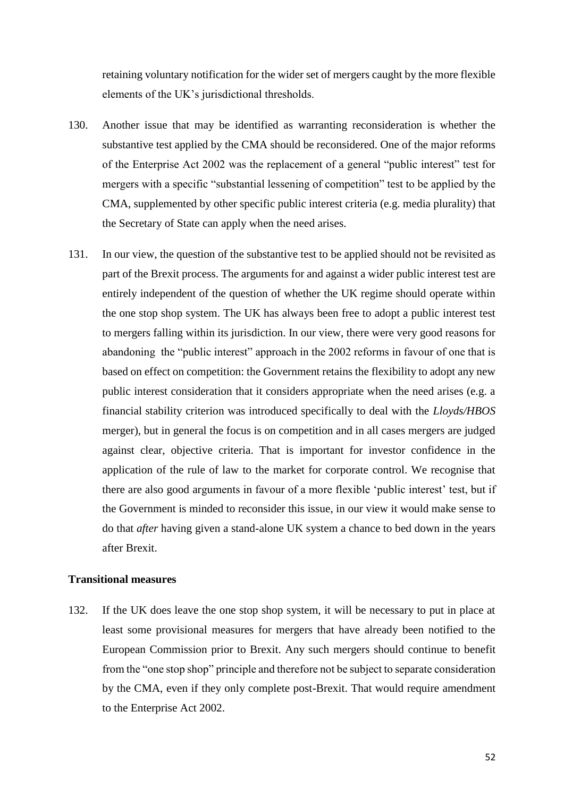retaining voluntary notification for the wider set of mergers caught by the more flexible elements of the UK's jurisdictional thresholds.

- 130. Another issue that may be identified as warranting reconsideration is whether the substantive test applied by the CMA should be reconsidered. One of the major reforms of the Enterprise Act 2002 was the replacement of a general "public interest" test for mergers with a specific "substantial lessening of competition" test to be applied by the CMA, supplemented by other specific public interest criteria (e.g. media plurality) that the Secretary of State can apply when the need arises.
- 131. In our view, the question of the substantive test to be applied should not be revisited as part of the Brexit process. The arguments for and against a wider public interest test are entirely independent of the question of whether the UK regime should operate within the one stop shop system. The UK has always been free to adopt a public interest test to mergers falling within its jurisdiction. In our view, there were very good reasons for abandoning the "public interest" approach in the 2002 reforms in favour of one that is based on effect on competition: the Government retains the flexibility to adopt any new public interest consideration that it considers appropriate when the need arises (e.g. a financial stability criterion was introduced specifically to deal with the *Lloyds/HBOS* merger), but in general the focus is on competition and in all cases mergers are judged against clear, objective criteria. That is important for investor confidence in the application of the rule of law to the market for corporate control. We recognise that there are also good arguments in favour of a more flexible 'public interest' test, but if the Government is minded to reconsider this issue, in our view it would make sense to do that *after* having given a stand-alone UK system a chance to bed down in the years after Brexit.

# **Transitional measures**

132. If the UK does leave the one stop shop system, it will be necessary to put in place at least some provisional measures for mergers that have already been notified to the European Commission prior to Brexit. Any such mergers should continue to benefit from the "one stop shop" principle and therefore not be subject to separate consideration by the CMA, even if they only complete post-Brexit. That would require amendment to the Enterprise Act 2002.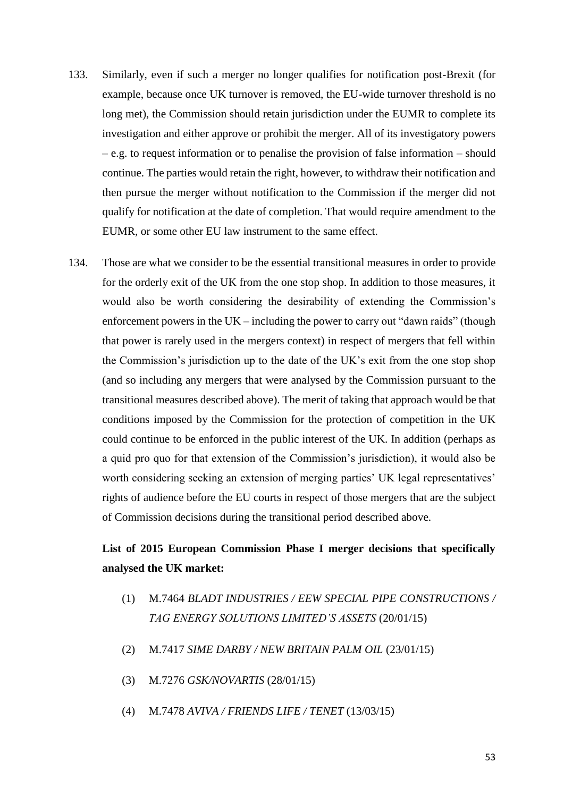- 133. Similarly, even if such a merger no longer qualifies for notification post-Brexit (for example, because once UK turnover is removed, the EU-wide turnover threshold is no long met), the Commission should retain jurisdiction under the EUMR to complete its investigation and either approve or prohibit the merger. All of its investigatory powers – e.g. to request information or to penalise the provision of false information – should continue. The parties would retain the right, however, to withdraw their notification and then pursue the merger without notification to the Commission if the merger did not qualify for notification at the date of completion. That would require amendment to the EUMR, or some other EU law instrument to the same effect.
- 134. Those are what we consider to be the essential transitional measures in order to provide for the orderly exit of the UK from the one stop shop. In addition to those measures, it would also be worth considering the desirability of extending the Commission's enforcement powers in the UK – including the power to carry out "dawn raids" (though that power is rarely used in the mergers context) in respect of mergers that fell within the Commission's jurisdiction up to the date of the UK's exit from the one stop shop (and so including any mergers that were analysed by the Commission pursuant to the transitional measures described above). The merit of taking that approach would be that conditions imposed by the Commission for the protection of competition in the UK could continue to be enforced in the public interest of the UK. In addition (perhaps as a quid pro quo for that extension of the Commission's jurisdiction), it would also be worth considering seeking an extension of merging parties' UK legal representatives' rights of audience before the EU courts in respect of those mergers that are the subject of Commission decisions during the transitional period described above.

# **List of 2015 European Commission Phase I merger decisions that specifically analysed the UK market:**

- (1) M.7464 *BLADT INDUSTRIES / EEW SPECIAL PIPE CONSTRUCTIONS / TAG ENERGY SOLUTIONS LIMITED'S ASSETS* (20/01/15)
- (2) M.7417 *SIME DARBY / NEW BRITAIN PALM OIL* (23/01/15)
- (3) M.7276 *GSK/NOVARTIS* (28/01/15)
- (4) M.7478 *AVIVA / FRIENDS LIFE / TENET* (13/03/15)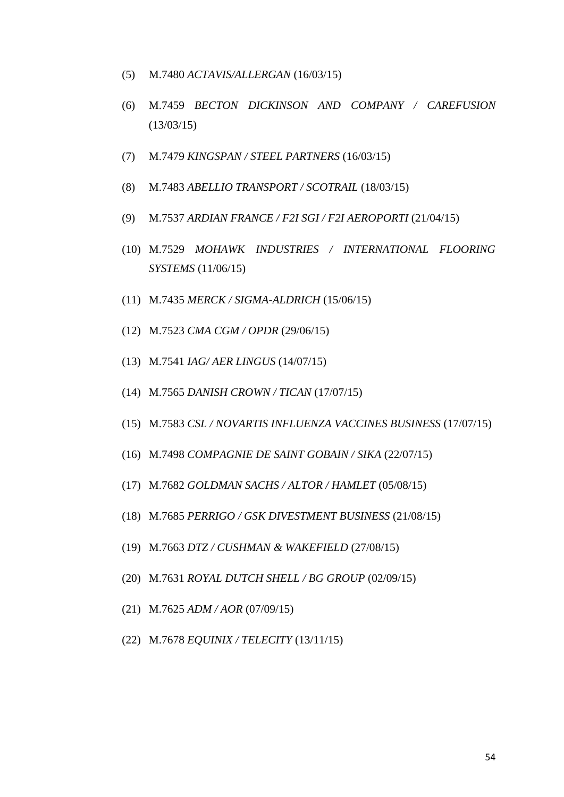- (5) M.7480 *ACTAVIS/ALLERGAN* (16/03/15)
- (6) M.7459 *BECTON DICKINSON AND COMPANY / CAREFUSION*  (13/03/15)
- (7) M.7479 *KINGSPAN / STEEL PARTNERS* (16/03/15)
- (8) M.7483 *ABELLIO TRANSPORT / SCOTRAIL* (18/03/15)
- (9) M.7537 *ARDIAN FRANCE / F2I SGI / F2I AEROPORTI* (21/04/15)
- (10) M.7529 *MOHAWK INDUSTRIES / INTERNATIONAL FLOORING SYSTEMS* (11/06/15)
- (11) M.7435 *MERCK / SIGMA-ALDRICH* (15/06/15)
- (12) M.7523 *CMA CGM / OPDR* (29/06/15)
- (13) M.7541 *IAG/ AER LINGUS* (14/07/15)
- (14) M.7565 *DANISH CROWN / TICAN* (17/07/15)
- (15) M.7583 *CSL / NOVARTIS INFLUENZA VACCINES BUSINESS* (17/07/15)
- (16) M.7498 *COMPAGNIE DE SAINT GOBAIN / SIKA* (22/07/15)
- (17) M.7682 *GOLDMAN SACHS / ALTOR / HAMLET* (05/08/15)
- (18) M.7685 *PERRIGO / GSK DIVESTMENT BUSINESS* (21/08/15)
- (19) M.7663 *DTZ / CUSHMAN & WAKEFIELD* (27/08/15)
- (20) M.7631 *ROYAL DUTCH SHELL / BG GROUP* (02/09/15)
- (21) M.7625 *ADM / AOR* (07/09/15)
- (22) M.7678 *EQUINIX / TELECITY* (13/11/15)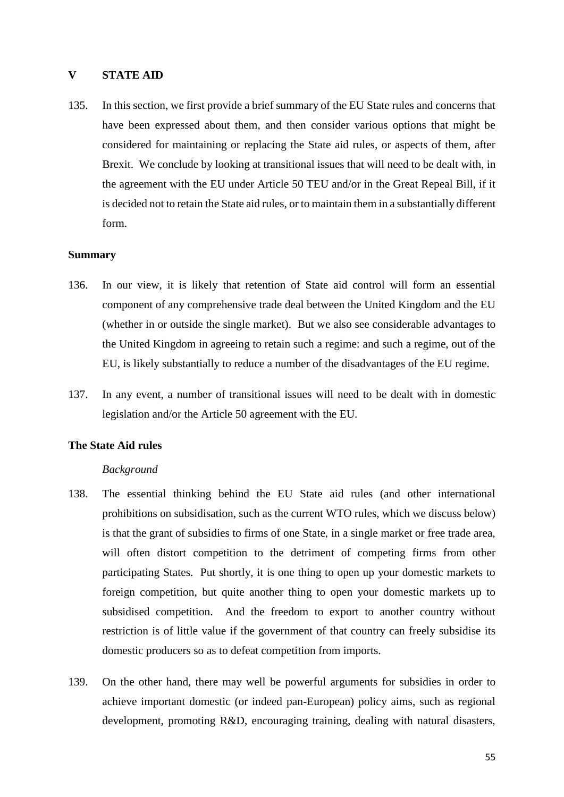### **V STATE AID**

135. In this section, we first provide a brief summary of the EU State rules and concerns that have been expressed about them, and then consider various options that might be considered for maintaining or replacing the State aid rules, or aspects of them, after Brexit. We conclude by looking at transitional issues that will need to be dealt with, in the agreement with the EU under Article 50 TEU and/or in the Great Repeal Bill, if it is decided not to retain the State aid rules, or to maintain them in a substantially different form.

#### **Summary**

- 136. In our view, it is likely that retention of State aid control will form an essential component of any comprehensive trade deal between the United Kingdom and the EU (whether in or outside the single market). But we also see considerable advantages to the United Kingdom in agreeing to retain such a regime: and such a regime, out of the EU, is likely substantially to reduce a number of the disadvantages of the EU regime.
- 137. In any event, a number of transitional issues will need to be dealt with in domestic legislation and/or the Article 50 agreement with the EU.

#### **The State Aid rules**

#### *Background*

- 138. The essential thinking behind the EU State aid rules (and other international prohibitions on subsidisation, such as the current WTO rules, which we discuss below) is that the grant of subsidies to firms of one State, in a single market or free trade area, will often distort competition to the detriment of competing firms from other participating States. Put shortly, it is one thing to open up your domestic markets to foreign competition, but quite another thing to open your domestic markets up to subsidised competition. And the freedom to export to another country without restriction is of little value if the government of that country can freely subsidise its domestic producers so as to defeat competition from imports.
- 139. On the other hand, there may well be powerful arguments for subsidies in order to achieve important domestic (or indeed pan-European) policy aims, such as regional development, promoting R&D, encouraging training, dealing with natural disasters,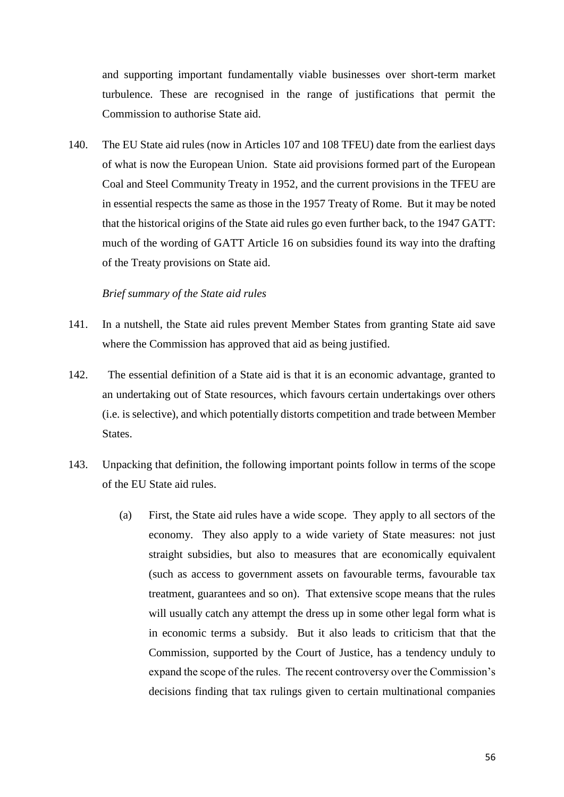and supporting important fundamentally viable businesses over short-term market turbulence. These are recognised in the range of justifications that permit the Commission to authorise State aid.

140. The EU State aid rules (now in Articles 107 and 108 TFEU) date from the earliest days of what is now the European Union. State aid provisions formed part of the European Coal and Steel Community Treaty in 1952, and the current provisions in the TFEU are in essential respects the same as those in the 1957 Treaty of Rome. But it may be noted that the historical origins of the State aid rules go even further back, to the 1947 GATT: much of the wording of GATT Article 16 on subsidies found its way into the drafting of the Treaty provisions on State aid.

#### *Brief summary of the State aid rules*

- 141. In a nutshell, the State aid rules prevent Member States from granting State aid save where the Commission has approved that aid as being justified.
- 142. The essential definition of a State aid is that it is an economic advantage, granted to an undertaking out of State resources, which favours certain undertakings over others (i.e. is selective), and which potentially distorts competition and trade between Member **States**
- 143. Unpacking that definition, the following important points follow in terms of the scope of the EU State aid rules.
	- (a) First, the State aid rules have a wide scope. They apply to all sectors of the economy. They also apply to a wide variety of State measures: not just straight subsidies, but also to measures that are economically equivalent (such as access to government assets on favourable terms, favourable tax treatment, guarantees and so on). That extensive scope means that the rules will usually catch any attempt the dress up in some other legal form what is in economic terms a subsidy. But it also leads to criticism that that the Commission, supported by the Court of Justice, has a tendency unduly to expand the scope of the rules. The recent controversy over the Commission's decisions finding that tax rulings given to certain multinational companies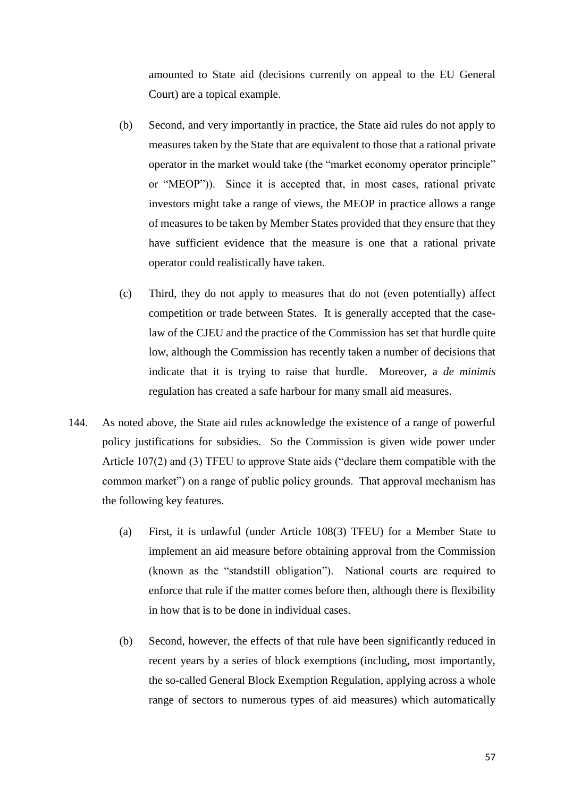amounted to State aid (decisions currently on appeal to the EU General Court) are a topical example.

- (b) Second, and very importantly in practice, the State aid rules do not apply to measures taken by the State that are equivalent to those that a rational private operator in the market would take (the "market economy operator principle" or "MEOP")). Since it is accepted that, in most cases, rational private investors might take a range of views, the MEOP in practice allows a range of measures to be taken by Member States provided that they ensure that they have sufficient evidence that the measure is one that a rational private operator could realistically have taken.
- (c) Third, they do not apply to measures that do not (even potentially) affect competition or trade between States. It is generally accepted that the caselaw of the CJEU and the practice of the Commission has set that hurdle quite low, although the Commission has recently taken a number of decisions that indicate that it is trying to raise that hurdle. Moreover, a *de minimis* regulation has created a safe harbour for many small aid measures.
- 144. As noted above, the State aid rules acknowledge the existence of a range of powerful policy justifications for subsidies. So the Commission is given wide power under Article 107(2) and (3) TFEU to approve State aids ("declare them compatible with the common market") on a range of public policy grounds. That approval mechanism has the following key features.
	- (a) First, it is unlawful (under Article 108(3) TFEU) for a Member State to implement an aid measure before obtaining approval from the Commission (known as the "standstill obligation"). National courts are required to enforce that rule if the matter comes before then, although there is flexibility in how that is to be done in individual cases.
	- (b) Second, however, the effects of that rule have been significantly reduced in recent years by a series of block exemptions (including, most importantly, the so-called General Block Exemption Regulation, applying across a whole range of sectors to numerous types of aid measures) which automatically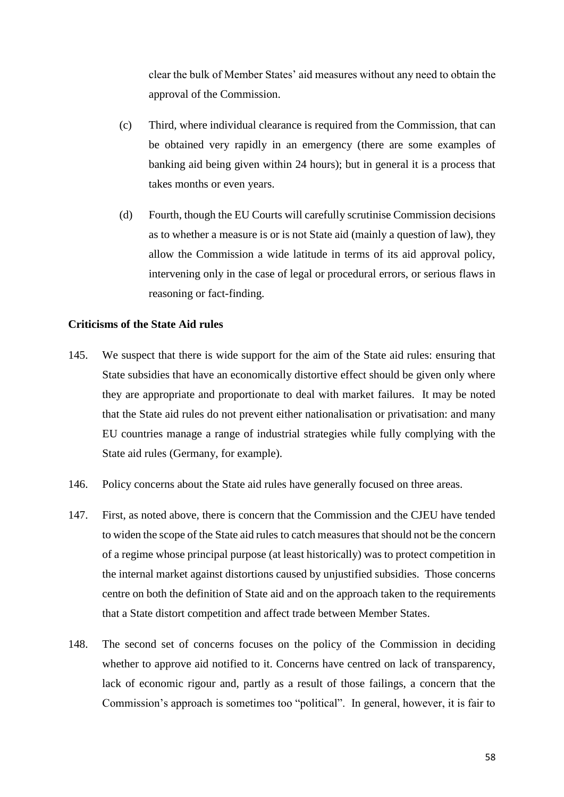clear the bulk of Member States' aid measures without any need to obtain the approval of the Commission.

- (c) Third, where individual clearance is required from the Commission, that can be obtained very rapidly in an emergency (there are some examples of banking aid being given within 24 hours); but in general it is a process that takes months or even years.
- (d) Fourth, though the EU Courts will carefully scrutinise Commission decisions as to whether a measure is or is not State aid (mainly a question of law), they allow the Commission a wide latitude in terms of its aid approval policy, intervening only in the case of legal or procedural errors, or serious flaws in reasoning or fact-finding.

# **Criticisms of the State Aid rules**

- 145. We suspect that there is wide support for the aim of the State aid rules: ensuring that State subsidies that have an economically distortive effect should be given only where they are appropriate and proportionate to deal with market failures. It may be noted that the State aid rules do not prevent either nationalisation or privatisation: and many EU countries manage a range of industrial strategies while fully complying with the State aid rules (Germany, for example).
- 146. Policy concerns about the State aid rules have generally focused on three areas.
- <span id="page-57-0"></span>147. First, as noted above, there is concern that the Commission and the CJEU have tended to widen the scope of the State aid rules to catch measures that should not be the concern of a regime whose principal purpose (at least historically) was to protect competition in the internal market against distortions caused by unjustified subsidies. Those concerns centre on both the definition of State aid and on the approach taken to the requirements that a State distort competition and affect trade between Member States.
- <span id="page-57-1"></span>148. The second set of concerns focuses on the policy of the Commission in deciding whether to approve aid notified to it. Concerns have centred on lack of transparency, lack of economic rigour and, partly as a result of those failings, a concern that the Commission's approach is sometimes too "political". In general, however, it is fair to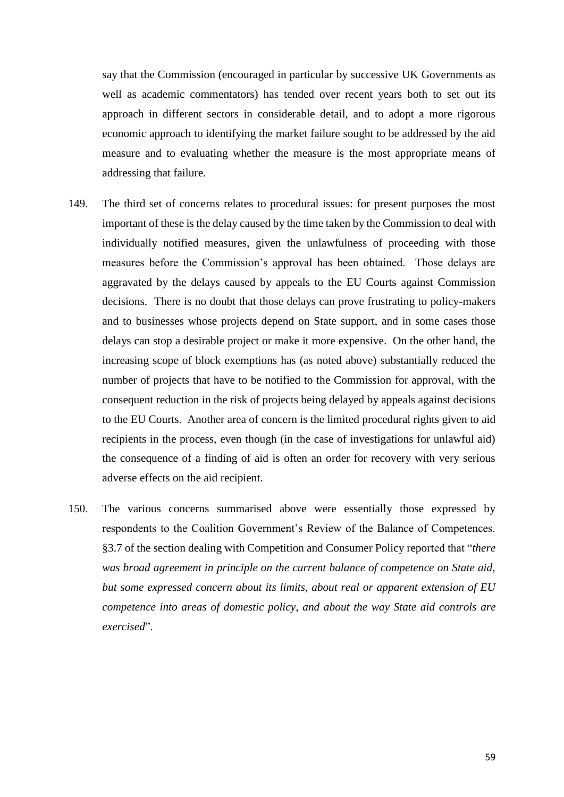say that the Commission (encouraged in particular by successive UK Governments as well as academic commentators) has tended over recent years both to set out its approach in different sectors in considerable detail, and to adopt a more rigorous economic approach to identifying the market failure sought to be addressed by the aid measure and to evaluating whether the measure is the most appropriate means of addressing that failure.

- <span id="page-58-0"></span>149. The third set of concerns relates to procedural issues: for present purposes the most important of these is the delay caused by the time taken by the Commission to deal with individually notified measures, given the unlawfulness of proceeding with those measures before the Commission's approval has been obtained. Those delays are aggravated by the delays caused by appeals to the EU Courts against Commission decisions. There is no doubt that those delays can prove frustrating to policy-makers and to businesses whose projects depend on State support, and in some cases those delays can stop a desirable project or make it more expensive. On the other hand, the increasing scope of block exemptions has (as noted above) substantially reduced the number of projects that have to be notified to the Commission for approval, with the consequent reduction in the risk of projects being delayed by appeals against decisions to the EU Courts. Another area of concern is the limited procedural rights given to aid recipients in the process, even though (in the case of investigations for unlawful aid) the consequence of a finding of aid is often an order for recovery with very serious adverse effects on the aid recipient.
- 150. The various concerns summarised above were essentially those expressed by respondents to the Coalition Government's Review of the Balance of Competences. §3.7 of the section dealing with Competition and Consumer Policy reported that "*there was broad agreement in principle on the current balance of competence on State aid, but some expressed concern about its limits, about real or apparent extension of EU competence into areas of domestic policy, and about the way State aid controls are exercised*".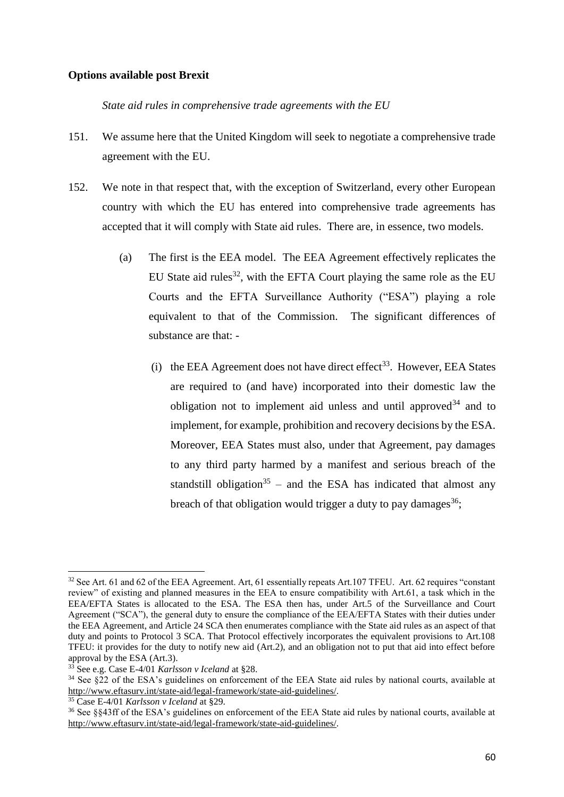# **Options available post Brexit**

*State aid rules in comprehensive trade agreements with the EU*

- 151. We assume here that the United Kingdom will seek to negotiate a comprehensive trade agreement with the EU.
- 152. We note in that respect that, with the exception of Switzerland, every other European country with which the EU has entered into comprehensive trade agreements has accepted that it will comply with State aid rules. There are, in essence, two models.
	- (a) The first is the EEA model. The EEA Agreement effectively replicates the EU State aid rules<sup>32</sup>, with the EFTA Court playing the same role as the EU Courts and the EFTA Surveillance Authority ("ESA") playing a role equivalent to that of the Commission. The significant differences of substance are that: -
		- (i) the EEA Agreement does not have direct effect<sup>33</sup>. However, EEA States are required to (and have) incorporated into their domestic law the obligation not to implement aid unless and until approved  $34$  and to implement, for example, prohibition and recovery decisions by the ESA. Moreover, EEA States must also, under that Agreement, pay damages to any third party harmed by a manifest and serious breach of the standstill obligation<sup>35</sup> – and the ESA has indicated that almost any breach of that obligation would trigger a duty to pay damages  $36$ .

<sup>&</sup>lt;sup>32</sup> See Art. 61 and 62 of the EEA Agreement. Art, 61 essentially repeats Art.107 TFEU. Art. 62 requires "constant" review" of existing and planned measures in the EEA to ensure compatibility with Art.61, a task which in the EEA/EFTA States is allocated to the ESA. The ESA then has, under Art.5 of the Surveillance and Court Agreement ("SCA"), the general duty to ensure the compliance of the EEA/EFTA States with their duties under the EEA Agreement, and Article 24 SCA then enumerates compliance with the State aid rules as an aspect of that duty and points to Protocol 3 SCA. That Protocol effectively incorporates the equivalent provisions to Art.108 TFEU: it provides for the duty to notify new aid (Art.2), and an obligation not to put that aid into effect before approval by the ESA (Art.3).

<sup>33</sup> See e.g. Case E-4/01 *Karlsson v Iceland* at §28.

<sup>&</sup>lt;sup>34</sup> See §22 of the ESA's guidelines on enforcement of the EEA State aid rules by national courts, available at [http://www.eftasurv.int/state-aid/legal-framework/state-aid-guidelines/.](http://www.eftasurv.int/state-aid/legal-framework/state-aid-guidelines/)

<sup>35</sup> Case E-4/01 *Karlsson v Iceland* at §29.

<sup>36</sup> See §§43ff of the ESA's guidelines on enforcement of the EEA State aid rules by national courts, available at [http://www.eftasurv.int/state-aid/legal-framework/state-aid-guidelines/.](http://www.eftasurv.int/state-aid/legal-framework/state-aid-guidelines/)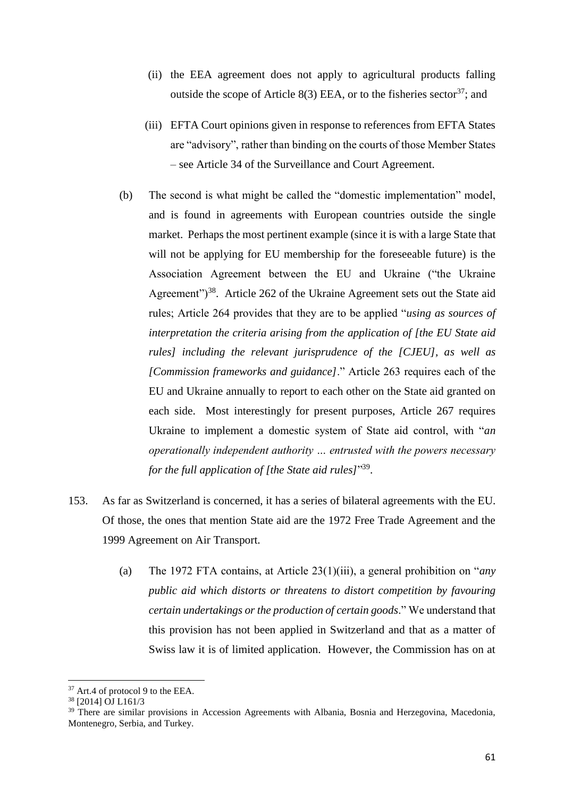- (ii) the EEA agreement does not apply to agricultural products falling outside the scope of Article 8(3) EEA, or to the fisheries sector  $37$ ; and
- (iii) EFTA Court opinions given in response to references from EFTA States are "advisory", rather than binding on the courts of those Member States – see Article 34 of the Surveillance and Court Agreement.
- (b) The second is what might be called the "domestic implementation" model, and is found in agreements with European countries outside the single market. Perhaps the most pertinent example (since it is with a large State that will not be applying for EU membership for the foreseeable future) is the Association Agreement between the EU and Ukraine ("the Ukraine Agreement")<sup>38</sup>. Article 262 of the Ukraine Agreement sets out the State aid rules; Article 264 provides that they are to be applied "*using as sources of interpretation the criteria arising from the application of [the EU State aid rules] including the relevant jurisprudence of the [CJEU], as well as [Commission frameworks and guidance]*." Article 263 requires each of the EU and Ukraine annually to report to each other on the State aid granted on each side. Most interestingly for present purposes, Article 267 requires Ukraine to implement a domestic system of State aid control, with "*an operationally independent authority … entrusted with the powers necessary for the full application of [the State aid rules]*" 39 .
- 153. As far as Switzerland is concerned, it has a series of bilateral agreements with the EU. Of those, the ones that mention State aid are the 1972 Free Trade Agreement and the 1999 Agreement on Air Transport.
	- (a) The 1972 FTA contains, at Article 23(1)(iii), a general prohibition on "*any public aid which distorts or threatens to distort competition by favouring certain undertakings or the production of certain goods*." We understand that this provision has not been applied in Switzerland and that as a matter of Swiss law it is of limited application. However, the Commission has on at

<sup>&</sup>lt;sup>37</sup> Art.4 of protocol 9 to the EEA.

<sup>38</sup> [2014] OJ L161/3

<sup>&</sup>lt;sup>39</sup> There are similar provisions in Accession Agreements with Albania, Bosnia and Herzegovina, Macedonia, Montenegro, Serbia, and Turkey.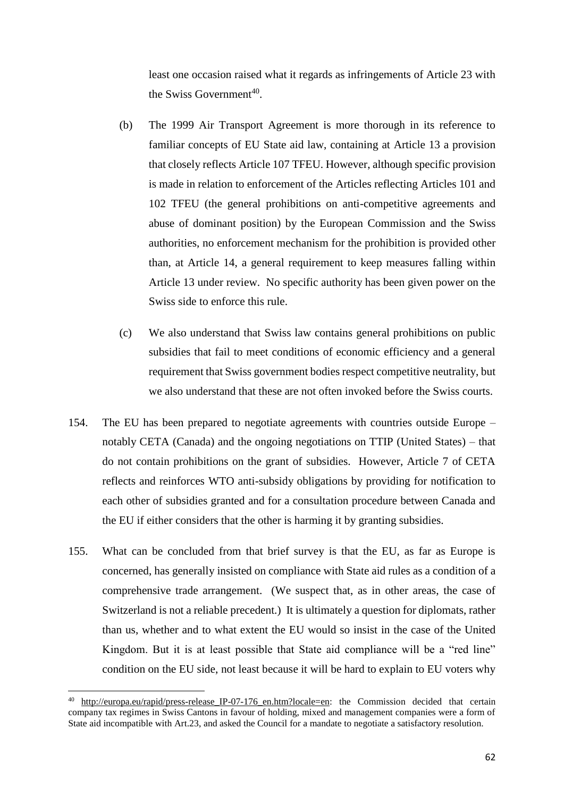least one occasion raised what it regards as infringements of Article 23 with the Swiss Government<sup>40</sup>.

- (b) The 1999 Air Transport Agreement is more thorough in its reference to familiar concepts of EU State aid law, containing at Article 13 a provision that closely reflects Article 107 TFEU. However, although specific provision is made in relation to enforcement of the Articles reflecting Articles 101 and 102 TFEU (the general prohibitions on anti-competitive agreements and abuse of dominant position) by the European Commission and the Swiss authorities, no enforcement mechanism for the prohibition is provided other than, at Article 14, a general requirement to keep measures falling within Article 13 under review. No specific authority has been given power on the Swiss side to enforce this rule.
- (c) We also understand that Swiss law contains general prohibitions on public subsidies that fail to meet conditions of economic efficiency and a general requirement that Swiss government bodies respect competitive neutrality, but we also understand that these are not often invoked before the Swiss courts.
- 154. The EU has been prepared to negotiate agreements with countries outside Europe notably CETA (Canada) and the ongoing negotiations on TTIP (United States) – that do not contain prohibitions on the grant of subsidies. However, Article 7 of CETA reflects and reinforces WTO anti-subsidy obligations by providing for notification to each other of subsidies granted and for a consultation procedure between Canada and the EU if either considers that the other is harming it by granting subsidies.
- 155. What can be concluded from that brief survey is that the EU, as far as Europe is concerned, has generally insisted on compliance with State aid rules as a condition of a comprehensive trade arrangement. (We suspect that, as in other areas, the case of Switzerland is not a reliable precedent.) It is ultimately a question for diplomats, rather than us, whether and to what extent the EU would so insist in the case of the United Kingdom. But it is at least possible that State aid compliance will be a "red line" condition on the EU side, not least because it will be hard to explain to EU voters why

1

<sup>&</sup>lt;sup>40</sup> [http://europa.eu/rapid/press-release\\_IP-07-176\\_en.htm?locale=en:](http://europa.eu/rapid/press-release_IP-07-176_en.htm?locale=en) the Commission decided that certain company tax regimes in Swiss Cantons in favour of holding, mixed and management companies were a form of State aid incompatible with Art.23, and asked the Council for a mandate to negotiate a satisfactory resolution.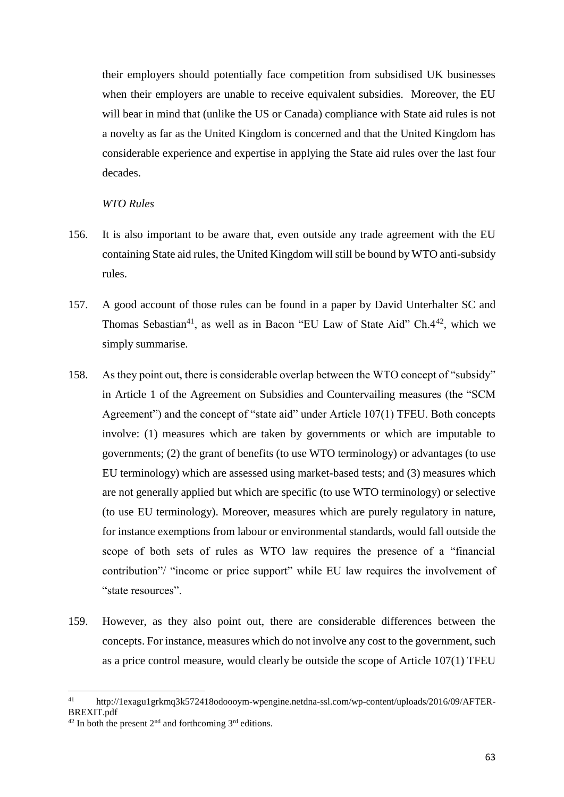their employers should potentially face competition from subsidised UK businesses when their employers are unable to receive equivalent subsidies. Moreover, the EU will bear in mind that (unlike the US or Canada) compliance with State aid rules is not a novelty as far as the United Kingdom is concerned and that the United Kingdom has considerable experience and expertise in applying the State aid rules over the last four decades.

# *WTO Rules*

- 156. It is also important to be aware that, even outside any trade agreement with the EU containing State aid rules, the United Kingdom will still be bound by WTO anti-subsidy rules.
- 157. A good account of those rules can be found in a paper by David Unterhalter SC and Thomas Sebastian<sup>41</sup>, as well as in Bacon "EU Law of State Aid" Ch. $4^{42}$ , which we simply summarise.
- 158. As they point out, there is considerable overlap between the WTO concept of "subsidy" in Article 1 of the Agreement on Subsidies and Countervailing measures (the "SCM Agreement") and the concept of "state aid" under Article 107(1) TFEU. Both concepts involve: (1) measures which are taken by governments or which are imputable to governments; (2) the grant of benefits (to use WTO terminology) or advantages (to use EU terminology) which are assessed using market-based tests; and (3) measures which are not generally applied but which are specific (to use WTO terminology) or selective (to use EU terminology). Moreover, measures which are purely regulatory in nature, for instance exemptions from labour or environmental standards, would fall outside the scope of both sets of rules as WTO law requires the presence of a "financial contribution"/ "income or price support" while EU law requires the involvement of "state resources".
- 159. However, as they also point out, there are considerable differences between the concepts. For instance, measures which do not involve any cost to the government, such as a price control measure, would clearly be outside the scope of Article 107(1) TFEU

1

http://1exagu1grkmq3k572418odoooym-wpengine.netdna-ssl.com/wp-content/uploads/2016/09/AFTER-BREXIT.pdf

<sup>&</sup>lt;sup>42</sup> In both the present  $2<sup>nd</sup>$  and forthcoming  $3<sup>rd</sup>$  editions.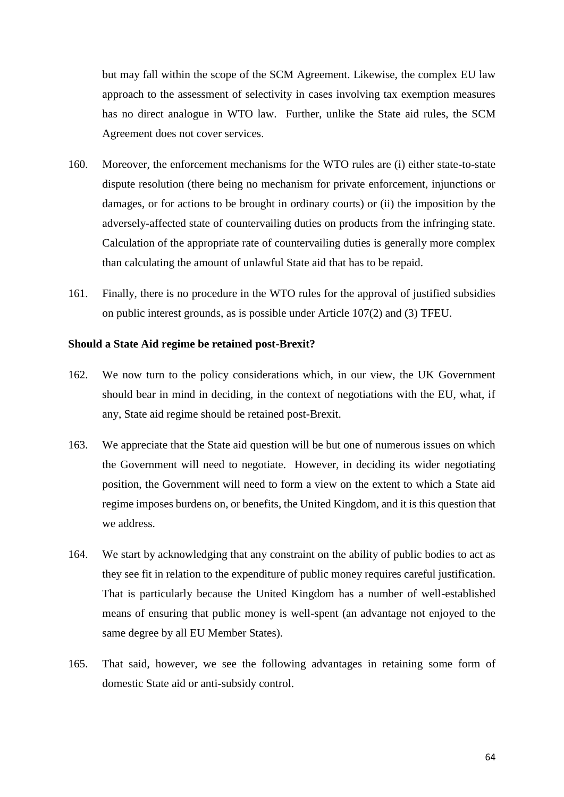but may fall within the scope of the SCM Agreement. Likewise, the complex EU law approach to the assessment of selectivity in cases involving tax exemption measures has no direct analogue in WTO law. Further, unlike the State aid rules, the SCM Agreement does not cover services.

- 160. Moreover, the enforcement mechanisms for the WTO rules are (i) either state-to-state dispute resolution (there being no mechanism for private enforcement, injunctions or damages, or for actions to be brought in ordinary courts) or (ii) the imposition by the adversely-affected state of countervailing duties on products from the infringing state. Calculation of the appropriate rate of countervailing duties is generally more complex than calculating the amount of unlawful State aid that has to be repaid.
- 161. Finally, there is no procedure in the WTO rules for the approval of justified subsidies on public interest grounds, as is possible under Article 107(2) and (3) TFEU.

#### **Should a State Aid regime be retained post-Brexit?**

- 162. We now turn to the policy considerations which, in our view, the UK Government should bear in mind in deciding, in the context of negotiations with the EU, what, if any, State aid regime should be retained post-Brexit.
- 163. We appreciate that the State aid question will be but one of numerous issues on which the Government will need to negotiate. However, in deciding its wider negotiating position, the Government will need to form a view on the extent to which a State aid regime imposes burdens on, or benefits, the United Kingdom, and it is this question that we address.
- 164. We start by acknowledging that any constraint on the ability of public bodies to act as they see fit in relation to the expenditure of public money requires careful justification. That is particularly because the United Kingdom has a number of well-established means of ensuring that public money is well-spent (an advantage not enjoyed to the same degree by all EU Member States).
- 165. That said, however, we see the following advantages in retaining some form of domestic State aid or anti-subsidy control.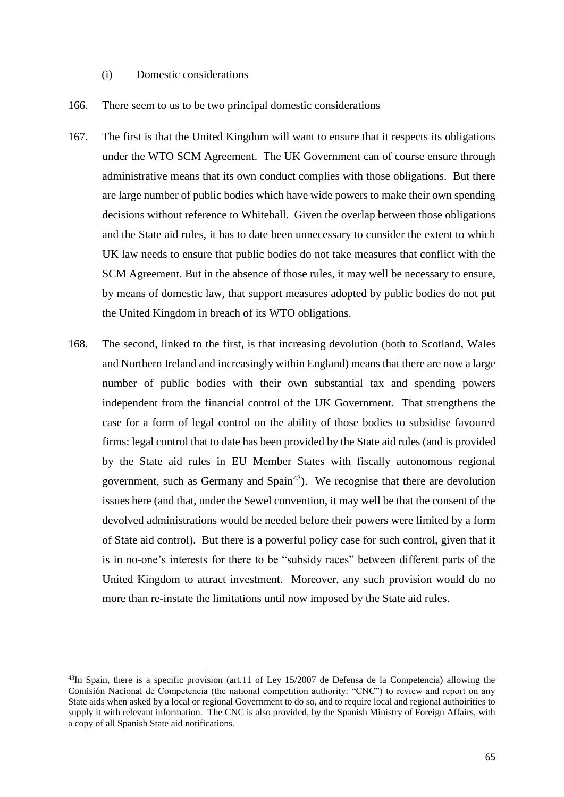- (i) Domestic considerations
- 166. There seem to us to be two principal domestic considerations
- 167. The first is that the United Kingdom will want to ensure that it respects its obligations under the WTO SCM Agreement. The UK Government can of course ensure through administrative means that its own conduct complies with those obligations. But there are large number of public bodies which have wide powers to make their own spending decisions without reference to Whitehall. Given the overlap between those obligations and the State aid rules, it has to date been unnecessary to consider the extent to which UK law needs to ensure that public bodies do not take measures that conflict with the SCM Agreement. But in the absence of those rules, it may well be necessary to ensure, by means of domestic law, that support measures adopted by public bodies do not put the United Kingdom in breach of its WTO obligations.
- 168. The second, linked to the first, is that increasing devolution (both to Scotland, Wales and Northern Ireland and increasingly within England) means that there are now a large number of public bodies with their own substantial tax and spending powers independent from the financial control of the UK Government. That strengthens the case for a form of legal control on the ability of those bodies to subsidise favoured firms: legal control that to date has been provided by the State aid rules (and is provided by the State aid rules in EU Member States with fiscally autonomous regional government, such as Germany and  $Spin<sup>43</sup>$ ). We recognise that there are devolution issues here (and that, under the Sewel convention, it may well be that the consent of the devolved administrations would be needed before their powers were limited by a form of State aid control). But there is a powerful policy case for such control, given that it is in no-one's interests for there to be "subsidy races" between different parts of the United Kingdom to attract investment. Moreover, any such provision would do no more than re-instate the limitations until now imposed by the State aid rules.

<sup>43</sup>In Spain, there is a specific provision (art.11 of Ley 15/2007 de Defensa de la Competencia) allowing the Comisión Nacional de Competencia (the national competition authority: "CNC") to review and report on any State aids when asked by a local or regional Government to do so, and to require local and regional authoirities to supply it with relevant information. The CNC is also provided, by the Spanish Ministry of Foreign Affairs, with a copy of all Spanish State aid notifications.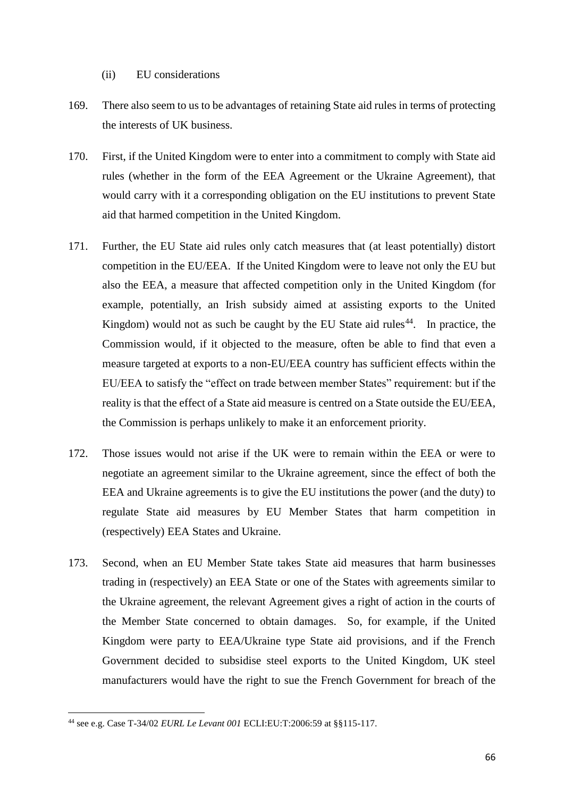- (ii) EU considerations
- 169. There also seem to us to be advantages of retaining State aid rules in terms of protecting the interests of UK business.
- 170. First, if the United Kingdom were to enter into a commitment to comply with State aid rules (whether in the form of the EEA Agreement or the Ukraine Agreement), that would carry with it a corresponding obligation on the EU institutions to prevent State aid that harmed competition in the United Kingdom.
- 171. Further, the EU State aid rules only catch measures that (at least potentially) distort competition in the EU/EEA. If the United Kingdom were to leave not only the EU but also the EEA, a measure that affected competition only in the United Kingdom (for example, potentially, an Irish subsidy aimed at assisting exports to the United Kingdom) would not as such be caught by the EU State aid rules<sup>44</sup>. In practice, the Commission would, if it objected to the measure, often be able to find that even a measure targeted at exports to a non-EU/EEA country has sufficient effects within the EU/EEA to satisfy the "effect on trade between member States" requirement: but if the reality is that the effect of a State aid measure is centred on a State outside the EU/EEA, the Commission is perhaps unlikely to make it an enforcement priority.
- 172. Those issues would not arise if the UK were to remain within the EEA or were to negotiate an agreement similar to the Ukraine agreement, since the effect of both the EEA and Ukraine agreements is to give the EU institutions the power (and the duty) to regulate State aid measures by EU Member States that harm competition in (respectively) EEA States and Ukraine.
- 173. Second, when an EU Member State takes State aid measures that harm businesses trading in (respectively) an EEA State or one of the States with agreements similar to the Ukraine agreement, the relevant Agreement gives a right of action in the courts of the Member State concerned to obtain damages. So, for example, if the United Kingdom were party to EEA/Ukraine type State aid provisions, and if the French Government decided to subsidise steel exports to the United Kingdom, UK steel manufacturers would have the right to sue the French Government for breach of the

**<sup>.</sup>** <sup>44</sup> see e.g. Case T-34/02 *EURL Le Levant 001* ECLI:EU:T:2006:59 at §§115-117.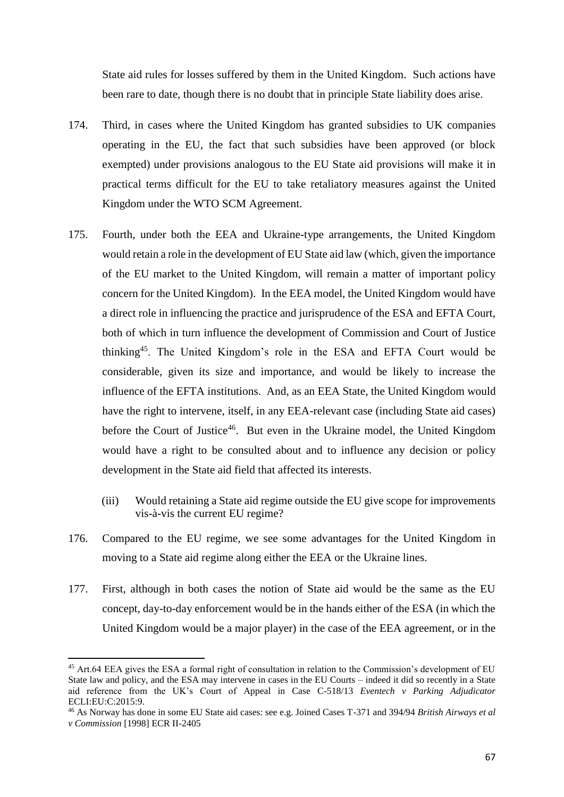State aid rules for losses suffered by them in the United Kingdom. Such actions have been rare to date, though there is no doubt that in principle State liability does arise.

- 174. Third, in cases where the United Kingdom has granted subsidies to UK companies operating in the EU, the fact that such subsidies have been approved (or block exempted) under provisions analogous to the EU State aid provisions will make it in practical terms difficult for the EU to take retaliatory measures against the United Kingdom under the WTO SCM Agreement.
- 175. Fourth, under both the EEA and Ukraine-type arrangements, the United Kingdom would retain a role in the development of EU State aid law (which, given the importance of the EU market to the United Kingdom, will remain a matter of important policy concern for the United Kingdom). In the EEA model, the United Kingdom would have a direct role in influencing the practice and jurisprudence of the ESA and EFTA Court, both of which in turn influence the development of Commission and Court of Justice thinking<sup>45</sup>. The United Kingdom's role in the ESA and EFTA Court would be considerable, given its size and importance, and would be likely to increase the influence of the EFTA institutions. And, as an EEA State, the United Kingdom would have the right to intervene, itself, in any EEA-relevant case (including State aid cases) before the Court of Justice<sup>46</sup>. But even in the Ukraine model, the United Kingdom would have a right to be consulted about and to influence any decision or policy development in the State aid field that affected its interests.
	- (iii) Would retaining a State aid regime outside the EU give scope for improvements vis-à-vis the current EU regime?
- 176. Compared to the EU regime, we see some advantages for the United Kingdom in moving to a State aid regime along either the EEA or the Ukraine lines.
- 177. First, although in both cases the notion of State aid would be the same as the EU concept, day-to-day enforcement would be in the hands either of the ESA (in which the United Kingdom would be a major player) in the case of the EEA agreement, or in the

1

<sup>&</sup>lt;sup>45</sup> Art.64 EEA gives the ESA a formal right of consultation in relation to the Commission's development of EU State law and policy, and the ESA may intervene in cases in the EU Courts – indeed it did so recently in a State aid reference from the UK's Court of Appeal in Case C-518/13 *Eventech v Parking Adjudicator* ECLI:EU:C:2015:9.

<sup>46</sup> As Norway has done in some EU State aid cases: see e.g. Joined Cases T-371 and 394/94 *British Airways et al v Commission* [1998] ECR II-2405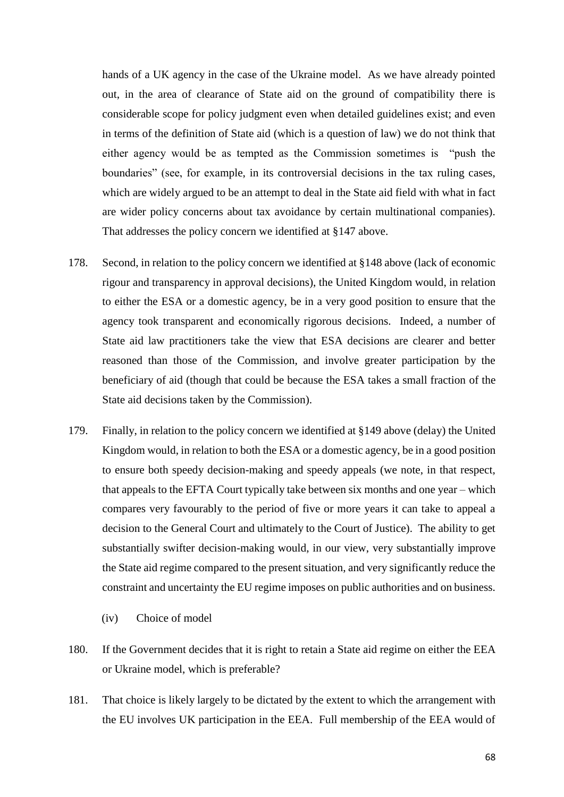hands of a UK agency in the case of the Ukraine model. As we have already pointed out, in the area of clearance of State aid on the ground of compatibility there is considerable scope for policy judgment even when detailed guidelines exist; and even in terms of the definition of State aid (which is a question of law) we do not think that either agency would be as tempted as the Commission sometimes is "push the boundaries" (see, for example, in its controversial decisions in the tax ruling cases, which are widely argued to be an attempt to deal in the State aid field with what in fact are wider policy concerns about tax avoidance by certain multinational companies). That addresses the policy concern we identified at [§147](#page-57-0) above.

- 178. Second, in relation to the policy concern we identified at [§148 above](#page-57-1) (lack of economic rigour and transparency in approval decisions), the United Kingdom would, in relation to either the ESA or a domestic agency, be in a very good position to ensure that the agency took transparent and economically rigorous decisions. Indeed, a number of State aid law practitioners take the view that ESA decisions are clearer and better reasoned than those of the Commission, and involve greater participation by the beneficiary of aid (though that could be because the ESA takes a small fraction of the State aid decisions taken by the Commission).
- 179. Finally, in relation to the policy concern we identified at [§149](#page-58-0) above (delay) the United Kingdom would, in relation to both the ESA or a domestic agency, be in a good position to ensure both speedy decision-making and speedy appeals (we note, in that respect, that appeals to the EFTA Court typically take between six months and one year – which compares very favourably to the period of five or more years it can take to appeal a decision to the General Court and ultimately to the Court of Justice). The ability to get substantially swifter decision-making would, in our view, very substantially improve the State aid regime compared to the present situation, and very significantly reduce the constraint and uncertainty the EU regime imposes on public authorities and on business.
	- (iv) Choice of model
- 180. If the Government decides that it is right to retain a State aid regime on either the EEA or Ukraine model, which is preferable?
- 181. That choice is likely largely to be dictated by the extent to which the arrangement with the EU involves UK participation in the EEA. Full membership of the EEA would of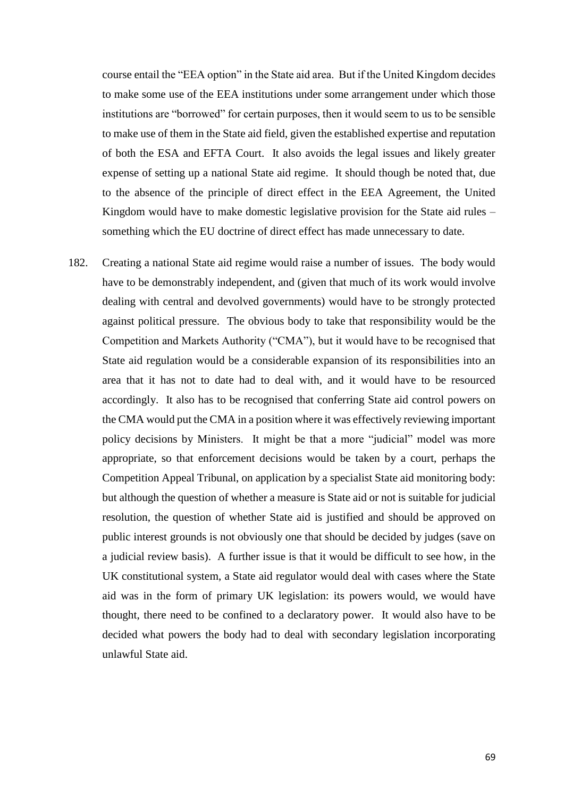course entail the "EEA option" in the State aid area. But if the United Kingdom decides to make some use of the EEA institutions under some arrangement under which those institutions are "borrowed" for certain purposes, then it would seem to us to be sensible to make use of them in the State aid field, given the established expertise and reputation of both the ESA and EFTA Court. It also avoids the legal issues and likely greater expense of setting up a national State aid regime. It should though be noted that, due to the absence of the principle of direct effect in the EEA Agreement, the United Kingdom would have to make domestic legislative provision for the State aid rules – something which the EU doctrine of direct effect has made unnecessary to date.

182. Creating a national State aid regime would raise a number of issues. The body would have to be demonstrably independent, and (given that much of its work would involve dealing with central and devolved governments) would have to be strongly protected against political pressure. The obvious body to take that responsibility would be the Competition and Markets Authority ("CMA"), but it would have to be recognised that State aid regulation would be a considerable expansion of its responsibilities into an area that it has not to date had to deal with, and it would have to be resourced accordingly. It also has to be recognised that conferring State aid control powers on the CMA would put the CMA in a position where it was effectively reviewing important policy decisions by Ministers. It might be that a more "judicial" model was more appropriate, so that enforcement decisions would be taken by a court, perhaps the Competition Appeal Tribunal, on application by a specialist State aid monitoring body: but although the question of whether a measure is State aid or not is suitable for judicial resolution, the question of whether State aid is justified and should be approved on public interest grounds is not obviously one that should be decided by judges (save on a judicial review basis). A further issue is that it would be difficult to see how, in the UK constitutional system, a State aid regulator would deal with cases where the State aid was in the form of primary UK legislation: its powers would, we would have thought, there need to be confined to a declaratory power. It would also have to be decided what powers the body had to deal with secondary legislation incorporating unlawful State aid.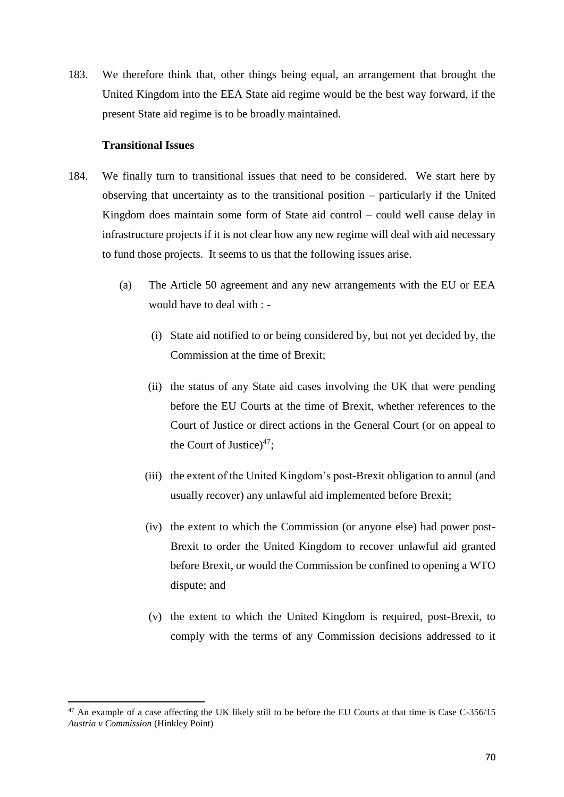183. We therefore think that, other things being equal, an arrangement that brought the United Kingdom into the EEA State aid regime would be the best way forward, if the present State aid regime is to be broadly maintained.

#### **Transitional Issues**

- 184. We finally turn to transitional issues that need to be considered. We start here by observing that uncertainty as to the transitional position – particularly if the United Kingdom does maintain some form of State aid control – could well cause delay in infrastructure projects if it is not clear how any new regime will deal with aid necessary to fund those projects. It seems to us that the following issues arise.
	- (a) The Article 50 agreement and any new arrangements with the EU or EEA would have to deal with : -
		- (i) State aid notified to or being considered by, but not yet decided by, the Commission at the time of Brexit;
		- (ii) the status of any State aid cases involving the UK that were pending before the EU Courts at the time of Brexit, whether references to the Court of Justice or direct actions in the General Court (or on appeal to the Court of Justice) $47$ ;
		- (iii) the extent of the United Kingdom's post-Brexit obligation to annul (and usually recover) any unlawful aid implemented before Brexit;
		- (iv) the extent to which the Commission (or anyone else) had power post-Brexit to order the United Kingdom to recover unlawful aid granted before Brexit, or would the Commission be confined to opening a WTO dispute; and
		- (v) the extent to which the United Kingdom is required, post-Brexit, to comply with the terms of any Commission decisions addressed to it

<sup>&</sup>lt;sup>47</sup> An example of a case affecting the UK likely still to be before the EU Courts at that time is Case C-356/15 *Austria v Commission* (Hinkley Point)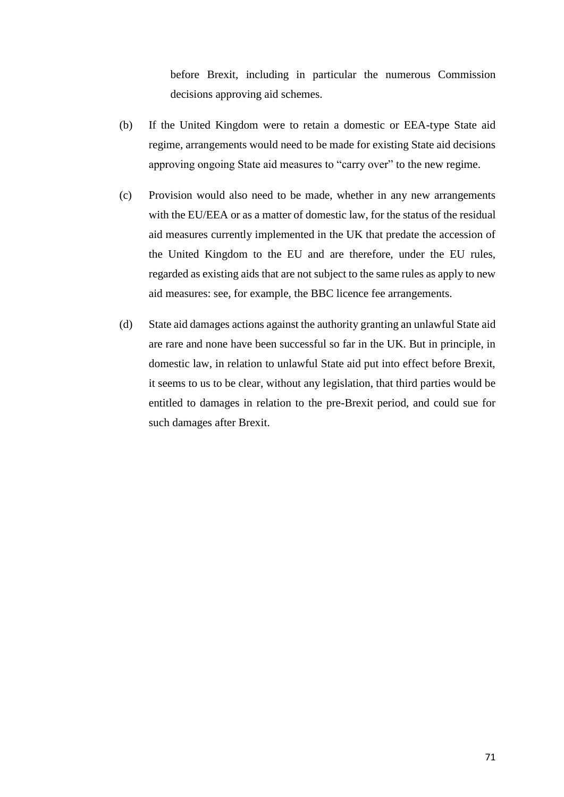before Brexit, including in particular the numerous Commission decisions approving aid schemes.

- (b) If the United Kingdom were to retain a domestic or EEA-type State aid regime, arrangements would need to be made for existing State aid decisions approving ongoing State aid measures to "carry over" to the new regime.
- (c) Provision would also need to be made, whether in any new arrangements with the EU/EEA or as a matter of domestic law, for the status of the residual aid measures currently implemented in the UK that predate the accession of the United Kingdom to the EU and are therefore, under the EU rules, regarded as existing aids that are not subject to the same rules as apply to new aid measures: see, for example, the BBC licence fee arrangements.
- (d) State aid damages actions against the authority granting an unlawful State aid are rare and none have been successful so far in the UK. But in principle, in domestic law, in relation to unlawful State aid put into effect before Brexit, it seems to us to be clear, without any legislation, that third parties would be entitled to damages in relation to the pre-Brexit period, and could sue for such damages after Brexit.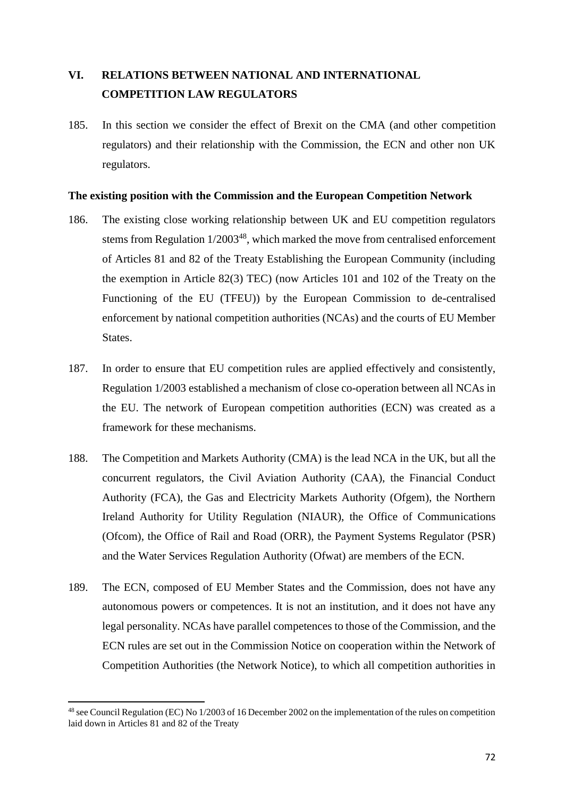# **VI. RELATIONS BETWEEN NATIONAL AND INTERNATIONAL COMPETITION LAW REGULATORS**

185. In this section we consider the effect of Brexit on the CMA (and other competition regulators) and their relationship with the Commission, the ECN and other non UK regulators.

### **The existing position with the Commission and the European Competition Network**

- 186. The existing close working relationship between UK and EU competition regulators stems from Regulation 1/2003<sup>48</sup>, which marked the move from centralised enforcement of Articles 81 and 82 of the Treaty Establishing the European Community (including the exemption in Article 82(3) TEC) (now Articles 101 and 102 of the Treaty on the Functioning of the EU (TFEU)) by the European Commission to de-centralised enforcement by national competition authorities (NCAs) and the courts of EU Member States.
- 187. In order to ensure that EU competition rules are applied effectively and consistently, Regulation 1/2003 established a mechanism of close co-operation between all NCAs in the EU. The network of European competition authorities (ECN) was created as a framework for these mechanisms.
- 188. The Competition and Markets Authority (CMA) is the lead NCA in the UK, but all the concurrent regulators, the Civil Aviation Authority (CAA), the Financial Conduct Authority (FCA), the Gas and Electricity Markets Authority (Ofgem), the Northern Ireland Authority for Utility Regulation (NIAUR), the Office of Communications (Ofcom), the Office of Rail and Road (ORR), the Payment Systems Regulator (PSR) and the Water Services Regulation Authority (Ofwat) are members of the ECN.
- 189. The ECN, composed of EU Member States and the Commission, does not have any autonomous powers or competences. It is not an institution, and it does not have any legal personality. NCAs have parallel competences to those of the Commission, and the ECN rules are set out in the Commission Notice on cooperation within the Network of Competition Authorities (the Network Notice), to which all competition authorities in

**<sup>.</sup>**  $^{48}$  see Council Regulation (EC) No 1/2003 of 16 December 2002 on the implementation of the rules on competition laid down in Articles 81 and 82 of the Treaty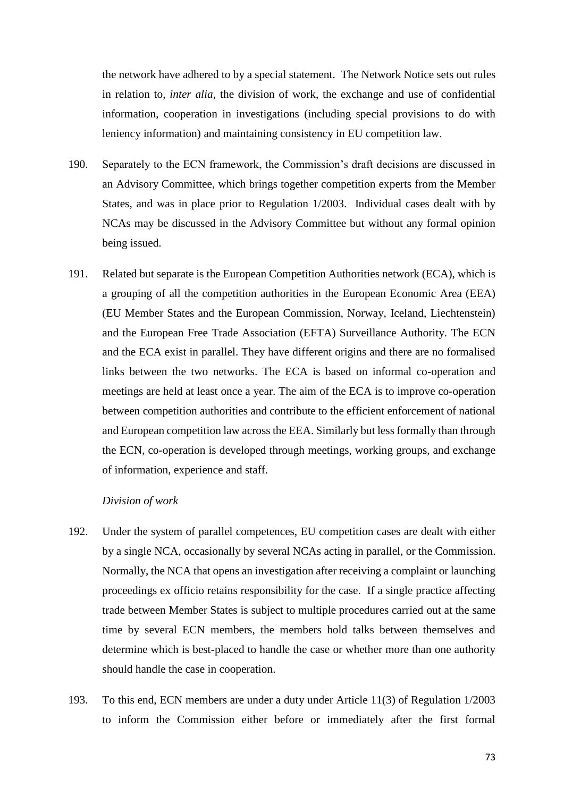the network have adhered to by a special statement. The Network Notice sets out rules in relation to, *inter alia*, the division of work, the exchange and use of confidential information, cooperation in investigations (including special provisions to do with leniency information) and maintaining consistency in EU competition law.

- 190. Separately to the ECN framework, the Commission's draft decisions are discussed in an Advisory Committee, which brings together competition experts from the Member States, and was in place prior to Regulation 1/2003. Individual cases dealt with by NCAs may be discussed in the Advisory Committee but without any formal opinion being issued.
- 191. Related but separate is the European Competition Authorities network (ECA), which is a grouping of all the competition authorities in the European Economic Area (EEA) (EU Member States and the European Commission, Norway, Iceland, Liechtenstein) and the European Free Trade Association (EFTA) Surveillance Authority. The ECN and the ECA exist in parallel. They have different origins and there are no formalised links between the two networks. The ECA is based on informal co-operation and meetings are held at least once a year. The aim of the ECA is to improve co-operation between competition authorities and contribute to the efficient enforcement of national and European competition law across the EEA. Similarly but less formally than through the ECN, co-operation is developed through meetings, working groups, and exchange of information, experience and staff.

## *Division of work*

- 192. Under the system of parallel competences, EU competition cases are dealt with either by a single NCA, occasionally by several NCAs acting in parallel, or the Commission. Normally, the NCA that opens an investigation after receiving a complaint or launching proceedings ex officio retains responsibility for the case. If a single practice affecting trade between Member States is subject to multiple procedures carried out at the same time by several ECN members, the members hold talks between themselves and determine which is best-placed to handle the case or whether more than one authority should handle the case in cooperation.
- 193. To this end, ECN members are under a duty under Article 11(3) of Regulation 1/2003 to inform the Commission either before or immediately after the first formal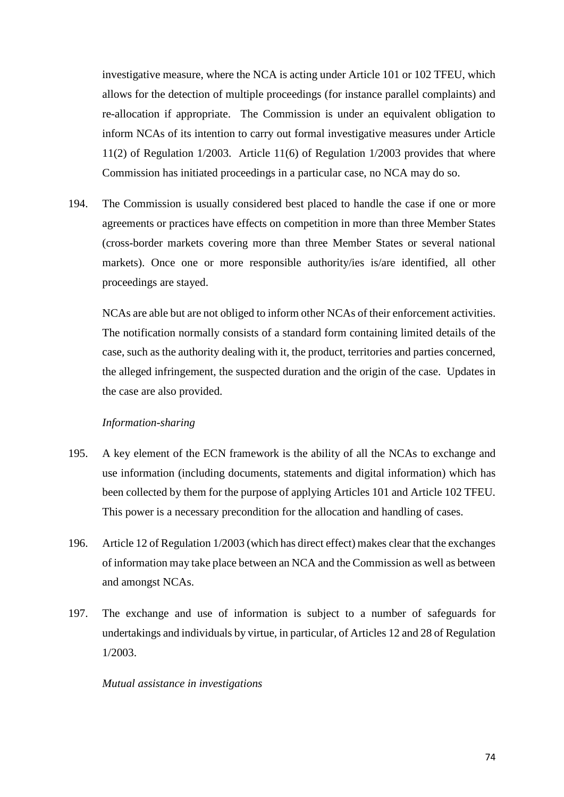investigative measure, where the NCA is acting under Article 101 or 102 TFEU, which allows for the detection of multiple proceedings (for instance parallel complaints) and re-allocation if appropriate. The Commission is under an equivalent obligation to inform NCAs of its intention to carry out formal investigative measures under Article 11(2) of Regulation 1/2003. Article 11(6) of Regulation 1/2003 provides that where Commission has initiated proceedings in a particular case, no NCA may do so.

194. The Commission is usually considered best placed to handle the case if one or more agreements or practices have effects on competition in more than three Member States (cross-border markets covering more than three Member States or several national markets). Once one or more responsible authority/ies is/are identified, all other proceedings are stayed.

NCAs are able but are not obliged to inform other NCAs of their enforcement activities. The notification normally consists of a standard form containing limited details of the case, such as the authority dealing with it, the product, territories and parties concerned, the alleged infringement, the suspected duration and the origin of the case. Updates in the case are also provided.

## *Information-sharing*

- 195. A key element of the ECN framework is the ability of all the NCAs to exchange and use information (including documents, statements and digital information) which has been collected by them for the purpose of applying Articles 101 and Article 102 TFEU. This power is a necessary precondition for the allocation and handling of cases.
- 196. Article 12 of Regulation 1/2003 (which has direct effect) makes clear that the exchanges of information may take place between an NCA and the Commission as well as between and amongst NCAs.
- 197. The exchange and use of information is subject to a number of safeguards for undertakings and individuals by virtue, in particular, of Articles 12 and 28 of Regulation 1/2003.

#### *Mutual assistance in investigations*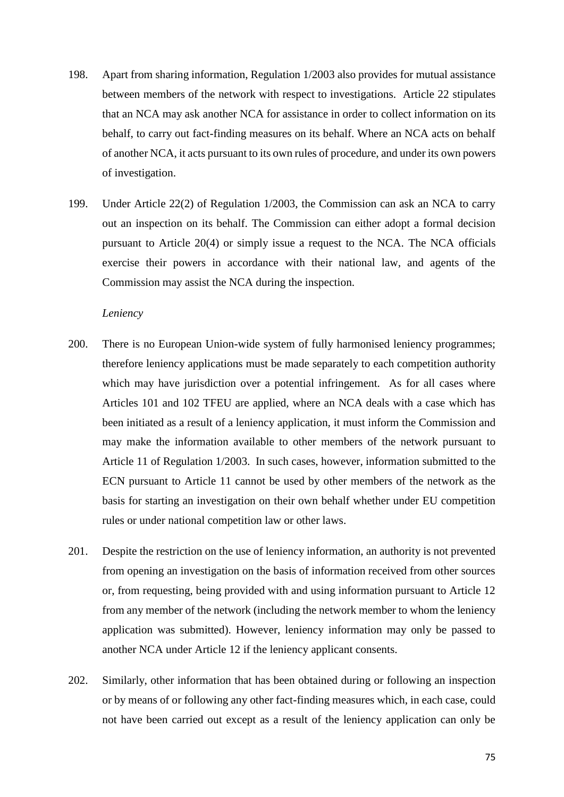- 198. Apart from sharing information, Regulation 1/2003 also provides for mutual assistance between members of the network with respect to investigations. Article 22 stipulates that an NCA may ask another NCA for assistance in order to collect information on its behalf, to carry out fact-finding measures on its behalf. Where an NCA acts on behalf of another NCA, it acts pursuant to its own rules of procedure, and under its own powers of investigation.
- 199. Under Article 22(2) of Regulation 1/2003, the Commission can ask an NCA to carry out an inspection on its behalf. The Commission can either adopt a formal decision pursuant to Article 20(4) or simply issue a request to the NCA. The NCA officials exercise their powers in accordance with their national law, and agents of the Commission may assist the NCA during the inspection.

### *Leniency*

- 200. There is no European Union-wide system of fully harmonised leniency programmes; therefore leniency applications must be made separately to each competition authority which may have jurisdiction over a potential infringement. As for all cases where Articles 101 and 102 TFEU are applied, where an NCA deals with a case which has been initiated as a result of a leniency application, it must inform the Commission and may make the information available to other members of the network pursuant to Article 11 of Regulation 1/2003. In such cases, however, information submitted to the ECN pursuant to Article 11 cannot be used by other members of the network as the basis for starting an investigation on their own behalf whether under EU competition rules or under national competition law or other laws.
- 201. Despite the restriction on the use of leniency information, an authority is not prevented from opening an investigation on the basis of information received from other sources or, from requesting, being provided with and using information pursuant to Article 12 from any member of the network (including the network member to whom the leniency application was submitted). However, leniency information may only be passed to another NCA under Article 12 if the leniency applicant consents.
- 202. Similarly, other information that has been obtained during or following an inspection or by means of or following any other fact-finding measures which, in each case, could not have been carried out except as a result of the leniency application can only be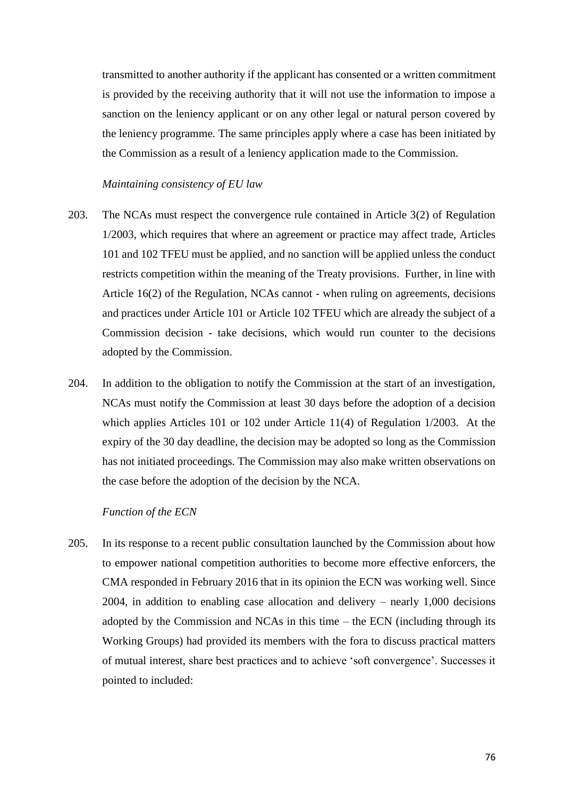transmitted to another authority if the applicant has consented or a written commitment is provided by the receiving authority that it will not use the information to impose a sanction on the leniency applicant or on any other legal or natural person covered by the leniency programme. The same principles apply where a case has been initiated by the Commission as a result of a leniency application made to the Commission.

## *Maintaining consistency of EU law*

- 203. The NCAs must respect the convergence rule contained in Article 3(2) of Regulation 1/2003, which requires that where an agreement or practice may affect trade, Articles 101 and 102 TFEU must be applied, and no sanction will be applied unless the conduct restricts competition within the meaning of the Treaty provisions. Further, in line with Article 16(2) of the Regulation, NCAs cannot - when ruling on agreements, decisions and practices under Article 101 or Article 102 TFEU which are already the subject of a Commission decision - take decisions, which would run counter to the decisions adopted by the Commission.
- 204. In addition to the obligation to notify the Commission at the start of an investigation, NCAs must notify the Commission at least 30 days before the adoption of a decision which applies Articles 101 or 102 under Article 11(4) of Regulation 1/2003. At the expiry of the 30 day deadline, the decision may be adopted so long as the Commission has not initiated proceedings. The Commission may also make written observations on the case before the adoption of the decision by the NCA.

#### *Function of the ECN*

205. In its response to a recent public consultation launched by the Commission about how to empower national competition authorities to become more effective enforcers, the CMA responded in February 2016 that in its opinion the ECN was working well. Since 2004, in addition to enabling case allocation and delivery – nearly 1,000 decisions adopted by the Commission and NCAs in this time – the ECN (including through its Working Groups) had provided its members with the fora to discuss practical matters of mutual interest, share best practices and to achieve 'soft convergence'. Successes it pointed to included: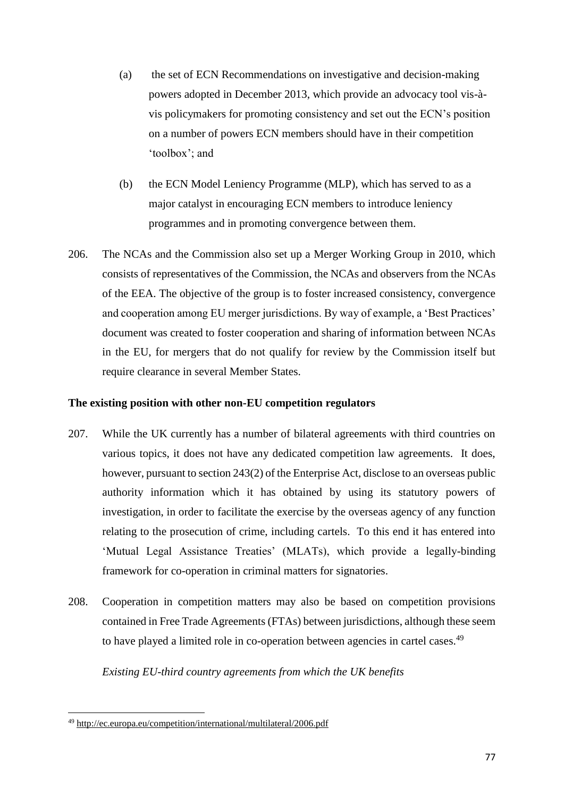- (a) the set of ECN Recommendations on investigative and decision-making powers adopted in December 2013, which provide an advocacy tool vis-àvis policymakers for promoting consistency and set out the ECN's position on a number of powers ECN members should have in their competition 'toolbox'; and
- (b) the ECN Model Leniency Programme (MLP), which has served to as a major catalyst in encouraging ECN members to introduce leniency programmes and in promoting convergence between them.
- 206. The NCAs and the Commission also set up a Merger Working Group in 2010, which consists of representatives of the Commission, the NCAs and observers from the NCAs of the EEA. The objective of the group is to foster increased consistency, convergence and cooperation among EU merger jurisdictions. By way of example, a 'Best Practices' document was created to foster cooperation and sharing of information between NCAs in the EU, for mergers that do not qualify for review by the Commission itself but require clearance in several Member States.

# **The existing position with other non-EU competition regulators**

- 207. While the UK currently has a number of bilateral agreements with third countries on various topics, it does not have any dedicated competition law agreements. It does, however, pursuant to section 243(2) of the Enterprise Act, disclose to an overseas public authority information which it has obtained by using its statutory powers of investigation, in order to facilitate the exercise by the overseas agency of any function relating to the prosecution of crime, including cartels. To this end it has entered into 'Mutual Legal Assistance Treaties' (MLATs), which provide a legally-binding framework for co-operation in criminal matters for signatories.
- 208. Cooperation in competition matters may also be based on competition provisions contained in Free Trade Agreements (FTAs) between jurisdictions, although these seem to have played a limited role in co-operation between agencies in cartel cases.<sup>49</sup>

## *Existing EU-third country agreements from which the UK benefits*

**<sup>.</sup>** <sup>49</sup> <http://ec.europa.eu/competition/international/multilateral/2006.pdf>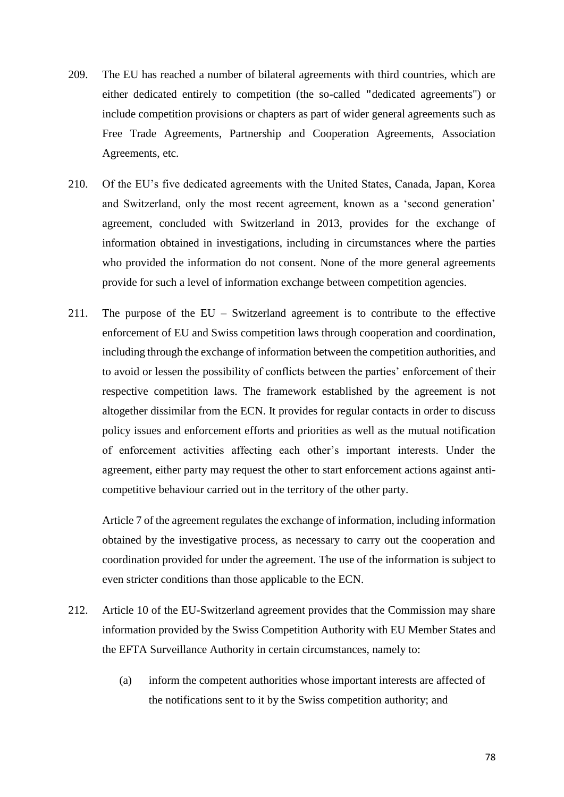- 209. The EU has reached a number of bilateral agreements with third countries, which are either dedicated entirely to competition (the so-called **"**dedicated agreements") or include competition provisions or chapters as part of wider general agreements such as Free Trade Agreements, Partnership and Cooperation Agreements, Association Agreements, etc.
- 210. Of the EU's five dedicated agreements with the United States, Canada, Japan, Korea and Switzerland, only the most recent agreement, known as a 'second generation' agreement, concluded with Switzerland in 2013, provides for the exchange of information obtained in investigations, including in circumstances where the parties who provided the information do not consent. None of the more general agreements provide for such a level of information exchange between competition agencies.
- 211. The purpose of the EU Switzerland agreement is to contribute to the effective enforcement of EU and Swiss competition laws through cooperation and coordination, including through the exchange of information between the competition authorities, and to avoid or lessen the possibility of conflicts between the parties' enforcement of their respective competition laws. The framework established by the agreement is not altogether dissimilar from the ECN. It provides for regular contacts in order to discuss policy issues and enforcement efforts and priorities as well as the mutual notification of enforcement activities affecting each other's important interests. Under the agreement, either party may request the other to start enforcement actions against anticompetitive behaviour carried out in the territory of the other party.

Article 7 of the agreement regulates the exchange of information, including information obtained by the investigative process, as necessary to carry out the cooperation and coordination provided for under the agreement. The use of the information is subject to even stricter conditions than those applicable to the ECN.

- 212. Article 10 of the EU-Switzerland agreement provides that the Commission may share information provided by the Swiss Competition Authority with EU Member States and the EFTA Surveillance Authority in certain circumstances, namely to:
	- (a) inform the competent authorities whose important interests are affected of the notifications sent to it by the Swiss competition authority; and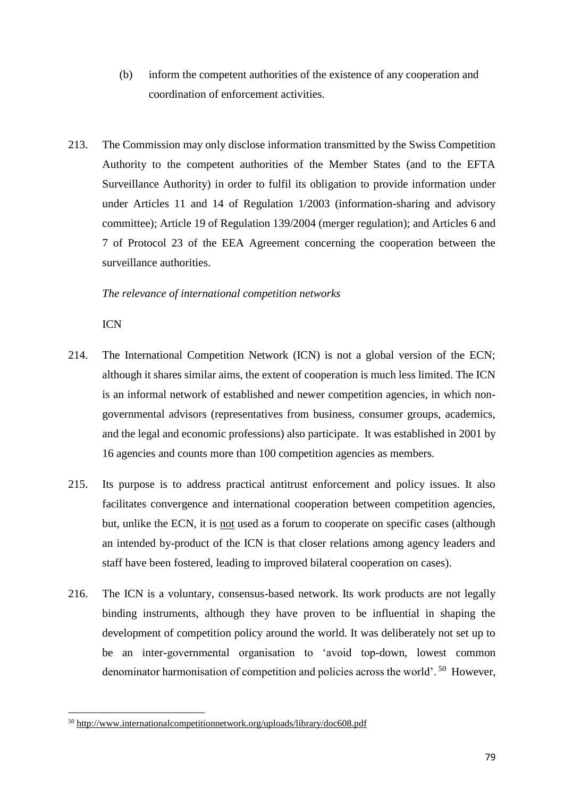- (b) inform the competent authorities of the existence of any cooperation and coordination of enforcement activities.
- 213. The Commission may only disclose information transmitted by the Swiss Competition Authority to the competent authorities of the Member States (and to the EFTA Surveillance Authority) in order to fulfil its obligation to provide information under under Articles 11 and 14 of Regulation 1/2003 (information-sharing and advisory committee); Article 19 of Regulation 139/2004 (merger regulation); and Articles 6 and 7 of Protocol 23 of the EEA Agreement concerning the cooperation between the surveillance authorities.

## *The relevance of international competition networks*

ICN

- 214. The International Competition Network (ICN) is not a global version of the ECN; although it shares similar aims, the extent of cooperation is much less limited. The ICN is an informal network of established and newer competition agencies, in which nongovernmental advisors (representatives from business, consumer groups, academics, and the legal and economic professions) also participate. It was established in 2001 by 16 agencies and counts more than 100 competition agencies as members.
- 215. Its purpose is to address practical antitrust enforcement and policy issues. It also facilitates convergence and international cooperation between competition agencies, but, unlike the ECN, it is not used as a forum to cooperate on specific cases (although an intended by-product of the ICN is that closer relations among agency leaders and staff have been fostered, leading to improved bilateral cooperation on cases).
- 216. The ICN is a voluntary, consensus-based network. Its work products are not legally binding instruments, although they have proven to be influential in shaping the development of competition policy around the world. It was deliberately not set up to be an inter-governmental organisation to 'avoid top-down, lowest common denominator harmonisation of competition and policies across the world'.<sup>50</sup> However,

**<sup>.</sup>** <sup>50</sup> <http://www.internationalcompetitionnetwork.org/uploads/library/doc608.pdf>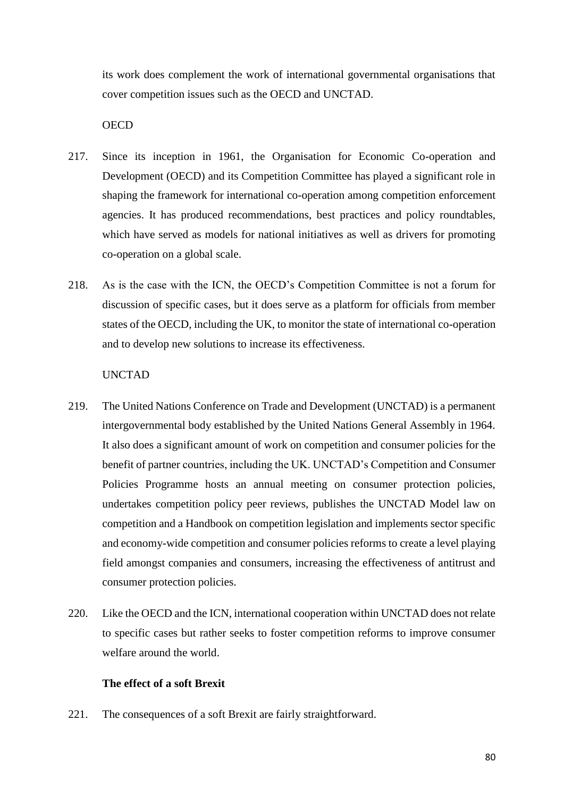its work does complement the work of international governmental organisations that cover competition issues such as the OECD and UNCTAD.

**OECD** 

- 217. Since its inception in 1961, the Organisation for Economic Co-operation and Development (OECD) and its Competition Committee has played a significant role in shaping the framework for international co-operation among competition enforcement agencies. It has produced recommendations, best practices and policy roundtables, which have served as models for national initiatives as well as drivers for promoting co-operation on a global scale.
- 218. As is the case with the ICN, the OECD's Competition Committee is not a forum for discussion of specific cases, but it does serve as a platform for officials from member states of the OECD, including the UK, to monitor the state of international co-operation and to develop new solutions to increase its effectiveness.

## UNCTAD

- 219. The United Nations Conference on Trade and Development (UNCTAD) is a permanent intergovernmental body established by the United Nations General Assembly in 1964. It also does a significant amount of work on competition and consumer policies for the benefit of partner countries, including the UK. UNCTAD's Competition and Consumer Policies Programme hosts an annual meeting on consumer protection policies, undertakes competition policy peer reviews, publishes the UNCTAD Model law on competition and a Handbook on competition legislation and implements sector specific and economy-wide competition and consumer policies reforms to create a level playing field amongst companies and consumers, increasing the effectiveness of antitrust and consumer protection policies.
- 220. Like the OECD and the ICN, international cooperation within UNCTAD does not relate to specific cases but rather seeks to foster competition reforms to improve consumer welfare around the world.

# **The effect of a soft Brexit**

221. The consequences of a soft Brexit are fairly straightforward.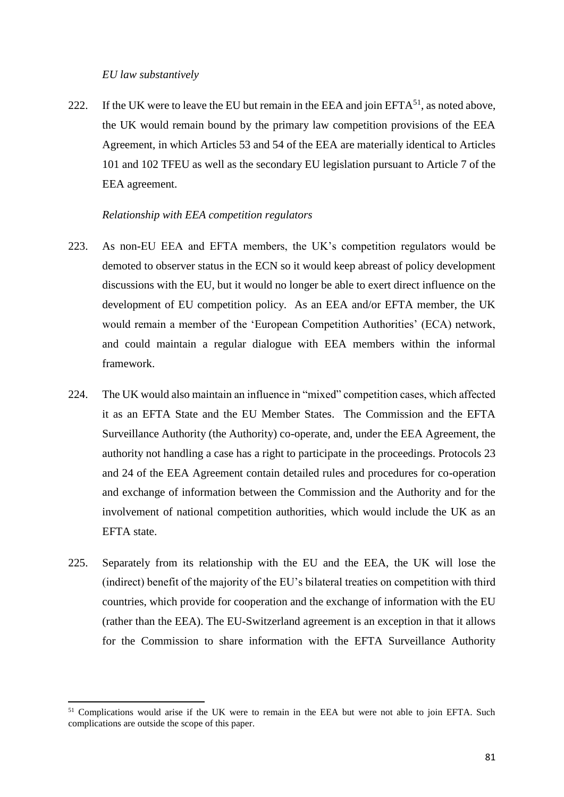### *EU law substantively*

**.** 

222. If the UK were to leave the EU but remain in the EEA and join  $EFTA<sup>51</sup>$ , as noted above, the UK would remain bound by the primary law competition provisions of the EEA Agreement, in which Articles 53 and 54 of the EEA are materially identical to Articles 101 and 102 TFEU as well as the secondary EU legislation pursuant to Article 7 of the EEA agreement.

## *Relationship with EEA competition regulators*

- 223. As non-EU EEA and EFTA members, the UK's competition regulators would be demoted to observer status in the ECN so it would keep abreast of policy development discussions with the EU, but it would no longer be able to exert direct influence on the development of EU competition policy. As an EEA and/or EFTA member, the UK would remain a member of the 'European Competition Authorities' (ECA) network, and could maintain a regular dialogue with EEA members within the informal framework.
- 224. The UK would also maintain an influence in "mixed" competition cases, which affected it as an EFTA State and the EU Member States. The Commission and the EFTA Surveillance Authority (the Authority) co-operate, and, under the EEA Agreement, the authority not handling a case has a right to participate in the proceedings. Protocols 23 and 24 of the EEA Agreement contain detailed rules and procedures for co-operation and exchange of information between the Commission and the Authority and for the involvement of national competition authorities, which would include the UK as an EFTA state.
- 225. Separately from its relationship with the EU and the EEA, the UK will lose the (indirect) benefit of the majority of the EU's bilateral treaties on competition with third countries, which provide for cooperation and the exchange of information with the EU (rather than the EEA). The EU-Switzerland agreement is an exception in that it allows for the Commission to share information with the EFTA Surveillance Authority

<sup>&</sup>lt;sup>51</sup> Complications would arise if the UK were to remain in the EEA but were not able to join EFTA. Such complications are outside the scope of this paper.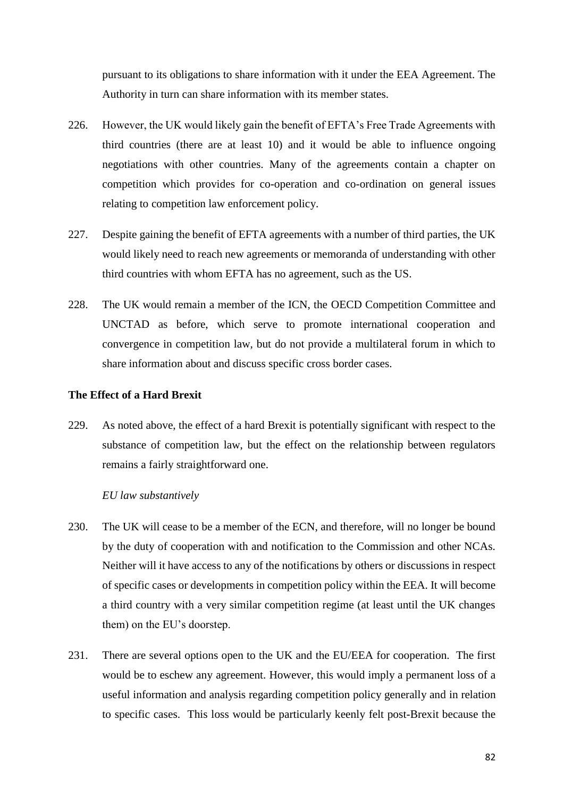pursuant to its obligations to share information with it under the EEA Agreement. The Authority in turn can share information with its member states.

- 226. However, the UK would likely gain the benefit of EFTA's Free Trade Agreements with third countries (there are at least 10) and it would be able to influence ongoing negotiations with other countries. Many of the agreements contain a chapter on competition which provides for co-operation and co-ordination on general issues relating to competition law enforcement policy.
- 227. Despite gaining the benefit of EFTA agreements with a number of third parties, the UK would likely need to reach new agreements or memoranda of understanding with other third countries with whom EFTA has no agreement, such as the US.
- 228. The UK would remain a member of the ICN, the OECD Competition Committee and UNCTAD as before, which serve to promote international cooperation and convergence in competition law, but do not provide a multilateral forum in which to share information about and discuss specific cross border cases.

# **The Effect of a Hard Brexit**

229. As noted above, the effect of a hard Brexit is potentially significant with respect to the substance of competition law, but the effect on the relationship between regulators remains a fairly straightforward one.

## *EU law substantively*

- 230. The UK will cease to be a member of the ECN, and therefore, will no longer be bound by the duty of cooperation with and notification to the Commission and other NCAs. Neither will it have access to any of the notifications by others or discussions in respect of specific cases or developments in competition policy within the EEA. It will become a third country with a very similar competition regime (at least until the UK changes them) on the EU's doorstep.
- 231. There are several options open to the UK and the EU/EEA for cooperation. The first would be to eschew any agreement. However, this would imply a permanent loss of a useful information and analysis regarding competition policy generally and in relation to specific cases. This loss would be particularly keenly felt post-Brexit because the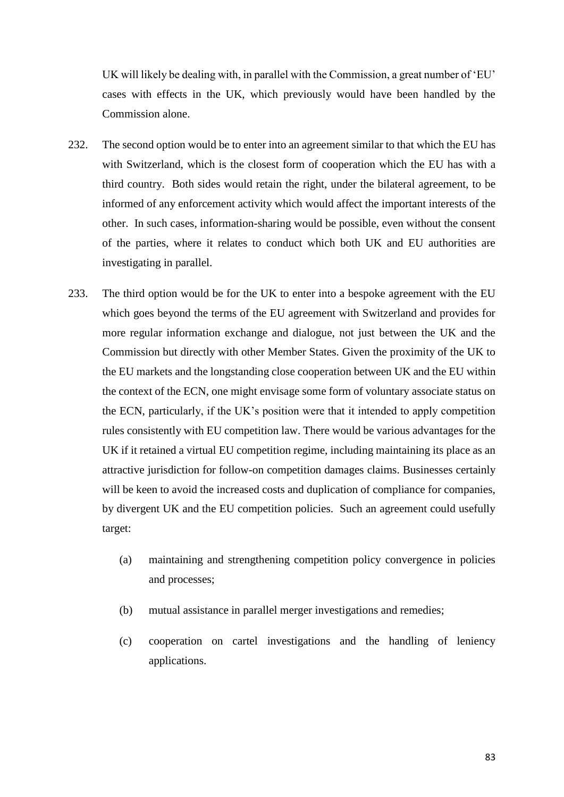UK will likely be dealing with, in parallel with the Commission, a great number of 'EU' cases with effects in the UK, which previously would have been handled by the Commission alone.

- 232. The second option would be to enter into an agreement similar to that which the EU has with Switzerland, which is the closest form of cooperation which the EU has with a third country. Both sides would retain the right, under the bilateral agreement, to be informed of any enforcement activity which would affect the important interests of the other. In such cases, information-sharing would be possible, even without the consent of the parties, where it relates to conduct which both UK and EU authorities are investigating in parallel.
- 233. The third option would be for the UK to enter into a bespoke agreement with the EU which goes beyond the terms of the EU agreement with Switzerland and provides for more regular information exchange and dialogue, not just between the UK and the Commission but directly with other Member States. Given the proximity of the UK to the EU markets and the longstanding close cooperation between UK and the EU within the context of the ECN, one might envisage some form of voluntary associate status on the ECN, particularly, if the UK's position were that it intended to apply competition rules consistently with EU competition law. There would be various advantages for the UK if it retained a virtual EU competition regime, including maintaining its place as an attractive jurisdiction for follow-on competition damages claims. Businesses certainly will be keen to avoid the increased costs and duplication of compliance for companies, by divergent UK and the EU competition policies. Such an agreement could usefully target:
	- (a) maintaining and strengthening competition policy convergence in policies and processes;
	- (b) mutual assistance in parallel merger investigations and remedies;
	- (c) cooperation on cartel investigations and the handling of leniency applications.